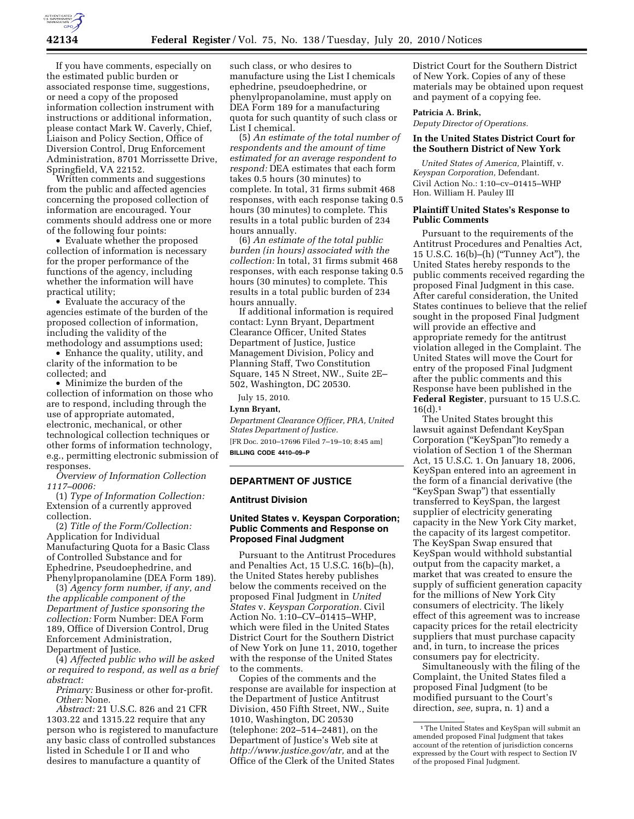If you have comments, especially on the estimated public burden or associated response time, suggestions, or need a copy of the proposed information collection instrument with instructions or additional information, please contact Mark W. Caverly, Chief, Liaison and Policy Section, Office of Diversion Control, Drug Enforcement Administration, 8701 Morrissette Drive, Springfield, VA 22152.

Written comments and suggestions from the public and affected agencies concerning the proposed collection of information are encouraged. Your comments should address one or more of the following four points:

• Evaluate whether the proposed collection of information is necessary for the proper performance of the functions of the agency, including whether the information will have practical utility;

• Evaluate the accuracy of the agencies estimate of the burden of the proposed collection of information, including the validity of the methodology and assumptions used;

• Enhance the quality, utility, and clarity of the information to be collected; and

• Minimize the burden of the collection of information on those who are to respond, including through the use of appropriate automated, electronic, mechanical, or other technological collection techniques or other forms of information technology, e.g., permitting electronic submission of responses.

*Overview of Information Collection 1117–0006:* 

(1) *Type of Information Collection:*  Extension of a currently approved collection.

(2) *Title of the Form/Collection:*  Application for Individual Manufacturing Quota for a Basic Class of Controlled Substance and for Ephedrine, Pseudoephedrine, and Phenylpropanolamine (DEA Form 189).

(3) *Agency form number, if any, and the applicable component of the Department of Justice sponsoring the collection:* Form Number: DEA Form 189, Office of Diversion Control, Drug Enforcement Administration, Department of Justice.

(4) *Affected public who will be asked or required to respond, as well as a brief abstract:* 

*Primary:* Business or other for-profit. *Other:* None.

*Abstract:* 21 U.S.C. 826 and 21 CFR 1303.22 and 1315.22 require that any person who is registered to manufacture any basic class of controlled substances listed in Schedule I or II and who desires to manufacture a quantity of

such class, or who desires to manufacture using the List I chemicals ephedrine, pseudoephedrine, or phenylpropanolamine, must apply on DEA Form 189 for a manufacturing quota for such quantity of such class or List I chemical.

(5) *An estimate of the total number of respondents and the amount of time estimated for an average respondent to respond:* DEA estimates that each form takes 0.5 hours (30 minutes) to complete. In total, 31 firms submit 468 responses, with each response taking 0.5 hours (30 minutes) to complete. This results in a total public burden of 234 hours annually.

(6) *An estimate of the total public burden (in hours) associated with the collection:* In total, 31 firms submit 468 responses, with each response taking 0.5 hours (30 minutes) to complete. This results in a total public burden of 234 hours annually.

If additional information is required contact: Lynn Bryant, Department Clearance Officer, United States Department of Justice, Justice Management Division, Policy and Planning Staff, Two Constitution Square, 145 N Street, NW., Suite 2E– 502, Washington, DC 20530.

July 15, 2010.

## **Lynn Bryant,**

*Department Clearance Officer, PRA, United States Department of Justice.*  [FR Doc. 2010–17696 Filed 7–19–10; 8:45 am] **BILLING CODE 4410–09–P** 

## **DEPARTMENT OF JUSTICE**

#### **Antitrust Division**

## **United States v. Keyspan Corporation; Public Comments and Response on Proposed Final Judgment**

Pursuant to the Antitrust Procedures and Penalties Act, 15 U.S.C. 16(b)–(h), the United States hereby publishes below the comments received on the proposed Final Judgment in *United States* v. *Keyspan Corporation.* Civil Action No. 1:10–CV–01415–WHP, which were filed in the United States District Court for the Southern District of New York on June 11, 2010, together with the response of the United States to the comments.

Copies of the comments and the response are available for inspection at the Department of Justice Antitrust Division, 450 Fifth Street, NW., Suite 1010, Washington, DC 20530 (telephone: 202–514–2481), on the Department of Justice's Web site at *http://www.justice.gov/atr,* and at the Office of the Clerk of the United States

District Court for the Southern District of New York. Copies of any of these materials may be obtained upon request and payment of a copying fee.

#### **Patricia A. Brink,**

*Deputy Director of Operations.* 

## **In the United States District Court for the Southern District of New York**

*United States of America,* Plaintiff, v. *Keyspan Corporation,* Defendant. Civil Action No.: 1:10–cv–01415–WHP Hon. William H. Pauley III

## **Plaintiff United States's Response to Public Comments**

Pursuant to the requirements of the Antitrust Procedures and Penalties Act, 15 U.S.C. 16(b)–(h) (''Tunney Act''), the United States hereby responds to the public comments received regarding the proposed Final Judgment in this case. After careful consideration, the United States continues to believe that the relief sought in the proposed Final Judgment will provide an effective and appropriate remedy for the antitrust violation alleged in the Complaint. The United States will move the Court for entry of the proposed Final Judgment after the public comments and this Response have been published in the **Federal Register**, pursuant to 15 U.S.C.  $16(d).1$ 

The United States brought this lawsuit against Defendant KeySpan Corporation (''KeySpan'')to remedy a violation of Section 1 of the Sherman Act, 15 U.S.C. 1. On January 18, 2006, KeySpan entered into an agreement in the form of a financial derivative (the ''KeySpan Swap'') that essentially transferred to KeySpan, the largest supplier of electricity generating capacity in the New York City market, the capacity of its largest competitor. The KeySpan Swap ensured that KeySpan would withhold substantial output from the capacity market, a market that was created to ensure the supply of sufficient generation capacity for the millions of New York City consumers of electricity. The likely effect of this agreement was to increase capacity prices for the retail electricity suppliers that must purchase capacity and, in turn, to increase the prices consumers pay for electricity.

Simultaneously with the filing of the Complaint, the United States filed a proposed Final Judgment (to be modified pursuant to the Court's direction, *see,* supra, n. 1) and a

<sup>1</sup>The United States and KeySpan will submit an amended proposed Final Judgment that takes account of the retention of jurisdiction concerns expressed by the Court with respect to Section IV of the proposed Final Judgment.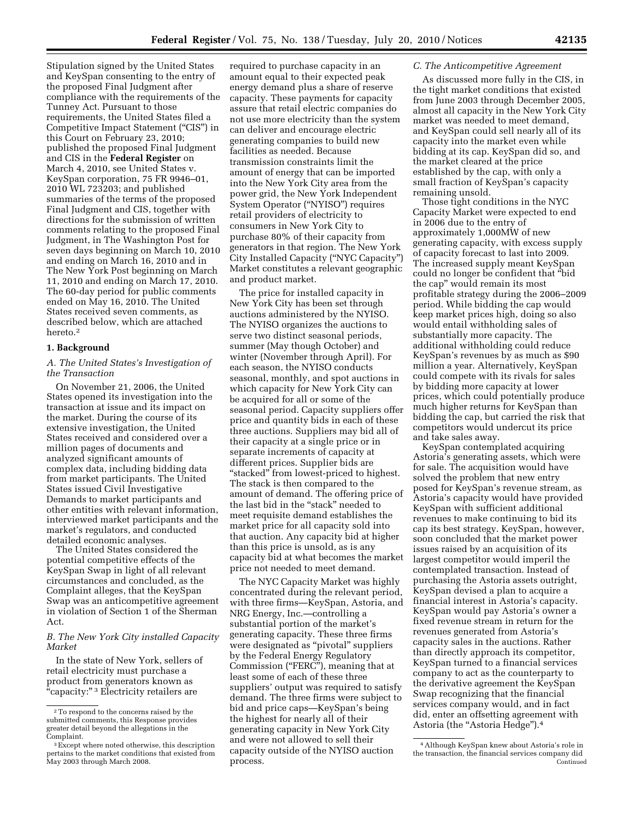Stipulation signed by the United States and KeySpan consenting to the entry of the proposed Final Judgment after compliance with the requirements of the Tunney Act. Pursuant to those requirements, the United States filed a Competitive Impact Statement (''CIS'') in this Court on February 23, 2010; published the proposed Final Judgment and CIS in the **Federal Register** on March 4, 2010, see United States v. KeySpan corporation, 75 FR 9946–01, 2010 WL 723203; and published summaries of the terms of the proposed Final Judgment and CIS, together with directions for the submission of written comments relating to the proposed Final Judgment, in The Washington Post for seven days beginning on March 10, 2010 and ending on March 16, 2010 and in The New York Post beginning on March 11, 2010 and ending on March 17, 2010. The 60-day period for public comments ended on May 16, 2010. The United States received seven comments, as described below, which are attached hereto.2

## **1. Background**

## *A. The United States's Investigation of the Transaction*

On November 21, 2006, the United States opened its investigation into the transaction at issue and its impact on the market. During the course of its extensive investigation, the United States received and considered over a million pages of documents and analyzed significant amounts of complex data, including bidding data from market participants. The United States issued Civil Investigative Demands to market participants and other entities with relevant information, interviewed market participants and the market's regulators, and conducted detailed economic analyses.

The United States considered the potential competitive effects of the KeySpan Swap in light of all relevant circumstances and concluded, as the Complaint alleges, that the KeySpan Swap was an anticompetitive agreement in violation of Section 1 of the Sherman Act.

*B. The New York City installed Capacity Market* 

In the state of New York, sellers of retail electricity must purchase a product from generators known as "capacity:"<sup>3</sup> Electricity retailers are

required to purchase capacity in an amount equal to their expected peak energy demand plus a share of reserve capacity. These payments for capacity assure that retail electric companies do not use more electricity than the system can deliver and encourage electric generating companies to build new facilities as needed. Because transmission constraints limit the amount of energy that can be imported into the New York City area from the power grid, the New York Independent System Operator (''NYISO'') requires retail providers of electricity to consumers in New York City to purchase 80% of their capacity from generators in that region. The New York City Installed Capacity (''NYC Capacity'') Market constitutes a relevant geographic and product market.

The price for installed capacity in New York City has been set through auctions administered by the NYISO. The NYISO organizes the auctions to serve two distinct seasonal periods, summer (May though October) and winter (November through April). For each season, the NYISO conducts seasonal, monthly, and spot auctions in which capacity for New York City can be acquired for all or some of the seasonal period. Capacity suppliers offer price and quantity bids in each of these three auctions. Suppliers may bid all of their capacity at a single price or in separate increments of capacity at different prices. Supplier bids are "stacked" from lowest-priced to highest. The stack is then compared to the amount of demand. The offering price of the last bid in the "stack" needed to meet requisite demand establishes the market price for all capacity sold into that auction. Any capacity bid at higher than this price is unsold, as is any capacity bid at what becomes the market price not needed to meet demand.

The NYC Capacity Market was highly concentrated during the relevant period, with three firms—KeySpan, Astoria, and NRG Energy, Inc.—controlling a substantial portion of the market's generating capacity. These three firms were designated as ''pivotal'' suppliers by the Federal Energy Regulatory Commission ("FERC"), meaning that at least some of each of these three suppliers' output was required to satisfy demand. The three firms were subject to bid and price caps—KeySpan's being the highest for nearly all of their generating capacity in New York City and were not allowed to sell their capacity outside of the NYISO auction process.

## *C. The Anticompetitive Agreement*

As discussed more fully in the CIS, in the tight market conditions that existed from June 2003 through December 2005, almost all capacity in the New York City market was needed to meet demand, and KeySpan could sell nearly all of its capacity into the market even while bidding at its cap. KeySpan did so, and the market cleared at the price established by the cap, with only a small fraction of KeySpan's capacity remaining unsold.

Those tight conditions in the NYC Capacity Market were expected to end in 2006 due to the entry of approximately 1,000MW of new generating capacity, with excess supply of capacity forecast to last into 2009. The increased supply meant KeySpan could no longer be confident that ''bid the cap'' would remain its most profitable strategy during the 2006–2009 period. While bidding the cap would keep market prices high, doing so also would entail withholding sales of substantially more capacity. The additional withholding could reduce KeySpan's revenues by as much as \$90 million a year. Alternatively, KeySpan could compete with its rivals for sales by bidding more capacity at lower prices, which could potentially produce much higher returns for KeySpan than bidding the cap, but carried the risk that competitors would undercut its price and take sales away.

KeySpan contemplated acquiring Astoria's generating assets, which were for sale. The acquisition would have solved the problem that new entry posed for KeySpan's revenue stream, as Astoria's capacity would have provided KeySpan with sufficient additional revenues to make continuing to bid its cap its best strategy. KeySpan, however, soon concluded that the market power issues raised by an acquisition of its largest competitor would imperil the contemplated transaction. Instead of purchasing the Astoria assets outright, KeySpan devised a plan to acquire a financial interest in Astoria's capacity. KeySpan would pay Astoria's owner a fixed revenue stream in return for the revenues generated from Astoria's capacity sales in the auctions. Rather than directly approach its competitor, KeySpan turned to a financial services company to act as the counterparty to the derivative agreement the KeySpan Swap recognizing that the financial services company would, and in fact did, enter an offsetting agreement with Astoria (the "Astoria Hedge").<sup>4</sup>

<sup>2</sup>To respond to the concerns raised by the submitted comments, this Response provides greater detail beyond the allegations in the Complaint.<br><sup>3</sup>Except where noted otherwise, this description

pertains to the market conditions that existed from May 2003 through March 2008.

<sup>4</sup>Although KeySpan knew about Astoria's role in the transaction, the financial services company did Continued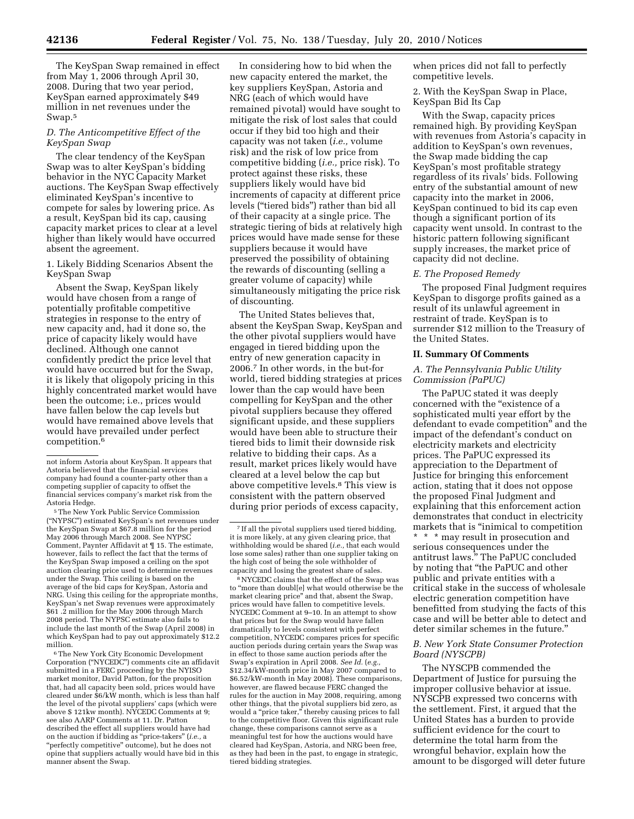The KeySpan Swap remained in effect from May 1, 2006 through April 30, 2008. During that two year period, KeySpan earned approximately \$49 million in net revenues under the Swap.5

## *D. The Anticompetitive Effect of the KeySpan Swap*

The clear tendency of the KeySpan Swap was to alter KeySpan's bidding behavior in the NYC Capacity Market auctions. The KeySpan Swap effectively eliminated KeySpan's incentive to compete for sales by lowering price. As a result, KeySpan bid its cap, causing capacity market prices to clear at a level higher than likely would have occurred absent the agreement.

1. Likely Bidding Scenarios Absent the KeySpan Swap

Absent the Swap, KeySpan likely would have chosen from a range of potentially profitable competitive strategies in response to the entry of new capacity and, had it done so, the price of capacity likely would have declined. Although one cannot confidently predict the price level that would have occurred but for the Swap, it is likely that oligopoly pricing in this highly concentrated market would have been the outcome; i.e., prices would have fallen below the cap levels but would have remained above levels that would have prevailed under perfect competition.6

5The New York Public Service Commission (''NYPSC'') estimated KeySpan's net revenues under the KeySpan Swap at \$67.8 million for the period May 2006 through March 2008. See NYPSC Comment, Paynter Affidavit at ¶ 15. The estimate, however, fails to reflect the fact that the terms of the KeySpan Swap imposed a ceiling on the spot auction clearing price used to determine revenues under the Swap. This ceiling is based on the average of the bid caps for KeySpan, Astoria and NRG. Using this ceiling for the appropriate months, KeySpan's net Swap revenues were approximately \$61 .2 million for the May 2006 through March 2008 period. The NYPSC estimate also fails to include the last month of the Swap (April 2008) in which KeySpan had to pay out approximately \$12.2 million.

6The New York City Economic Development Corporation (''NYCEDC'') comments cite an affidavit submitted in a FERC proceeding by the NYISO market monitor, David Patton, for the proposition that, had all capacity been sold, prices would have cleared under \$6/kW month, which is less than half the level of the pivotal suppliers' caps (which were above \$ 121kw month). NYCEDC Comments at 9; see also AARP Comments at 11. Dr. Patton described the effect all suppliers would have had on the auction if bidding as ''price-takers'' (*i.e.,* a "perfectly competitive" outcome), but he does not opine that suppliers actually would have bid in this manner absent the Swap.

In considering how to bid when the new capacity entered the market, the key suppliers KeySpan, Astoria and NRG (each of which would have remained pivotal) would have sought to mitigate the risk of lost sales that could occur if they bid too high and their capacity was not taken (*i.e.,* volume risk) and the risk of low price from competitive bidding (*i.e.,* price risk). To protect against these risks, these suppliers likely would have bid increments of capacity at different price levels (''tiered bids'') rather than bid all of their capacity at a single price. The strategic tiering of bids at relatively high prices would have made sense for these suppliers because it would have preserved the possibility of obtaining the rewards of discounting (selling a greater volume of capacity) while simultaneously mitigating the price risk of discounting.

The United States believes that, absent the KeySpan Swap, KeySpan and the other pivotal suppliers would have engaged in tiered bidding upon the entry of new generation capacity in 2006.7 In other words, in the but-for world, tiered bidding strategies at prices lower than the cap would have been compelling for KeySpan and the other pivotal suppliers because they offered significant upside, and these suppliers would have been able to structure their tiered bids to limit their downside risk relative to bidding their caps. As a result, market prices likely would have cleared at a level below the cap but above competitive levels.8 This view is consistent with the pattern observed during prior periods of excess capacity,

8NYCEDC claims that the effect of the Swap was to ''more than doubl[e] what would otherwise be the market clearing price'' and that, absent the Swap, prices would have fallen to competitive levels. NYCEDC Comment at 9–10. In an attempt to show that prices but for the Swap would have fallen dramatically to levels consistent with perfect competition, NYCEDC compares prices for specific auction periods during certain years the Swap was in effect to those same auction periods after the Swap's expiration in April 2008. *See Id.* (*e.g.,*  \$12.34/kW-month price in May 2007 compared to \$6.52/kW-month in May 2008). These comparisons, however, are flawed because FERC changed the rules for the auction in May 2008, requiring, among other things, that the pivotal suppliers bid zero, as would a "price taker," thereby causing prices to fall to the competitive floor. Given this significant rule change, these comparisons cannot serve as a meaningful test for how the auctions would have cleared had KeySpan, Astoria, and NRG been free, as they had been in the past, to engage in strategic, tiered bidding strategies.

when prices did not fall to perfectly competitive levels.

2. With the KeySpan Swap in Place, KeySpan Bid Its Cap

With the Swap, capacity prices remained high. By providing KeySpan with revenues from Astoria's capacity in addition to KeySpan's own revenues, the Swap made bidding the cap KeySpan's most profitable strategy regardless of its rivals' bids. Following entry of the substantial amount of new capacity into the market in 2006, KeySpan continued to bid its cap even though a significant portion of its capacity went unsold. In contrast to the historic pattern following significant supply increases, the market price of capacity did not decline.

## *E. The Proposed Remedy*

The proposed Final Judgment requires KeySpan to disgorge profits gained as a result of its unlawful agreement in restraint of trade. KeySpan is to surrender \$12 million to the Treasury of the United States.

## **II. Summary Of Comments**

## *A. The Pennsylvania Public Utility Commission (PaPUC)*

The PaPUC stated it was deeply concerned with the "existence of a sophisticated multi year effort by the defendant to evade competition'' and the impact of the defendant's conduct on electricity markets and electricity prices. The PaPUC expressed its appreciation to the Department of Justice for bringing this enforcement action, stating that it does not oppose the proposed Final Judgment and explaining that this enforcement action demonstrates that conduct in electricity markets that is ''inimical to competition

\* \* \* may result in prosecution and serious consequences under the antitrust laws.'' The PaPUC concluded by noting that ''the PaPUC and other public and private entities with a critical stake in the success of wholesale electric generation competition have benefitted from studying the facts of this case and will be better able to detect and deter similar schemes in the future.''

## *B. New York State Consumer Protection Board (NYSCPB)*

The NYSCPB commended the Department of Justice for pursuing the improper collusive behavior at issue. NYSCPB expressed two concerns with the settlement. First, it argued that the United States has a burden to provide sufficient evidence for the court to determine the total harm from the wrongful behavior, explain how the amount to be disgorged will deter future

not inform Astoria about KeySpan. It appears that Astoria believed that the financial services company had found a counter-party other than a competing supplier of capacity to offset the financial services company's market risk from the Astoria Hedge.

<sup>7</sup> If all the pivotal suppliers used tiered bidding, it is more likely, at any given clearing price, that withholding would be shared (*i.e.,* that each would lose some sales) rather than one supplier taking on the high cost of being the sole withholder of capacity and losing the greatest share of sales.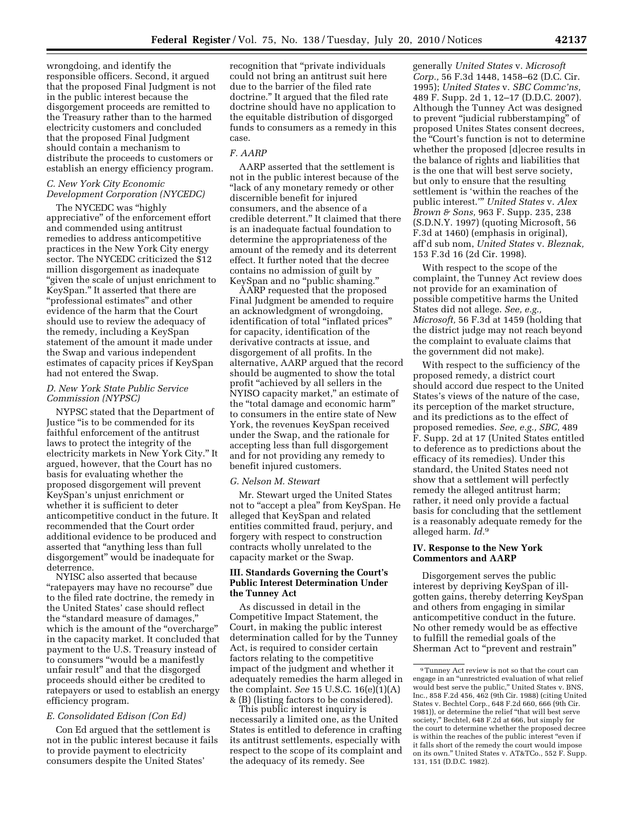wrongdoing, and identify the responsible officers. Second, it argued that the proposed Final Judgment is not in the public interest because the disgorgement proceeds are remitted to the Treasury rather than to the harmed electricity customers and concluded that the proposed Final Judgment should contain a mechanism to distribute the proceeds to customers or establish an energy efficiency program.

## *C. New York City Economic Development Corporation (NYCEDC)*

The NYCEDC was ''highly appreciative'' of the enforcement effort and commended using antitrust remedies to address anticompetitive practices in the New York City energy sector. The NYCEDC criticized the \$12 million disgorgement as inadequate ''given the scale of unjust enrichment to KeySpan.'' It asserted that there are ''professional estimates'' and other evidence of the harm that the Court should use to review the adequacy of the remedy, including a KeySpan statement of the amount it made under the Swap and various independent estimates of capacity prices if KeySpan had not entered the Swap.

## *D. New York State Public Service Commission (NYPSC)*

NYPSC stated that the Department of Justice ''is to be commended for its faithful enforcement of the antitrust laws to protect the integrity of the electricity markets in New York City.'' It argued, however, that the Court has no basis for evaluating whether the proposed disgorgement will prevent KeySpan's unjust enrichment or whether it is sufficient to deter anticompetitive conduct in the future. It recommended that the Court order additional evidence to be produced and asserted that ''anything less than full disgorgement'' would be inadequate for deterrence.

NYISC also asserted that because ''ratepayers may have no recourse'' due to the filed rate doctrine, the remedy in the United States' case should reflect the ''standard measure of damages,'' which is the amount of the ''overcharge'' in the capacity market. It concluded that payment to the U.S. Treasury instead of to consumers ''would be a manifestly unfair result'' and that the disgorged proceeds should either be credited to ratepayers or used to establish an energy efficiency program.

## *E. Consolidated Edison (Con Ed)*

Con Ed argued that the settlement is not in the public interest because it fails to provide payment to electricity consumers despite the United States'

recognition that ''private individuals could not bring an antitrust suit here due to the barrier of the filed rate doctrine.'' It argued that the filed rate doctrine should have no application to the equitable distribution of disgorged funds to consumers as a remedy in this case.

## *F. AARP*

AARP asserted that the settlement is not in the public interest because of the ''lack of any monetary remedy or other discernible benefit for injured consumers, and the absence of a credible deterrent.'' It claimed that there is an inadequate factual foundation to determine the appropriateness of the amount of the remedy and its deterrent effect. It further noted that the decree contains no admission of guilt by KeySpan and no ''public shaming.''

AARP requested that the proposed Final Judgment be amended to require an acknowledgment of wrongdoing, identification of total ''inflated prices'' for capacity, identification of the derivative contracts at issue, and disgorgement of all profits. In the alternative, AARP argued that the record should be augmented to show the total profit ''achieved by all sellers in the NYISO capacity market,'' an estimate of the ''total damage and economic harm'' to consumers in the entire state of New York, the revenues KeySpan received under the Swap, and the rationale for accepting less than full disgorgement and for not providing any remedy to benefit injured customers.

## *G. Nelson M. Stewart*

Mr. Stewart urged the United States not to "accept a plea" from KeySpan. He alleged that KeySpan and related entities committed fraud, perjury, and forgery with respect to construction contracts wholly unrelated to the capacity market or the Swap.

## **III. Standards Governing the Court's Public Interest Determination Under the Tunney Act**

As discussed in detail in the Competitive Impact Statement, the Court, in making the public interest determination called for by the Tunney Act, is required to consider certain factors relating to the competitive impact of the judgment and whether it adequately remedies the harm alleged in the complaint. *See* 15 U.S.C. 16(e)(1)(A) & (B) (listing factors to be considered).

This public interest inquiry is necessarily a limited one, as the United States is entitled to deference in crafting its antitrust settlements, especially with respect to the scope of its complaint and the adequacy of its remedy. See

generally *United States* v. *Microsoft Corp.,* 56 F.3d 1448, 1458–62 (D.C. Cir. 1995); *United States* v. *SBC Commc'ns,*  489 F. Supp. 2d 1, 12–17 (D.D.C. 2007). Although the Tunney Act was designed to prevent ''judicial rubberstamping'' of proposed Unites States consent decrees, the ''Court's function is not to determine whether the proposed [d]ecree results in the balance of rights and liabilities that is the one that will best serve society, but only to ensure that the resulting settlement is 'within the reaches of the public interest.''' *United States* v. *Alex Brown & Sons,* 963 F. Supp. 235, 238 (S.D.N.Y. 1997) (quoting Microsoft, 56 F.3d at 1460) (emphasis in original), aff'd sub nom, *United States* v. *Bleznak,*  153 F.3d 16 (2d Cir. 1998).

With respect to the scope of the complaint, the Tunney Act review does not provide for an examination of possible competitive harms the United States did not allege. *See, e.g., Microsoft,* 56 F.3d at 1459 (holding that the district judge may not reach beyond the complaint to evaluate claims that the government did not make).

With respect to the sufficiency of the proposed remedy, a district court should accord due respect to the United States's views of the nature of the case, its perception of the market structure, and its predictions as to the effect of proposed remedies. *See, e.g., SBC,* 489 F. Supp. 2d at 17 (United States entitled to deference as to predictions about the efficacy of its remedies). Under this standard, the United States need not show that a settlement will perfectly remedy the alleged antitrust harm; rather, it need only provide a factual basis for concluding that the settlement is a reasonably adequate remedy for the alleged harm. *Id.*9

## **IV. Response to the New York Commentors and AARP**

Disgorgement serves the public interest by depriving KeySpan of illgotten gains, thereby deterring KeySpan and others from engaging in similar anticompetitive conduct in the future. No other remedy would be as effective to fulfill the remedial goals of the Sherman Act to "prevent and restrain"

<sup>9</sup>Tunney Act review is not so that the court can engage in an ''unrestricted evaluation of what relief would best serve the public,'' United States v. BNS, Inc., 858 F.2d 456, 462 (9th Cir. 1988) (citing United States v. Bechtel Corp., 648 F.2d 660, 666 (9th Cir. 1981)), or determine the relief ''that will best serve society,'' Bechtel, 648 F.2d at 666, but simply for the court to determine whether the proposed decree is within the reaches of the public interest "even if it falls short of the remedy the court would impose on its own.'' United States v. AT&TCo., 552 F. Supp. 131, 151 (D.D.C. 1982).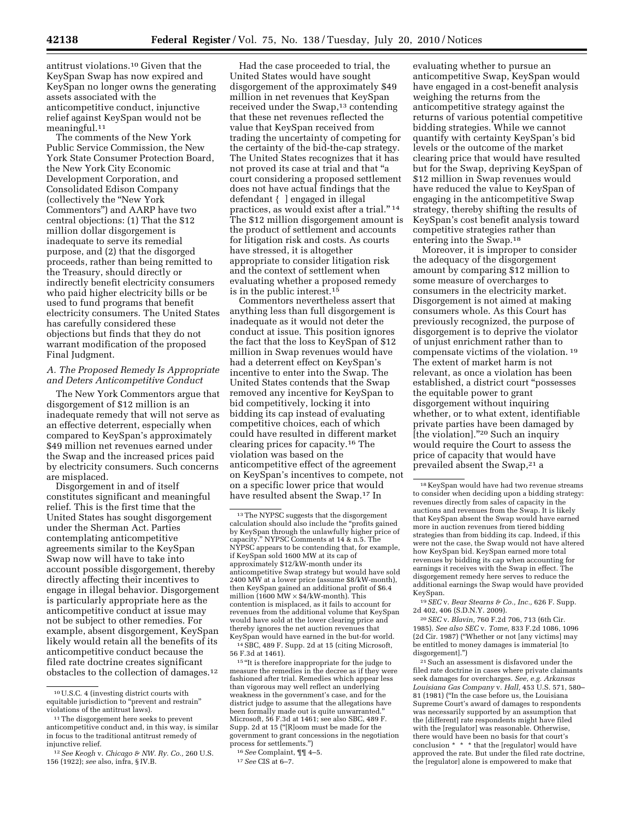antitrust violations.10 Given that the KeySpan Swap has now expired and KeySpan no longer owns the generating assets associated with the anticompetitive conduct, injunctive relief against KeySpan would not be meaningful.11

The comments of the New York Public Service Commission, the New York State Consumer Protection Board, the New York City Economic Development Corporation, and Consolidated Edison Company (collectively the ''New York Commentors'') and AARP have two central objections: (1) That the \$12 million dollar disgorgement is inadequate to serve its remedial purpose, and (2) that the disgorged proceeds, rather than being remitted to the Treasury, should directly or indirectly benefit electricity consumers who paid higher electricity bills or be used to fund programs that benefit electricity consumers. The United States has carefully considered these objections but finds that they do not warrant modification of the proposed Final Judgment.

## *A. The Proposed Remedy Is Appropriate and Deters Anticompetitive Conduct*

The New York Commentors argue that disgorgement of \$12 million is an inadequate remedy that will not serve as an effective deterrent, especially when compared to KeySpan's approximately \$49 million net revenues earned under the Swap and the increased prices paid by electricity consumers. Such concerns are misplaced.

Disgorgement in and of itself constitutes significant and meaningful relief. This is the first time that the United States has sought disgorgement under the Sherman Act. Parties contemplating anticompetitive agreements similar to the KeySpan Swap now will have to take into account possible disgorgement, thereby directly affecting their incentives to engage in illegal behavior. Disgorgement is particularly appropriate here as the anticompetitive conduct at issue may not be subject to other remedies. For example, absent disgorgement, KeySpan likely would retain all the benefits of its anticompetitive conduct because the filed rate doctrine creates significant obstacles to the collection of damages.12

Had the case proceeded to trial, the United States would have sought disgorgement of the approximately \$49 million in net revenues that KeySpan received under the Swap,<sup>13</sup> contending that these net revenues reflected the value that KeySpan received from trading the uncertainty of competing for the certainty of the bid-the-cap strategy. The United States recognizes that it has not proved its case at trial and that ''a court considering a proposed settlement does not have actual findings that the defendant { ] engaged in illegal practices, as would exist after a trial."<sup>14</sup> The \$12 million disgorgement amount is the product of settlement and accounts for litigation risk and costs. As courts have stressed, it is altogether appropriate to consider litigation risk and the context of settlement when evaluating whether a proposed remedy is in the public interest.15

Commentors nevertheless assert that anything less than full disgorgement is inadequate as it would not deter the conduct at issue. This position ignores the fact that the loss to KeySpan of \$12 million in Swap revenues would have had a deterrent effect on KeySpan's incentive to enter into the Swap. The United States contends that the Swap removed any incentive for KeySpan to bid competitively, locking it into bidding its cap instead of evaluating competitive choices, each of which could have resulted in different market clearing prices for capacity.16 The violation was based on the anticompetitive effect of the agreement on KeySpan's incentives to compete, not on a specific lower price that would have resulted absent the Swap.17 In

 $^{14}$  SBC, 489 F. Supp. 2d at 15 (citing Microsoft,

56 F.3d at 1461). 15 ''It is therefore inappropriate for the judge to measure the remedies in the decree as if they were fashioned after trial. Remedies which appear less than vigorous may well reflect an underlying weakness in the government's case, and for the district judge to assume that the allegations have been formally made out is quite unwarranted.'' Microsoft, 56 F.3d at 1461; see also SBC, 489 F. Supp. 2d at 15 (''[R]oom must be made for the government to grant concessions in the negotiation

process for settlements.'') 16*See* Complaint, ¶¶ 4–5. 17*See* CIS at 6–7.

evaluating whether to pursue an anticompetitive Swap, KeySpan would have engaged in a cost-benefit analysis weighing the returns from the anticompetitive strategy against the returns of various potential competitive bidding strategies. While we cannot quantify with certainty KeySpan's bid levels or the outcome of the market clearing price that would have resulted but for the Swap, depriving KeySpan of \$12 million in Swap revenues would have reduced the value to KeySpan of engaging in the anticompetitive Swap strategy, thereby shifting the results of KeySpan's cost benefit analysis toward competitive strategies rather than entering into the Swap.18

Moreover, it is improper to consider the adequacy of the disgorgement amount by comparing \$12 million to some measure of overcharges to consumers in the electricity market. Disgorgement is not aimed at making consumers whole. As this Court has previously recognized, the purpose of disgorgement is to deprive the violator of unjust enrichment rather than to compensate victims of the violation. 19 The extent of market harm is not relevant, as once a violation has been established, a district court ''possesses the equitable power to grant disgorgement without inquiring whether, or to what extent, identifiable private parties have been damaged by [the violation].''20 Such an inquiry would require the Court to assess the price of capacity that would have prevailed absent the Swap,21 a

19*SEC* v. *Bear Stearns & Co., Inc.,* 626 F. Supp. 2d 402, 406 (S.D.N.Y. 2009).

20*SEC* v. *Blavin,* 760 F.2d 706, 713 (6th Cir. 1985). *See also SEC* v. *Tome,* 833 F.2d 1086, 1096 (2d Cir. 1987) (''Whether or not [any victims] may be entitled to money damages is immaterial [to disgorgement].'')

21Such an assessment is disfavored under the filed rate doctrine in cases where private claimants seek damages for overcharges. *See, e.g. Arkansas Louisiana Gas Company* v. *Hall,* 453 U.S. 571, 580– 81 (1981) (''In the case before us, the Louisiana Supreme Court's award of damages to respondents was necessarily supported by an assumption that the [different] rate respondents might have filed with the [regulator] was reasonable. Otherwise, there would have been no basis for that court's conclusion \* \* \* that the [regulator] would have approved the rate. But under the filed rate doctrine, the [regulator] alone is empowered to make that

<sup>10</sup>U.S.C. 4 (investing district courts with equitable jurisdiction to "prevent and restrain" violations of the antitrust laws).

<sup>11</sup>The disgorgement here seeks to prevent anticompetitive conduct and, in this way, is similar in focus to the traditional antitrust remedy of injunctive relief.

<sup>12</sup>*See Keogh* v. *Chicago & NW. Ry. Co.,* 260 U.S. 156 (1922); *see* also, infra, § IV.B.

<sup>13</sup>The NYPSC suggests that the disgorgement calculation should also include the ''profits gained by KeySpan through the unlawfully higher price of capacity.'' NYPSC Comments at 14 & n.5. The NYPSC appears to be contending that, for example, if KeySpan sold 1600 MW at its cap of approximately \$12/kW-month under its anticompetitive Swap strategy but would have sold 2400 MW at a lower price (assume \$8/kW-month), then KeySpan gained an additional profit of \$6.4 million  $(1600 \text{ MW} \times $4/\text{kW}$ -month). This contention is misplaced, as it fails to account for revenues from the additional volume that KeySpan would have sold at the lower clearing price and thereby ignores the net auction revenues that<br>KeySpan would have earned in the but-for world.

<sup>18</sup> KeySpan would have had two revenue streams to consider when deciding upon a bidding strategy: revenues directly from sales of capacity in the auctions and revenues from the Swap. It is likely that KeySpan absent the Swap would have earned more in auction revenues from tiered bidding strategies than from bidding its cap. Indeed, if this were not the case, the Swap would not have altered how KeySpan bid*.* KeySpan earned more total revenues by bidding its cap when accounting for earnings it receives with the Swap in effect. The disgorgement remedy here serves to reduce the additional earnings the Swap would have provided KeySpan.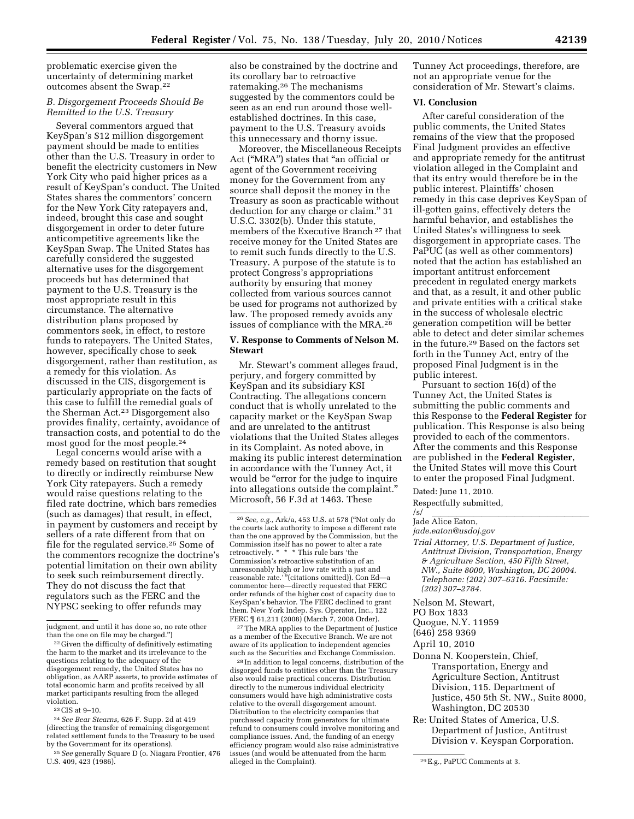problematic exercise given the uncertainty of determining market outcomes absent the Swap.22

## *B. Disgorgement Proceeds Should Be Remitted to the U.S. Treasury*

Several commentors argued that KeySpan's \$12 million disgorgement payment should be made to entities other than the U.S. Treasury in order to benefit the electricity customers in New York City who paid higher prices as a result of KeySpan's conduct. The United States shares the commentors' concern for the New York City ratepayers and, indeed, brought this case and sought disgorgement in order to deter future anticompetitive agreements like the KeySpan Swap. The United States has carefully considered the suggested alternative uses for the disgorgement proceeds but has determined that payment to the U.S. Treasury is the most appropriate result in this circumstance. The alternative distribution plans proposed by commentors seek, in effect, to restore funds to ratepayers. The United States, however, specifically chose to seek disgorgement, rather than restitution, as a remedy for this violation. As discussed in the CIS, disgorgement is particularly appropriate on the facts of this case to fulfill the remedial goals of the Sherman Act.23 Disgorgement also provides finality, certainty, avoidance of transaction costs, and potential to do the most good for the most people.24

Legal concerns would arise with a remedy based on restitution that sought to directly or indirectly reimburse New York City ratepayers. Such a remedy would raise questions relating to the filed rate doctrine, which bars remedies (such as damages) that result, in effect, in payment by customers and receipt by sellers of a rate different from that on file for the regulated service.25 Some of the commentors recognize the doctrine's potential limitation on their own ability to seek such reimbursement directly. They do not discuss the fact that regulators such as the FERC and the NYPSC seeking to offer refunds may

also be constrained by the doctrine and its corollary bar to retroactive ratemaking.26 The mechanisms suggested by the commentors could be seen as an end run around those wellestablished doctrines. In this case, payment to the U.S. Treasury avoids this unnecessary and thorny issue.

Moreover, the Miscellaneous Receipts Act (''MRA'') states that ''an official or agent of the Government receiving money for the Government from any source shall deposit the money in the Treasury as soon as practicable without deduction for any charge or claim.'' 31 U.S.C. 3302(b). Under this statute, members of the Executive Branch 27 that receive money for the United States are to remit such funds directly to the U.S. Treasury. A purpose of the statute is to protect Congress's appropriations authority by ensuring that money collected from various sources cannot be used for programs not authorized by law. The proposed remedy avoids any issues of compliance with the MRA.28

## **V. Response to Comments of Nelson M. Stewart**

Mr. Stewart's comment alleges fraud, perjury, and forgery committed by KeySpan and its subsidiary KSI Contracting. The allegations concern conduct that is wholly unrelated to the capacity market or the KeySpan Swap and are unrelated to the antitrust violations that the United States alleges in its Complaint. As noted above, in making its public interest determination in accordance with the Tunney Act, it would be "error for the judge to inquire into allegations outside the complaint.'' Microsoft, 56 F.3d at 1463. These

27The MRA applies to the Department of Justice as a member of the Executive Branch. We are not aware of its application to independent agencies such as the Securities and Exchange Commission.

28 In addition to legal concerns, distribution of the disgorged funds to entities other than the Treasury also would raise practical concerns. Distribution directly to the numerous individual electricity consumers would have high administrative costs relative to the overall disgorgement amount. Distribution to the electricity companies that purchased capacity from generators for ultimate refund to consumers could involve monitoring and compliance issues. And, the funding of an energy efficiency program would also raise administrative issues (and would be attenuated from the harm

Tunney Act proceedings, therefore, are not an appropriate venue for the consideration of Mr. Stewart's claims.

## **VI. Conclusion**

After careful consideration of the public comments, the United States remains of the view that the proposed Final Judgment provides an effective and appropriate remedy for the antitrust violation alleged in the Complaint and that its entry would therefore be in the public interest. Plaintiffs' chosen remedy in this case deprives KeySpan of ill-gotten gains, effectively deters the harmful behavior, and establishes the United States's willingness to seek disgorgement in appropriate cases. The PaPUC (as well as other commentors) noted that the action has established an important antitrust enforcement precedent in regulated energy markets and that, as a result, it and other public and private entities with a critical stake in the success of wholesale electric generation competition will be better able to detect and deter similar schemes in the future.29 Based on the factors set forth in the Tunney Act, entry of the proposed Final Judgment is in the public interest.

Pursuant to section 16(d) of the Tunney Act, the United States is submitting the public comments and this Response to the **Federal Register** for publication. This Response is also being provided to each of the commentors. After the comments and this Response are published in the **Federal Register**, the United States will move this Court to enter the proposed Final Judgment.

Dated: June 11, 2010.

Respectfully submitted,

# /s/ lllllllllllllllllll Jade Alice Eaton,

*jade.eaton@usdoj.gov* 

- *Trial Attorney, U.S. Department of Justice, Antitrust Division, Transportation, Energy & Agriculture Section, 450 Fifth Street, NW., Suite 8000, Washington, DC 20004. Telephone: (202) 307–6316. Facsimile: (202) 307–2784.*
- Nelson M. Stewart,
- PO Box 1833
- Quogue, N.Y. 11959
- (646) 258 9369

- Donna N. Kooperstein, Chief, Transportation, Energy and Agriculture Section, Antitrust Division, 115. Department of Justice, 450 5th St. NW., Suite 8000, Washington, DC 20530
- Re: United States of America, U.S. Department of Justice, Antitrust Division v. Keyspan Corporation.

judgment, and until it has done so, no rate other<br>than the one on file may be charged.")

<sup>&</sup>lt;sup>22</sup> Given the difficulty of definitively estimating the harm to the market and its irrelevance to the questions relating to the adequacy of the disgorgement remedy, the United States has no obligation, as AARP asserts, to provide estimates of total economic harm and profits received by all market participants resulting from the alleged violation.

<sup>23</sup>CIS at 9–10.

<sup>24</sup>*See Bear Stearns,* 626 F. Supp. 2d at 419 (directing the transfer of remaining disgorgement related settlement funds to the Treasury to be used by the Government for its operations).

<sup>25</sup>*See* generally Square D (o. Niagara Frontier, 476 U.S. 409, 423 (1986).

<sup>26</sup>*See, e.g.,* Ark/a, 453 U.S. at 578 (''Not only do the courts lack authority to impose a different rate than the one approved by the Commission, but the Commission itself has no power to alter a rate retroactively. \* \* \* This rule bars 'the Commission's retroactive substitution of an unreasonably high or low rate with a just and reasonable rate.' ''(citations omitted)). Con Ed—a commentor here—directly requested that FERC order refunds of the higher cost of capacity due to KeySpan's behavior. The FERC declined to grant them. New York Indep. Sys. Operator, Inc., 122 FERC  $\sqrt{ }$  61,211 (2008) (March 7, 2008 Order).

April 10, 2010

<sup>&</sup>lt;sup>29</sup> E.g., PaPUC Comments at 3.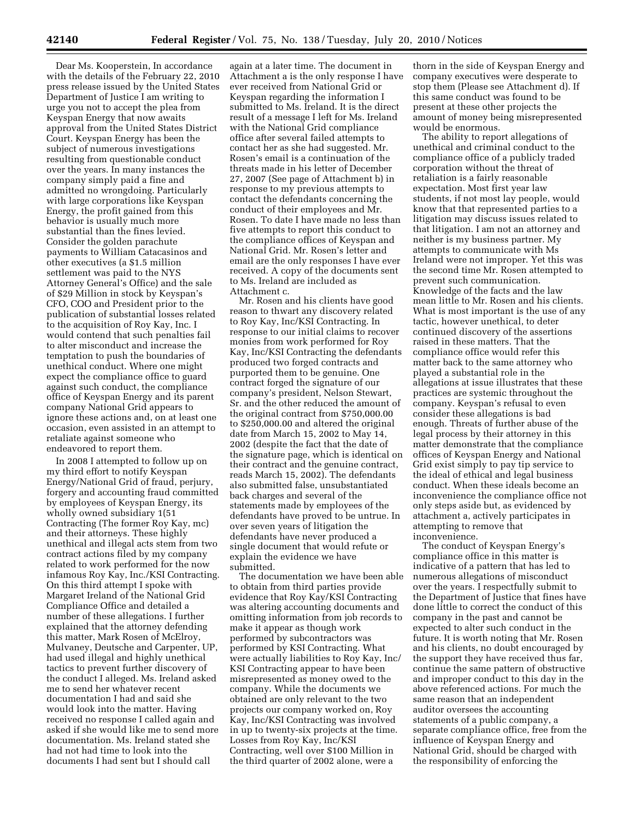Dear Ms. Kooperstein, In accordance with the details of the February 22, 2010 press release issued by the United States Department of Justice I am writing to urge you not to accept the plea from Keyspan Energy that now awaits approval from the United States District Court. Keyspan Energy has been the subject of numerous investigations resulting from questionable conduct over the years. In many instances the company simply paid a fine and admitted no wrongdoing. Particularly with large corporations like Keyspan Energy, the profit gained from this behavior is usually much more substantial than the fines levied. Consider the golden parachute payments to William Catacasinos and other executives (a \$1.5 million settlement was paid to the NYS Attorney General's Office) and the sale of \$29 Million in stock by Keyspan's CFO, COO and President prior to the publication of substantial losses related to the acquisition of Roy Kay, Inc. I would contend that such penalties fail to alter misconduct and increase the temptation to push the boundaries of unethical conduct. Where one might expect the compliance office to guard against such conduct, the compliance office of Keyspan Energy and its parent company National Grid appears to ignore these actions and, on at least one occasion, even assisted in an attempt to retaliate against someone who endeavored to report them.

In 2008 I attempted to follow up on my third effort to notify Keyspan Energy/National Grid of fraud, perjury, forgery and accounting fraud committed by employees of Keyspan Energy, its wholly owned subsidiary 1(51 Contracting (The former Roy Kay, mc) and their attorneys. These highly unethical and illegal acts stem from two contract actions filed by my company related to work performed for the now infamous Roy Kay, Inc./KSI Contracting. On this third attempt I spoke with Margaret Ireland of the National Grid Compliance Office and detailed a number of these allegations. I further explained that the attorney defending this matter, Mark Rosen of McElroy, Mulvaney, Deutsche and Carpenter, UP, had used illegal and highly unethical tactics to prevent further discovery of the conduct I alleged. Ms. Ireland asked me to send her whatever recent documentation I had and said she would look into the matter. Having received no response I called again and asked if she would like me to send more documentation. Ms. Ireland stated she had not had time to look into the documents I had sent but I should call

again at a later time. The document in Attachment a is the only response I have ever received from National Grid or Keyspan regarding the information I submitted to Ms. Ireland. It is the direct result of a message I left for Ms. Ireland with the National Grid compliance office after several failed attempts to contact her as she had suggested. Mr. Rosen's email is a continuation of the threats made in his letter of December 27, 2007 (See page of Attachment b) in response to my previous attempts to contact the defendants concerning the conduct of their employees and Mr. Rosen. To date I have made no less than five attempts to report this conduct to the compliance offices of Keyspan and National Grid. Mr. Rosen's letter and email are the only responses I have ever received. A copy of the documents sent to Ms. Ireland are included as Attachment c.

Mr. Rosen and his clients have good reason to thwart any discovery related to Roy Kay, Inc/KSI Contracting. In response to our initial claims to recover monies from work performed for Roy Kay, Inc/KSI Contracting the defendants produced two forged contracts and purported them to be genuine. One contract forged the signature of our company's president, Nelson Stewart, Sr. and the other reduced the amount of the original contract from \$750,000.00 to \$250,000.00 and altered the original date from March 15, 2002 to May 14, 2002 (despite the fact that the date of the signature page, which is identical on their contract and the genuine contract, reads March 15, 2002). The defendants also submitted false, unsubstantiated back charges and several of the statements made by employees of the defendants have proved to be untrue. In over seven years of litigation the defendants have never produced a single document that would refute or explain the evidence we have submitted.

The documentation we have been able to obtain from third parties provide evidence that Roy Kay/KSI Contracting was altering accounting documents and omitting information from job records to make it appear as though work performed by subcontractors was performed by KSI Contracting. What were actually liabilities to Roy Kay, Inc/ KSI Contracting appear to have been misrepresented as money owed to the company. While the documents we obtained are only relevant to the two projects our company worked on, Roy Kay, Inc/KSI Contracting was involved in up to twenty-six projects at the time. Losses from Roy Kay, Inc/KSI Contracting, well over \$100 Million in the third quarter of 2002 alone, were a

thorn in the side of Keyspan Energy and company executives were desperate to stop them (Please see Attachment d). If this same conduct was found to be present at these other projects the amount of money being misrepresented would be enormous.

The ability to report allegations of unethical and criminal conduct to the compliance office of a publicly traded corporation without the threat of retaliation is a fairly reasonable expectation. Most first year law students, if not most lay people, would know that that represented parties to a litigation may discuss issues related to that litigation. I am not an attorney and neither is my business partner. My attempts to communicate with Ms Ireland were not improper. Yet this was the second time Mr. Rosen attempted to prevent such communication. Knowledge of the facts and the law mean little to Mr. Rosen and his clients. What is most important is the use of any tactic, however unethical, to deter continued discovery of the assertions raised in these matters. That the compliance office would refer this matter back to the same attorney who played a substantial role in the allegations at issue illustrates that these practices are systemic throughout the company. Keyspan's refusal to even consider these allegations is bad enough. Threats of further abuse of the legal process by their attorney in this matter demonstrate that the compliance offices of Keyspan Energy and National Grid exist simply to pay tip service to the ideal of ethical and legal business conduct. When these ideals become an inconvenience the compliance office not only steps aside but, as evidenced by attachment a, actively participates in attempting to remove that inconvenience.

The conduct of Keyspan Energy's compliance office in this matter is indicative of a pattern that has led to numerous allegations of misconduct over the years. I respectfully submit to the Department of Justice that fines have done little to correct the conduct of this company in the past and cannot be expected to alter such conduct in the future. It is worth noting that Mr. Rosen and his clients, no doubt encouraged by the support they have received thus far, continue the same pattern of obstructive and improper conduct to this day in the above referenced actions. For much the same reason that an independent auditor oversees the accounting statements of a public company, a separate compliance office, free from the influence of Keyspan Energy and National Grid, should be charged with the responsibility of enforcing the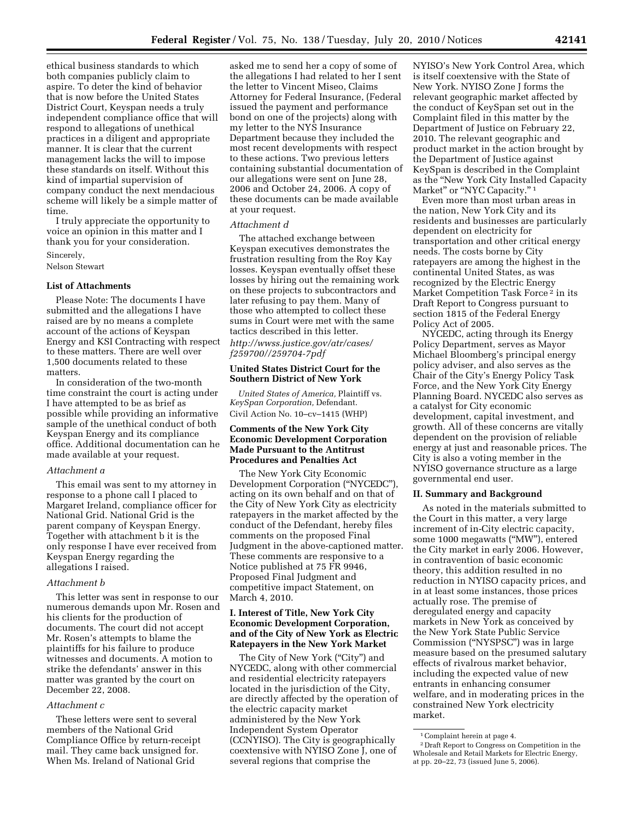ethical business standards to which both companies publicly claim to aspire. To deter the kind of behavior that is now before the United States District Court, Keyspan needs a truly independent compliance office that will respond to allegations of unethical practices in a diligent and appropriate manner. It is clear that the current management lacks the will to impose these standards on itself. Without this kind of impartial supervision of company conduct the next mendacious scheme will likely be a simple matter of time.

I truly appreciate the opportunity to voice an opinion in this matter and I thank you for your consideration.

Sincerely,

Nelson Stewart

## **List of Attachments**

Please Note: The documents I have submitted and the allegations I have raised are by no means a complete account of the actions of Keyspan Energy and KSI Contracting with respect to these matters. There are well over 1,500 documents related to these matters.

In consideration of the two-month time constraint the court is acting under I have attempted to be as brief as possible while providing an informative sample of the unethical conduct of both Keyspan Energy and its compliance office. Additional documentation can he made available at your request.

## *Attachment a*

This email was sent to my attorney in response to a phone call I placed to Margaret Ireland, compliance officer for National Grid. National Grid is the parent company of Keyspan Energy. Together with attachment b it is the only response I have ever received from Keyspan Energy regarding the allegations I raised.

## *Attachment b*

This letter was sent in response to our numerous demands upon Mr. Rosen and his clients for the production of documents. The court did not accept Mr. Rosen's attempts to blame the plaintiffs for his failure to produce witnesses and documents. A motion to strike the defendants' answer in this matter was granted by the court on December 22, 2008.

## *Attachment c*

These letters were sent to several members of the National Grid Compliance Office by return-receipt mail. They came back unsigned for. When Ms. Ireland of National Grid

asked me to send her a copy of some of the allegations I had related to her I sent the letter to Vincent Miseo, Claims Attorney for Federal Insurance, (Federal issued the payment and performance bond on one of the projects) along with my letter to the NYS Insurance Department because they included the most recent developments with respect to these actions. Two previous letters containing substantial documentation of our allegations were sent on June 28, 2006 and October 24, 2006. A copy of these documents can be made available at your request.

#### *Attachment d*

The attached exchange between Keyspan executives demonstrates the frustration resulting from the Roy Kay losses. Keyspan eventually offset these losses by hiring out the remaining work on these projects to subcontractors and later refusing to pay them. Many of those who attempted to collect these sums in Court were met with the same tactics described in this letter. *http://wwss.justice.gov/atr/cases/ f259700//259704-7pdf* 

## **United States District Court for the Southern District of New York**

*United States of America,* Plaintiff vs. *KeySpan Corporation,* Defendant. Civil Action No. 10–cv–1415 (WHP)

## **Comments of the New York City Economic Development Corporation Made Pursuant to the Antitrust Procedures and Penalties Act**

The New York City Economic Development Corporation (''NYCEDC''), acting on its own behalf and on that of the City of New York City as electricity ratepayers in the market affected by the conduct of the Defendant, hereby files comments on the proposed Final Judgment in the above-captioned matter. These comments are responsive to a Notice published at 75 FR 9946, Proposed Final Judgment and competitive impact Statement, on March 4, 2010.

## **I. Interest of Title, New York City Economic Development Corporation, and of the City of New York as Electric Ratepayers in the New York Market**

The City of New York (''City'') and NYCEDC, along with other commercial and residential electricity ratepayers located in the jurisdiction of the City, are directly affected by the operation of the electric capacity market administered by the New York Independent System Operator (CCNYISO). The City is geographically coextensive with NYISO Zone J, one of several regions that comprise the

NYISO's New York Control Area, which is itself coextensive with the State of New York. NYISO Zone J forms the relevant geographic market affected by the conduct of KeySpan set out in the Complaint filed in this matter by the Department of Justice on February 22, 2010. The relevant geographic and product market in the action brought by the Department of Justice against KeySpan is described in the Complaint as the ''New York City Installed Capacity Market" or "NYC Capacity."<sup>1</sup>

Even more than most urban areas in the nation, New York City and its residents and businesses are particularly dependent on electricity for transportation and other critical energy needs. The costs borne by City ratepayers are among the highest in the continental United States, as was recognized by the Electric Energy Market Competition Task Force 2 in its Draft Report to Congress pursuant to section 1815 of the Federal Energy Policy Act of 2005.

NYCEDC, acting through its Energy Policy Department, serves as Mayor Michael Bloomberg's principal energy policy adviser, and also serves as the Chair of the City's Energy Policy Task Force, and the New York City Energy Planning Board. NYCEDC also serves as a catalyst for City economic development, capital investment, and growth. All of these concerns are vitally dependent on the provision of reliable energy at just and reasonable prices. The City is also a voting member in the NYISO governance structure as a large governmental end user.

## **II. Summary and Background**

As noted in the materials submitted to the Court in this matter, a very large increment of in-City electric capacity, some 1000 megawatts (''MW''), entered the City market in early 2006. However, in contravention of basic economic theory, this addition resulted in no reduction in NYISO capacity prices, and in at least some instances, those prices actually rose. The premise of deregulated energy and capacity markets in New York as conceived by the New York State Public Service Commission (''NYSPSC'') was in large measure based on the presumed salutary effects of rivalrous market behavior, including the expected value of new entrants in enhancing consumer welfare, and in moderating prices in the constrained New York electricity market.

<sup>1</sup>Complaint herein at page 4.

<sup>2</sup> Draft Report to Congress on Competition in the Wholesale and Retail Markets for Electric Energy, at pp. 20–22, 73 (issued June 5, 2006).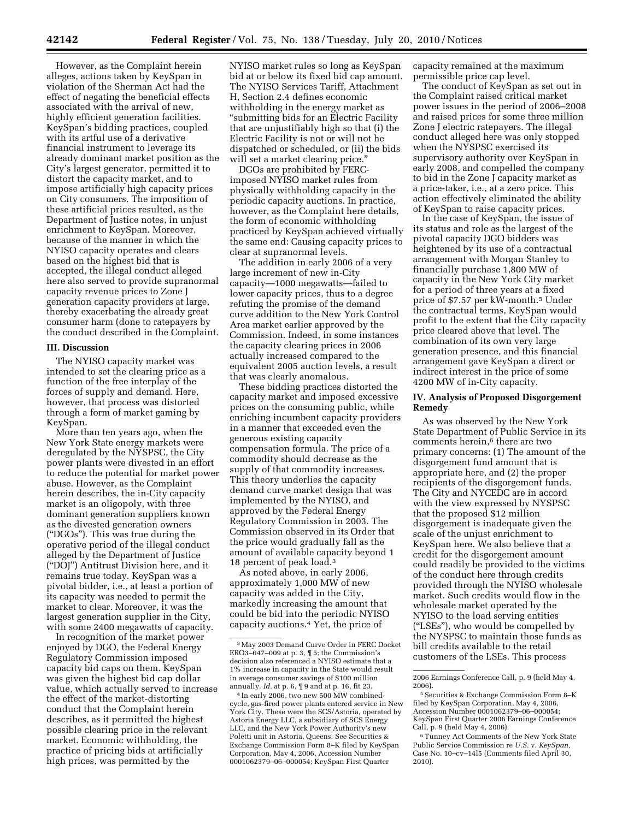However, as the Complaint herein alleges, actions taken by KeySpan in violation of the Sherman Act had the effect of negating the beneficial effects associated with the arrival of new, highly efficient generation facilities. KeySpan's bidding practices, coupled with its artful use of a derivative financial instrument to leverage its already dominant market position as the City's largest generator, permitted it to distort the capacity market, and to impose artificially high capacity prices on City consumers. The imposition of these artificial prices resulted, as the Department of Justice notes, in unjust enrichment to KeySpan. Moreover, because of the manner in which the NYISO capacity operates and clears based on the highest bid that is accepted, the illegal conduct alleged here also served to provide supranormal capacity revenue prices to Zone J generation capacity providers at large, thereby exacerbating the already great consumer harm (done to ratepayers by the conduct described in the Complaint.

## **III. Discussion**

The NYISO capacity market was intended to set the clearing price as a function of the free interplay of the forces of supply and demand. Here, however, that process was distorted through a form of market gaming by KeySpan.

More than ten years ago, when the New York State energy markets were deregulated by the NYSPSC, the City power plants were divested in an effort to reduce the potential for market power abuse. However, as the Complaint herein describes, the in-City capacity market is an oligopoly, with three dominant generation suppliers known as the divested generation owners (''DGOs''). This was true during the operative period of the illegal conduct alleged by the Department of Justice (''DOJ'') Antitrust Division here, and it remains true today. KeySpan was a pivotal bidder, i.e., at least a portion of its capacity was needed to permit the market to clear. Moreover, it was the largest generation supplier in the City, with some 2400 megawatts of capacity.

In recognition of the market power enjoyed by DGO, the Federal Energy Regulatory Commission imposed capacity bid caps on them. KeySpan was given the highest bid cap dollar value, which actually served to increase the effect of the market-distorting conduct that the Complaint herein describes, as it permitted the highest possible clearing price in the relevant market. Economic withholding, the practice of pricing bids at artificially high prices, was permitted by the

NYISO market rules so long as KeySpan bid at or below its fixed bid cap amount. The NYISO Services Tariff, Attachment H, Section 2.4 defines economic withholding in the energy market as ''submitting bids for an Electric Facility that are unjustifiably high so that (i) the Electric Facility is not or will not he dispatched or scheduled, or (ii) the bids will set a market clearing price."

DGOs are prohibited by FERCimposed NYISO market rules from physically withholding capacity in the periodic capacity auctions. In practice, however, as the Complaint here details, the form of economic withholding practiced by KeySpan achieved virtually the same end: Causing capacity prices to clear at supranormal levels.

The addition in early 2006 of a very large increment of new in-City capacity—1000 megawatts—failed to lower capacity prices, thus to a degree refuting the promise of the demand curve addition to the New York Control Area market earlier approved by the Commission. Indeed, in some instances the capacity clearing prices in 2006 actually increased compared to the equivalent 2005 auction levels, a result that was clearly anomalous.

These bidding practices distorted the capacity market and imposed excessive prices on the consuming public, while enriching incumbent capacity providers in a manner that exceeded even the generous existing capacity compensation formula. The price of a commodity should decrease as the supply of that commodity increases. This theory underlies the capacity demand curve market design that was implemented by the NYISO, and approved by the Federal Energy Regulatory Commission in 2003. The Commission observed in its Order that the price would gradually fall as the amount of available capacity beyond 1 18 percent of peak load.3

As noted above, in early 2006, approximately 1,000 MW of new capacity was added in the City, markedly increasing the amount that could be bid into the periodic NYISO capacity auctions.4 Yet, the price of

capacity remained at the maximum permissible price cap level.

The conduct of KeySpan as set out in the Complaint raised critical market power issues in the period of 2006–2008 and raised prices for some three million Zone J electric ratepayers. The illegal conduct alleged here was only stopped when the NYSPSC exercised its supervisory authority over KeySpan in early 2008, and compelled the company to bid in the Zone J capacity market as a price-taker, i.e., at a zero price. This action effectively eliminated the ability of KeySpan to raise capacity prices.

In the case of KeySpan, the issue of its status and role as the largest of the pivotal capacity DGO bidders was heightened by its use of a contractual arrangement with Morgan Stanley to financially purchase 1,800 MW of capacity in the New York City market for a period of three years at a fixed price of \$7.57 per kW-month.5 Under the contractual terms, KeySpan would profit to the extent that the City capacity price cleared above that level. The combination of its own very large generation presence, and this financial arrangement gave KeySpan a direct or indirect interest in the price of some 4200 MW of in-City capacity.

## **IV. Analysis of Proposed Disgorgement Remedy**

As was observed by the New York State Department of Public Service in its comments herein,<sup>6</sup> there are two primary concerns: (1) The amount of the disgorgement fund amount that is appropriate here, and (2) the proper recipients of the disgorgement funds. The City and NYCEDC are in accord with the view expressed by NYSPSC that the proposed \$12 million disgorgement is inadequate given the scale of the unjust enrichment to KeySpan here. We also believe that a credit for the disgorgement amount could readily be provided to the victims of the conduct here through credits provided through the NYISO wholesale market. Such credits would flow in the wholesale market operated by the NYISO to the load serving entities (''LSEs''), who would be compelled by the NYSPSC to maintain those funds as bill credits available to the retail customers of the LSEs. This process

<sup>3</sup>May 2003 Demand Curve Order in FERC Docket ERO3–647–009 at p. 3, ¶ 5; the Commission's decision also referenced a NYISO estimate that a 1% increase in capacity in the State would result in average consumer savings of \$100 million annually. *Id.* at p. 6, ¶ 9 and at p. 16, fit 23.

<sup>4</sup> In early 2006, two new 500 MW combinedcycle, gas-fired power plants entered service in New York City. These were the SCS/Astoria, operated by Astoria Energy LLC, a subsidiary of SCS Energy LLC, and the New York Power Authority's new Poletti unit in Astoria, Queens. See Securities & Exchange Commission Form 8–K filed by KeySpan Corporation, May 4, 2006, Accession Number 0001062379–06–000054; KeySpan First Quarter

<sup>2006</sup> Earnings Conference Call, p. 9 (held May 4, 2006).

<sup>5</sup>Securities & Exchange Commission Form 8–K filed by KeySpan Corporation, May 4, 2006, Accession Number 0001062379–06–000054; KeySpan First Quarter 2006 Earnings Conference Call, p. 9 (held May 4, 2006).

<sup>6</sup>Tunney Act Comments of the New York State Public Service Commission re *U.S.* v. *KeySpan,*  Case No. 10–cv–14l5 (Comments filed April 30, 2010).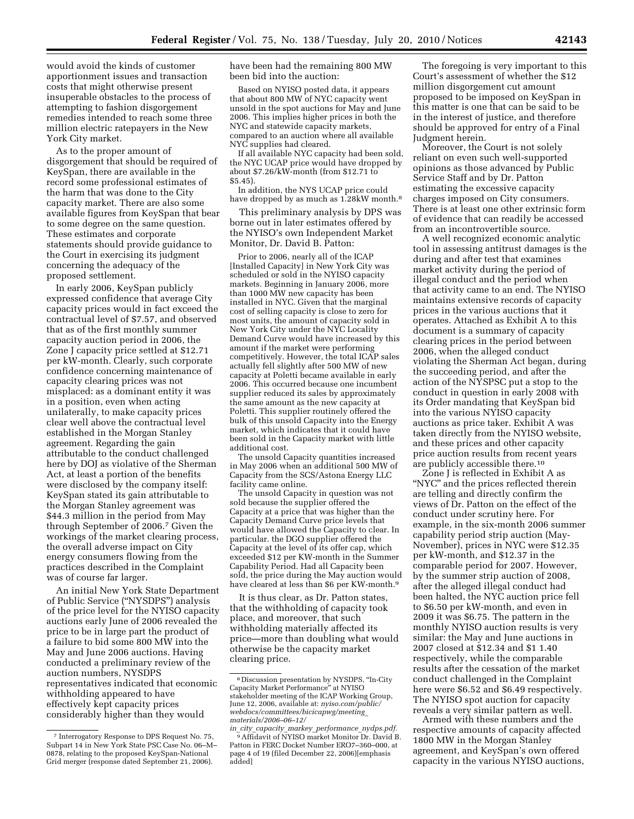would avoid the kinds of customer apportionment issues and transaction costs that might otherwise present insuperable obstacles to the process of attempting to fashion disgorgement remedies intended to reach some three million electric ratepayers in the New York City market.

As to the proper amount of disgorgement that should be required of KeySpan, there are available in the record some professional estimates of the harm that was done to the City capacity market. There are also some available figures from KeySpan that bear to some degree on the same question. These estimates and corporate statements should provide guidance to the Court in exercising its judgment concerning the adequacy of the proposed settlement.

In early 2006, KeySpan publicly expressed confidence that average City capacity prices would in fact exceed the contractual level of \$7.57, and observed that as of the first monthly summer capacity auction period in 2006, the Zone J capacity price settled at \$12.71 per kW-month. Clearly, such corporate confidence concerning maintenance of capacity clearing prices was not misplaced: as a dominant entity it was in a position, even when acting unilaterally, to make capacity prices clear well above the contractual level established in the Morgan Stanley agreement. Regarding the gain attributable to the conduct challenged here by DOJ as violative of the Sherman Act, at least a portion of the benefits were disclosed by the company itself: KeySpan stated its gain attributable to the Morgan Stanley agreement was \$44.3 million in the period from May through September of 2006.7 Given the workings of the market clearing process, the overall adverse impact on City energy consumers flowing from the practices described in the Complaint was of course far larger.

An initial New York State Department of Public Service (''NYSDPS'') analysis of the price level for the NYISO capacity auctions early June of 2006 revealed the price to be in large part the product of a failure to bid some 800 MW into the May and June 2006 auctions. Having conducted a preliminary review of the auction numbers, NYSDPS representatives indicated that economic withholding appeared to have effectively kept capacity prices considerably higher than they would

have been had the remaining 800 MW been bid into the auction:

Based on NYISO posted data, it appears that about 800 MW of NYC capacity went unsold in the spot auctions for May and June 2006. This implies higher prices in both the NYC and statewide capacity markets, compared to an auction where all available NYC supplies had cleared.

If all available NYC capacity had been sold, the NYC UCAP price would have dropped by about \$7.26/kW-month (from \$12.71 to \$5.45).

In addition, the NYS UCAP price could have dropped by as much as  $1.28$ kW month.<sup>8</sup>

This preliminary analysis by DPS was borne out in later estimates offered by the NYISO's own Independent Market Monitor, Dr. David B. Patton:

Prior to 2006, nearly all of the ICAP [Installed Capacity] in New York City was scheduled or sold in the NYISO capacity markets. Beginning in January 2006, more than 1000 MW new capacity has been installed in NYC. Given that the marginal cost of selling capacity is close to zero for most units, the amount of capacity sold in New York City under the NYC Locality Demand Curve would have increased by this amount if the market were performing competitively. However, the total ICAP sales actually fell slightly after 500 MW of new capacity at Poletti became available in early 2006. This occurred because one incumbent supplier reduced its sales by approximately the same amount as the new capacity at Poletti. This supplier routinely offered the bulk of this unsold Capacity into the Energy market, which indicates that it could have been sold in the Capacity market with little additional cost.

The unsold Capacity quantities increased in May 2006 when an additional 500 MW of Capacity from the SCS/Astona Energy LLC facility came online.

The unsold Capacity in question was not sold because the supplier offered the Capacity at a price that was higher than the Capacity Demand Curve price levels that would have allowed the Capacity to clear. In particular. the DGO supplier offered the Capacity at the level of its offer cap, which exceeded \$12 per KW-month in the Summer Capability Period. Had all Capacity been sold, the price during the May auction would have cleared at less than \$6 per KW-month.<sup>9</sup>

It is thus clear, as Dr. Patton states, that the withholding of capacity took place, and moreover, that such withholding materially affected its price—more than doubling what would otherwise be the capacity market clearing price.

The foregoing is very important to this Court's assessment of whether the \$12 million disgorgement cut amount proposed to be imposed on KeySpan in this matter is one that can be said to be in the interest of justice, and therefore should be approved for entry of a Final Judgment herein.

Moreover, the Court is not solely reliant on even such well-supported opinions as those advanced by Public Service Staff and by Dr. Patton estimating the excessive capacity charges imposed on City consumers. There is at least one other extrinsic form of evidence that can readily be accessed from an incontrovertible source.

A well recognized economic analytic tool in assessing antitrust damages is the during and after test that examines market activity during the period of illegal conduct and the period when that activity came to an end. The NYISO maintains extensive records of capacity prices in the various auctions that it operates. Attached as Exhibit A to this document is a summary of capacity clearing prices in the period between 2006, when the alleged conduct violating the Sherman Act began, during the succeeding period, and after the action of the NYSPSC put a stop to the conduct in question in early 2008 with its Order mandating that KeySpan bid into the various NYISO capacity auctions as price taker. Exhibit A was taken directly from the NYISO website, and these prices and other capacity price auction results from recent years are publicly accessible there.10

Zone J is reflected in Exhibit A as ''NYC'' and the prices reflected therein are telling and directly confirm the views of Dr. Patton on the effect of the conduct under scrutiny here. For example, in the six-month 2006 summer capability period strip auction (May-November), prices in NYC were \$12.35 per kW-month, and \$12.37 in the comparable period for 2007. However, by the summer strip auction of 2008, after the alleged illegal conduct had been halted, the NYC auction price fell to \$6.50 per kW-month, and even in 2009 it was \$6.75. The pattern in the monthly NYISO auction results is very similar: the May and June auctions in 2007 closed at \$12.34 and \$1 1.40 respectively, while the comparable results after the cessation of the market conduct challenged in the Complaint here were \$6.52 and \$6.49 respectively. The NYISO spot auction for capacity reveals a very similar pattern as well.

Armed with these numbers and the respective amounts of capacity affected 1800 MW in the Morgan Stanley agreement, and KeySpan's own offered capacity in the various NYISO auctions,

<sup>7</sup> Interrogatory Response to DPS Request No. 75, Subpart 14 in New York State PSC Case No. 06–M– 0878, relating to the proposed KeySpan-National Grid merger (response dated September 21, 2006).

<sup>8</sup> Discussion presentation by NYSDPS, ''In-City Capacity Market Performance'' at NYISO stakeholder meeting of the ICAP Working Group, June 12, 2006, available at: *nyiso.com/public/ webdocs/committees/bicicapwg/meeting*\_ *materials/2006–06–12/* 

*in*\_*city*\_*capacity*\_*markey*\_*performance*\_*nydps.pdf.* 9Affidavit of NYISO market Monitor Dr. David B. Patton in FERC Docket Number ERO7–360–000, at page 4 of 19 (filed December 22, 2006)[emphasis added]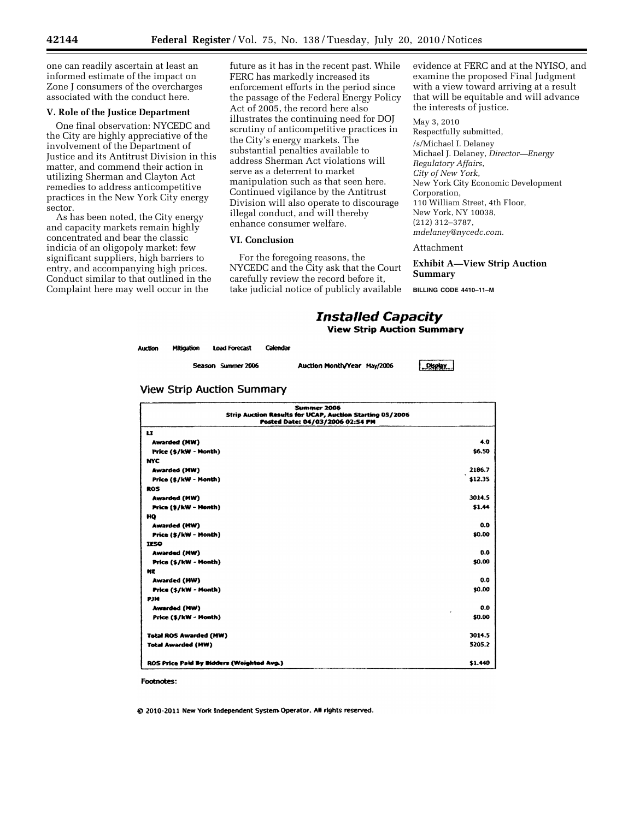one can readily ascertain at least an informed estimate of the impact on Zone J consumers of the overcharges associated with the conduct here.

## **V. Role of the Justice Department**

One final observation: NYCEDC and the City are highly appreciative of the involvement of the Department of Justice and its Antitrust Division in this matter, and commend their action in utilizing Sherman and Clayton Act remedies to address anticompetitive practices in the New York City energy sector.

As has been noted, the City energy and capacity markets remain highly concentrated and bear the classic indicia of an oligopoly market: few significant suppliers, high barriers to entry, and accompanying high prices. Conduct similar to that outlined in the Complaint here may well occur in the

future as it has in the recent past. While FERC has markedly increased its enforcement efforts in the period since the passage of the Federal Energy Policy Act of 2005, the record here also illustrates the continuing need for DOJ scrutiny of anticompetitive practices in the City's energy markets. The substantial penalties available to address Sherman Act violations will serve as a deterrent to market manipulation such as that seen here. Continued vigilance by the Antitrust Division will also operate to discourage illegal conduct, and will thereby enhance consumer welfare.

## **VI. Conclusion**

For the foregoing reasons, the NYCEDC and the City ask that the Court carefully review the record before it, take judicial notice of publicly available

evidence at FERC and at the NYISO, and examine the proposed Final Judgment with a view toward arriving at a result that will be equitable and will advance the interests of justice.

May 3, 2010 Respectfully submitted, /s/Michael I. Delaney Michael J. Delaney, *Director—Energy Regulatory Affairs*, *City of New York*, New York City Economic Development Corporation, 110 William Street, 4th Floor, New York, NY 10038, (212) 312–3787, *mdelaney@nycedc.com.* 

#### Attachment

**Exhibit A—View Strip Auction Summary** 

**BILLING CODE 4410–11–M** 

## *Installed Capacity* **View Strip Auction Summary**

| luction | <b>Mitigation</b> | <b>Load Forecast</b> | Calendar |
|---------|-------------------|----------------------|----------|
|         |                   |                      |          |

Season Summer 2006

Auction Month/Year May/2006

Display

|  |  | View Strip Auction Summary |
|--|--|----------------------------|
|  |  |                            |

| Summer 2006<br>Strip Auction Results for UCAP, Auction Starting 05/2006<br>Posted Date: 04/03/2006 02:54 PM |         |
|-------------------------------------------------------------------------------------------------------------|---------|
| u                                                                                                           |         |
| <b>Awarded (MW)</b>                                                                                         | 4.0     |
| Price (\$/kW - Month)                                                                                       | \$6.50  |
| <b>NYC</b>                                                                                                  |         |
| <b>Awarded (MW)</b>                                                                                         | 2186.7  |
| Price (\$/kW - Month)                                                                                       | \$12.35 |
| ROS                                                                                                         |         |
| <b>Awarded (MW)</b>                                                                                         | 3014.5  |
| Price (\$/kW - Month)                                                                                       | \$1.44  |
| HO                                                                                                          |         |
| <b>Awarded (HW)</b>                                                                                         | 0.0     |
| Price (\$/kW - Month)                                                                                       | \$0.00  |
| <b>IESO</b>                                                                                                 |         |
| <b>Awarded (MW)</b>                                                                                         | 0.0     |
| Price (\$/kW - Month)                                                                                       | \$0.00  |
| NE                                                                                                          |         |
| <b>Awarded (HW)</b>                                                                                         | 0.0     |
| Price (\$/kW - Month)                                                                                       | \$0.00  |
| <b>P316</b>                                                                                                 |         |
| Awarded (MW)                                                                                                | 0.0     |
| Price (\$/kW - Month)                                                                                       | \$0.00  |
| <b>Total ROS Awarded (MW)</b>                                                                               | 3014.5  |
| <b>Total Awarded (HW)</b>                                                                                   | 3205.2  |
| ROS Price Paid By Bidders (Weighted Avg.)                                                                   | \$1.440 |

**Footnotes:** 

@ 2010-2011 New York Independent System Operator, All rights reserved.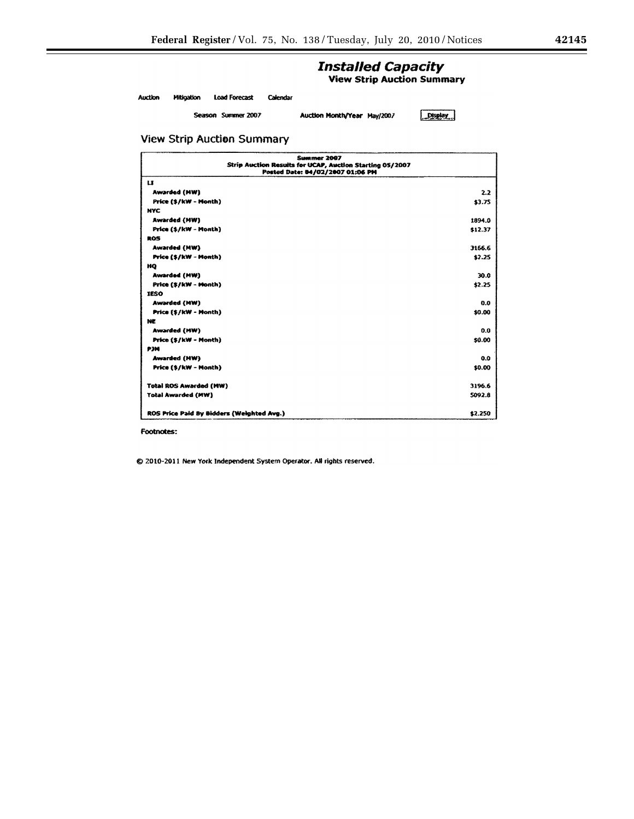# **Installed Capacity**

**View Strip Auction Summary** 

Auction Mitigation Load Forecast Calendar

Season Summer 2007

Auction Month/Year May/2007

 $Dspby$ 

## **View Strip Auction Summary**

| Summer 2007<br>Strip Auction Results for UCAP, Auction Starting 05/2007<br>Posted Date: 04/02/2007 01:06 PM |         |
|-------------------------------------------------------------------------------------------------------------|---------|
| ш                                                                                                           |         |
| Awarded (MW)                                                                                                | 2.2     |
| Price (\$/kW - Month)                                                                                       | \$3.75  |
| <b>NYC</b>                                                                                                  |         |
| <b>Awarded (MW)</b>                                                                                         | 1894.0  |
| Price (\$/kW - Month)                                                                                       | \$12.37 |
| ROS                                                                                                         |         |
| <b>Awarded (MW)</b>                                                                                         | 3166.6  |
| Price (\$/kW - Month)                                                                                       | \$2.25  |
| HO                                                                                                          |         |
| <b>Awarded (MW)</b>                                                                                         | 30.0    |
| Price (\$/kW - Month)                                                                                       | \$2.25  |
| <b>IESO</b>                                                                                                 |         |
| <b>Awarded (MW)</b>                                                                                         | 0.0     |
| Price (\$/kW - Month)                                                                                       | \$0.00  |
| NE                                                                                                          |         |
| Awarded (MW)                                                                                                | 0.0     |
| Price (\$/kW - Month)                                                                                       | \$0.00  |
| <b>P3N</b>                                                                                                  |         |
| Awarded (HW)                                                                                                | 0.0     |
| Price (\$/kW - Month)                                                                                       | \$0.00  |
| <b>Total ROS Awarded (MW)</b>                                                                               | 3196.6  |
| <b>Total Awarded (MW)</b>                                                                                   | 5092.8  |
| ROS Price Paid By Bidders (Weighted Avg.)                                                                   | \$2.250 |

Footnotes:

© 2010-2011 New York Independent System Operator. All rights reserved.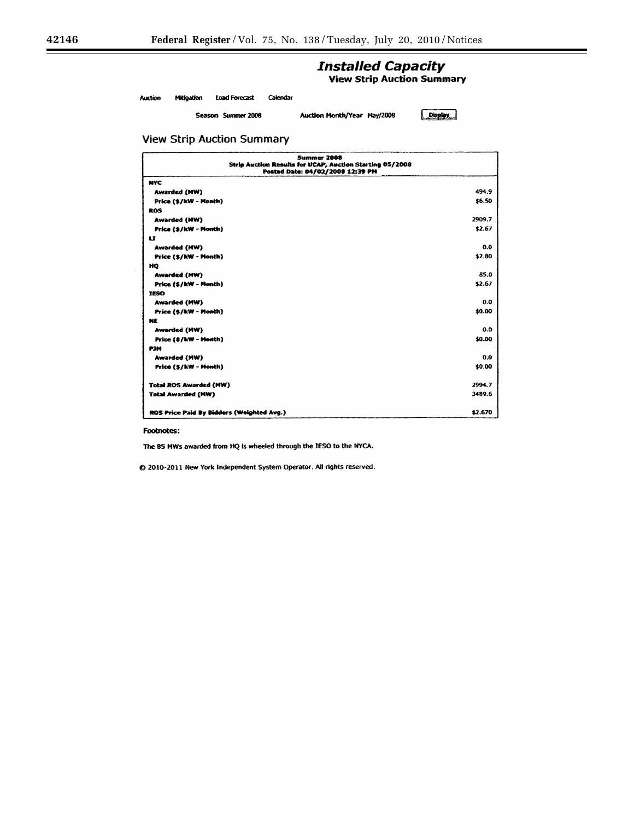# **Installed Capacity**

**View Strip Auction Summary** 

Mikigation Load Forecast Calendar Auction

Season Summer 2008

Auction Month/Year May/2008

 $[$  Display

## **View Strip Auction Summary**

|                                           | <b>Summer 2008</b><br>Strip Auction Results for UCAP, Auction Starting 05/2008<br>Posted Date: 04/02/2008 12:39 PM |         |
|-------------------------------------------|--------------------------------------------------------------------------------------------------------------------|---------|
| <b>NYC</b>                                |                                                                                                                    |         |
| <b>Awarded (MW)</b>                       |                                                                                                                    | 494.9   |
| Price (\$/kW - Honth)                     |                                                                                                                    | \$6.50  |
| ROS                                       |                                                                                                                    |         |
| <b>Awarded (MW)</b>                       |                                                                                                                    | 2909.7  |
| Price (\$/kW - Month)                     |                                                                                                                    | \$2.67  |
| u                                         |                                                                                                                    |         |
| Awarded (MW)                              |                                                                                                                    | 0.0     |
| Price (\$/kW - Month)                     |                                                                                                                    | \$2.80  |
| HQ                                        |                                                                                                                    |         |
| Awarded (MW)                              |                                                                                                                    | 85.0    |
| Price (\$/kW - Month)                     |                                                                                                                    | \$2.67  |
| <b>TESO</b>                               |                                                                                                                    |         |
| Awarded (MW)                              |                                                                                                                    | 0.0     |
| Price (\$/kW - Month)                     |                                                                                                                    | \$0.00  |
| <b>NE</b>                                 |                                                                                                                    |         |
| Awarded (MW)                              |                                                                                                                    | 0.0     |
| Price (\$/kW - Honth)                     |                                                                                                                    | \$0.00  |
| <b>P3N</b>                                |                                                                                                                    |         |
| <b>Awarded (MW)</b>                       |                                                                                                                    | 0.0     |
| Price (\$/kW - Month)                     |                                                                                                                    | \$0.00  |
| <b>Total ROS Awarded (MW)</b>             |                                                                                                                    | 2994.7  |
| <b>Total Awarded (MW)</b>                 |                                                                                                                    | 3489.6  |
| ROS Price Paid By Bidders (Weighted Avg.) |                                                                                                                    | \$2.670 |

Footnotes:

The 85 MWs awarded from HQ is wheeled through the JESO to the NYCA.

@ 2010-2011 New York Independent System Operator. All rights reserved.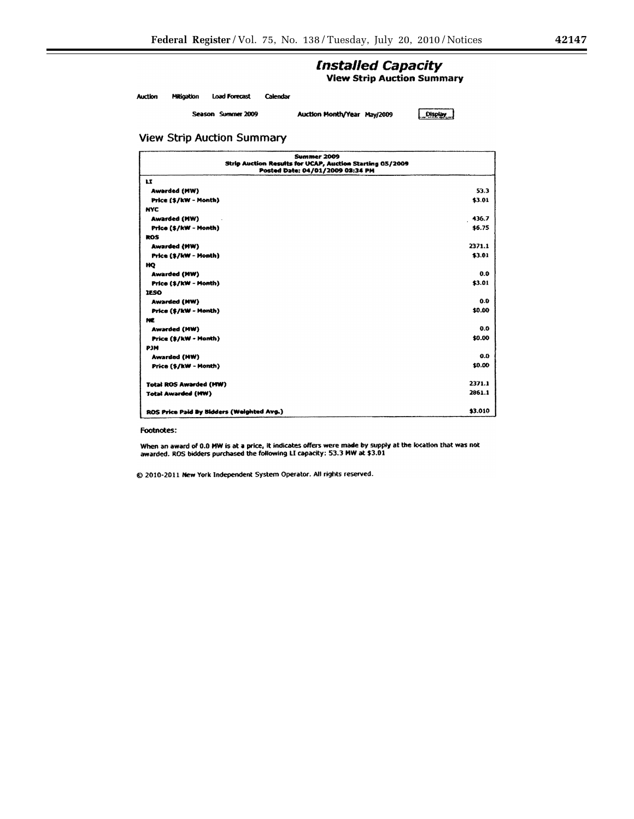۰

# **Installed Capacity**

**View Strip Auction Summary** 

**Load Forecast** Calendar **Auction** Mitigation

Season Summer 2009

Auction Month/Year May/2009

 $Dispky$ 

## **View Strip Auction Summary**

| Summer 2009<br>Strip Auction Results for UCAP, Auction Starting 05/2009<br>Posted Date: 04/01/2009 03:34 PM |         |
|-------------------------------------------------------------------------------------------------------------|---------|
| u                                                                                                           |         |
| <b>Awarded (MW)</b>                                                                                         | 53.3    |
| Price (\$/kW - Month)                                                                                       | \$3.01  |
| <b>NYC</b>                                                                                                  |         |
| <b>Awarded (MW)</b>                                                                                         | 436.7   |
| Price (\$/kW - Month)                                                                                       | \$5.75  |
| ROS                                                                                                         |         |
| Awarded (MW)                                                                                                | 2371.1  |
| Price (\$/kW - Month)                                                                                       | \$3.01  |
| HQ                                                                                                          |         |
| <b>Awarded (MW)</b>                                                                                         | 0.0     |
| Price (\$/kW - Month)                                                                                       | \$3.01  |
| <b>IESO</b>                                                                                                 |         |
| <b>Awarded (MW)</b>                                                                                         | 0.0     |
| Price (\$/kW - Month)                                                                                       | \$0.00  |
| NE                                                                                                          |         |
| <b>Awarded (MW)</b>                                                                                         | 0.0     |
| Price (\$/kW - Month)                                                                                       | \$0.00  |
| PJM                                                                                                         |         |
| Awarded (NW)                                                                                                | 0.0     |
| Price (\$/kW - Month)                                                                                       | \$0.00  |
| <b>Total ROS Awarded (MW)</b>                                                                               | 2371.1  |
| <b>Total Awarded (MW)</b>                                                                                   | 2861.1  |
| ROS Price Paid By Bidders (Weighted Avg.)                                                                   | \$3.010 |

#### Footnotes:

When an award of 0.0 MW is at a price, it indicates offers were made by supply at the location that was not awarded. ROS bidders purchased the following LI capacity: 53.3 MW at \$3.01

@ 2010-2011 New York Independent System Operator. All rights reserved.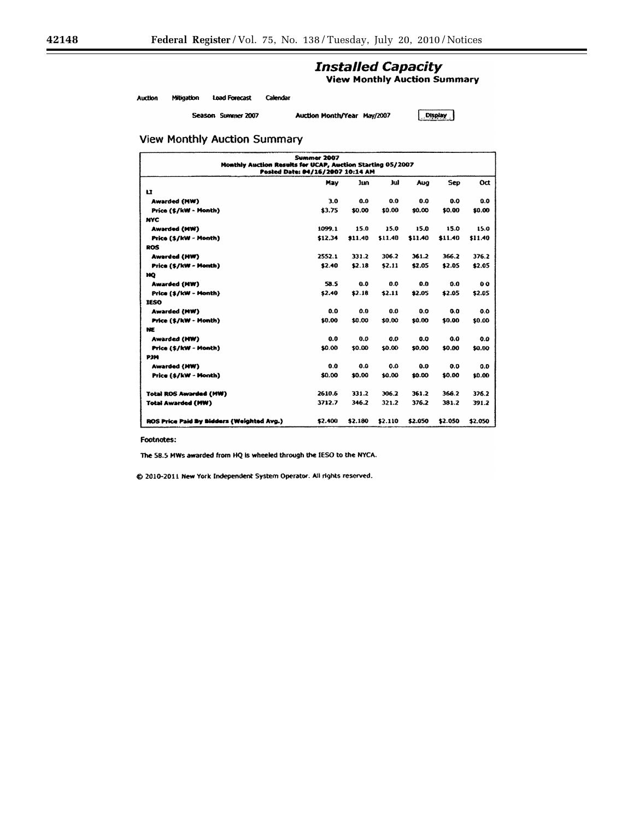# **Installed Capacity**

**View Monthly Auction Summary** 

Auction Mitigation **Load Forecast** Calendar

Season Summer 2007

Auction Month/Year May/2007

 $\boxed{\overline{O}}$  Display

## **View Monthly Auction Summary**

| Summer 2007<br>Monthly Auction Results for UCAP, Auction Starting 05/2007<br>Posted Date: 04/16/2007 10:14 AM |         |         |         |         |         |                |  |  |  |  |
|---------------------------------------------------------------------------------------------------------------|---------|---------|---------|---------|---------|----------------|--|--|--|--|
| Sep<br>Oct<br>lim<br>юł<br>Aug<br>May                                                                         |         |         |         |         |         |                |  |  |  |  |
| $\mathbf{u}$                                                                                                  |         |         |         |         |         |                |  |  |  |  |
| <b>Awarded (MW)</b>                                                                                           | 3.0     | 0.0     | 0.0     | 0.0     | 0.0     | 0.0            |  |  |  |  |
| Price (\$/kW - Month)                                                                                         | \$3.75  | \$0.00  | \$0.00  | \$0.00  | \$0.00  | \$0.00         |  |  |  |  |
| <b>NYC</b>                                                                                                    |         |         |         |         |         |                |  |  |  |  |
| Awarded (MW)                                                                                                  | 1099.1  | 15.0    | 15.0    | 15.0    | 15.0    | 15.0           |  |  |  |  |
| Price (\$/kW - Month)                                                                                         | \$12.34 | \$11.40 | \$11.40 | \$11.40 | \$11.40 | \$11.40        |  |  |  |  |
| <b>ROS</b>                                                                                                    |         |         |         |         |         |                |  |  |  |  |
| <b>Awarded (HW)</b>                                                                                           | 2552.1  | 331.2   | 306.2   | 361.2   | 366.2   | 376.2          |  |  |  |  |
| Price (\$/kW - Month)                                                                                         | \$2.40  | \$2.18  | \$2.11  | \$2.05  | \$2.05  | \$2.05         |  |  |  |  |
| ĦО                                                                                                            |         |         |         |         |         |                |  |  |  |  |
| <b>Awarded (MW)</b>                                                                                           | 58.5    | 0.0     | 0.0     | 0.0     | 0.0     | 0 <sub>0</sub> |  |  |  |  |
| Price (\$/kW - Month)                                                                                         | \$2.40  | \$2.18  | \$2.11  | \$2.05  | \$2.05  | \$2.05         |  |  |  |  |
| <b>IESO</b>                                                                                                   |         |         |         |         |         |                |  |  |  |  |
| Awarded (MW)                                                                                                  | 0.0     | 0.0     | 0.0     | 0.0     | 0.0     | 0.0            |  |  |  |  |
| Price (\$/kW - Month)                                                                                         | \$0.00  | \$0.00  | \$0.00  | \$0.00  | \$0.00  | \$0.00         |  |  |  |  |
| NE                                                                                                            |         |         |         |         |         |                |  |  |  |  |
| Awarded (NW)                                                                                                  | 0.0     | 0.0     | 0.0     | 0.0     | 0.0     | 0.0            |  |  |  |  |
| Price (\$/kW - Month)                                                                                         | \$0.00  | \$0.00  | \$0.00  | \$0.00  | \$0.00  | \$0.00         |  |  |  |  |
| <b>PH4</b>                                                                                                    |         |         |         |         |         |                |  |  |  |  |
| <b>Awarded (HW)</b>                                                                                           | 0.0     | 0.0     | 0.0     | 0.0     | 0.0     | 0.0            |  |  |  |  |
| Price (\$/kW - Month)                                                                                         | \$0.00  | \$0.00  | \$0.00  | \$0.00  | \$0.00  | \$0.00         |  |  |  |  |
| <b>Total ROS Awarded (MW)</b>                                                                                 | 2610.6  | 331.2   | 306.2   | 361.2   | 366.2   | 376.2          |  |  |  |  |
| Total Awarded (MW)                                                                                            | 3712.7  | 346.2   | 321.2   | 376.2   | 381.2   | 391.2          |  |  |  |  |
| ROS Price Paid By Bidders (Weighted Avg.)                                                                     | \$2.400 | \$2.180 | \$2.110 | \$2.050 | \$2.050 | \$2.050        |  |  |  |  |

Footnotes:

The 58.5 MWs awarded from HQ is wheeled through the IESO to the NYCA.

C 2010-2011 New York Independent System Operator. All rights reserved.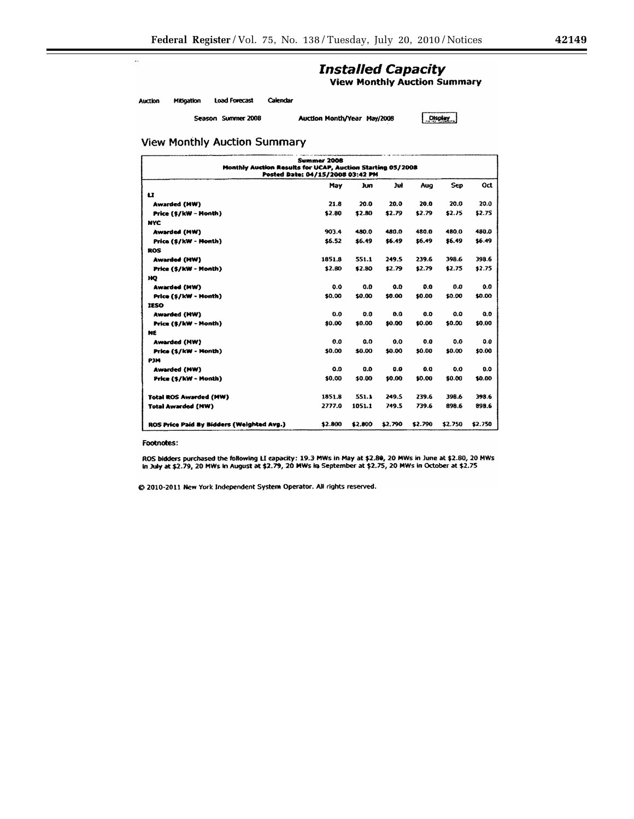۰

# **Installed Capacity**<br>View Monthly Auction Summary

Auction Mitigation Load Forecast Calendar

Season Summer 2008

Auction Month/Year May/2008

Display

**View Monthly Auction Summary** 

| Summer 2008<br>Monthly Austion Results for UCAP, Auction Starting 05/2008<br>Posted Date: 04/15/2008 03:42 PM |         |         |         |         |            |         |
|---------------------------------------------------------------------------------------------------------------|---------|---------|---------|---------|------------|---------|
|                                                                                                               | May     | km      | Jul     | Aug     | <b>Sep</b> | Oct     |
| $\mathbf{u}$                                                                                                  |         |         |         |         |            |         |
| <b>Awarded (MW)</b>                                                                                           | 21.8    | 20.0    | 20.0    | 20.0    | 20.0       | 20.0    |
| Price (\$/kW - Month)                                                                                         | \$2.80  | \$2.80  | \$2.79  | \$2.79  | \$2.75     | \$2.75  |
| <b>NYC</b>                                                                                                    |         |         |         |         |            |         |
| Awarded (MW)                                                                                                  | 903.4   | 480.0   | 480.0   | 480.0   | 480.0      | 480.0   |
| Price (\$/kW - Month)                                                                                         | \$6.52  | \$6.49  | \$5.49  | \$6.49  | \$6.49     | \$6.49  |
| ROS                                                                                                           |         |         |         |         |            |         |
| <b>Awarded (HW)</b>                                                                                           | 1851.8  | 551.1   | 249.5   | 239.6   | 398.6      | 398.6   |
| Price (\$/kW - Month)                                                                                         | \$2.80  | \$2.80  | \$2.79  | \$2.79  | \$2.75     | \$2.75  |
| HO                                                                                                            |         |         |         |         |            |         |
| Awarded (MW)                                                                                                  | 0.0     | 0.0     | 0.0     | 0.0     | 0.0        | 0.0     |
| Price (\$/kW - Month)                                                                                         | \$0.00  | \$0.00  | \$0.00  | \$0.00  | \$0.00     | \$0.00  |
| <b>TESO</b>                                                                                                   |         |         |         |         |            |         |
| <b>Awarded (HW)</b>                                                                                           | 0.0     | 0.0     | 0.0     | 0.0     | 0.0        | 0.0     |
| Price (\$/kW - Month)                                                                                         | \$0.00  | \$0.00  | \$0.00  | \$0.00  | \$0.00     | \$0.00  |
| NE                                                                                                            |         |         |         |         |            |         |
| <b>Awarded (MW)</b>                                                                                           | 0.0     | 0.0     | 0.0     | 0.0     | 0.0        | 0.0     |
| Price (\$/kW - Month)                                                                                         | \$0.00  | \$0.00  | \$0.00  | \$0.00  | \$0.00     | \$0.00  |
| P3M                                                                                                           |         |         |         |         |            |         |
| <b>Awarded (MW)</b>                                                                                           | 0.0     | 0.0     | 0.0     | 0.0     | 0.0        | 0.0     |
| Price (\$/kW - Month)                                                                                         | \$0.00  | \$0.00  | \$0.00  | \$0.00  | \$0.00     | \$0.00  |
| <b>Total ROS Awarded (MW)</b>                                                                                 | 1851.8  | 551.1   | 249.5   | 239.6   | 398.6      | 398.6   |
| <b>Total Awarded (NW)</b>                                                                                     | 2777.0  | 1051.1  | 749.5   | 739.6   | 898.6      | 898.6   |
| ROS Price Paid By Bidders (Weighted Avg.)                                                                     | \$2,800 | \$2.800 | \$2.790 | \$2.790 | \$2.750    | \$2.750 |

Footnotes:

ROS bidders purchased the following LI capacity: 19.3 MWs in May at \$2.80, 20 MWs in June at \$2.80, 20 MWs<br>in July at \$2.79, 20 MWs in August at \$2.79, 20 MWs in September at \$2.75, 20 MWs in October at \$2.75

@ 2010-2011 New York Independent System Operator. All rights reserved.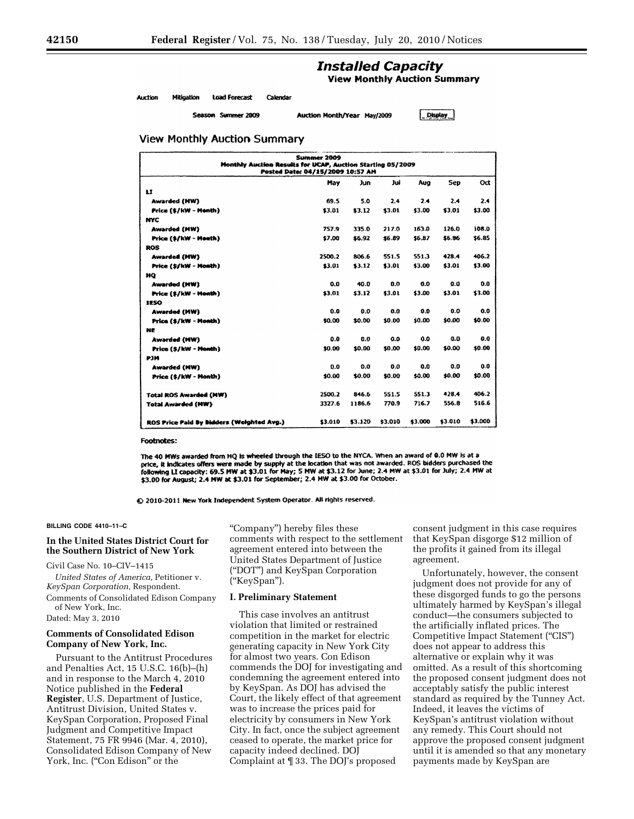# **Installed Capacity**

**View Monthly Auction Summary** 

Auction Mitination **Load Forecast** Calendar

Season Summer 2009

Auction Month/Year May/2009

Display

## **View Monthly Auction Summary**

| <b>Summer 2009</b><br>Monthly Auction Results for UCAP, Auction Starting 05/2009<br>Posted Date: 04/15/2009 10:57 AM |         |         |         |         |         |         |
|----------------------------------------------------------------------------------------------------------------------|---------|---------|---------|---------|---------|---------|
|                                                                                                                      | May     | Jun     | Jul     | Aug     | Sep     | Oct     |
| IJ                                                                                                                   |         |         |         |         |         |         |
| <b>Awarded (HW)</b>                                                                                                  | 69.5    | 5.0     | 2.4     | 2.4     | 2.4     | 2.4     |
| Price (\$/kW - Month)                                                                                                | \$3.01  | \$3.12  | \$3.01  | \$3.00  | \$3.01  | \$3.00  |
| <b>NYC</b>                                                                                                           |         |         |         |         |         |         |
| Awarded (MW)                                                                                                         | 757.9   | 335.0   | 217.0   | 163.0   | 126.0   | 108.0   |
| Price (\$/kW - Month)                                                                                                | \$7.00  | \$6.92  | \$6.89  | \$6.87  | \$5.86  | \$6.85  |
| <b>ROS</b>                                                                                                           |         |         |         |         |         |         |
| <b>Awarded (MW)</b>                                                                                                  | 2500.2  | 806.6   | 551.5   | 551.3   | 428.4   | 406.2   |
| Price (\$/kW - Month)                                                                                                | \$3.01  | \$3.12  | \$3.01  | \$3.00  | \$3.01  | \$3.00  |
| ĦQ                                                                                                                   |         |         |         |         |         |         |
| <b>Awarded (MW)</b>                                                                                                  | 0.0     | 40.0    | 0.0     | 0.0     | 0.0     | 0.0     |
| Price (\$/kW - Month)                                                                                                | \$3.01  | \$3.12  | \$3.01  | \$3.00  | \$3.01  | \$3.00  |
| <b>IESO</b>                                                                                                          |         |         |         |         |         |         |
| <b>Awarded (MW)</b>                                                                                                  | 0.0     | 0.0     | 0.0     | 0.0     | 0.0     | 0.0     |
| Price (\$/kW - Month)                                                                                                | \$0.00  | \$0.00  | \$0.00  | \$0.00  | \$0.00  | \$0.00  |
| NE                                                                                                                   |         |         |         |         |         |         |
| Awarded (MW)                                                                                                         | 0.0     | 0.0     | 0.0     | 0.0     | 0.0     | 0.0     |
| Price (\$/kW - Month)                                                                                                | \$0.00  | \$0.00  | \$0.00  | \$0.00  | \$0.00  | \$0.00  |
| <b>P3M</b>                                                                                                           |         |         |         |         |         |         |
| Awarded (MW)                                                                                                         | 0.0     | 0.0     | 0.0     | 0.0     | 0.0     | 0.0     |
| Price (\$/kW - Month)                                                                                                | \$0.00  | \$0.00  | \$0.00  | \$0.00  | \$0.00  | \$0.00  |
| <b>Total ROS Awarded (NW)</b>                                                                                        | 2500.2  | 846.6   | 551.5   | 551.3   | 428.4   | 406.2   |
| <b>Total Awarded (NW)</b>                                                                                            | 3327.6  | 1186.6  | 770.9   | 716.7   | 556.8   | 516.6   |
| ROS Price Paid By Bidders (Weighted Avg.)                                                                            | \$3.010 | \$3.120 | \$3.010 | \$3.000 | \$3.010 | \$3.000 |

Footnotes:

The 40 MWs awarded from HQ is wheeled through the IESO to the NYCA. When an award of 0.0 MW is at a price, it indicates offers were made by supply at the location that was not awarded. ROS bidders purchased the following LI capacity: 69.5 MW at \$3.01 for May; 5 MW at \$3.12 for June; 2.4 MW at \$3.01 for July; 2.4 MW at \$3.00 for August; 2.4 MW at \$3.01 for September; 2.4 MW at \$3.00 for October.

@ 2010-2011 New York Independent System Operator. All rights reserved.

#### **BILLING CODE 4410–11–C**

## **In the United States District Court for the Southern District of New York**

## Civil Case No. 10–CIV–1415

*United States of America,* Petitioner v. *KeySpan Corporation,* Respondent. Comments of Consolidated Edison Company

of New York, Inc. Dated: May 3, 2010

## **Comments of Consolidated Edison**

# **Company of New York, Inc.**

Pursuant to the Antitrust Procedures and Penalties Act, 15 U.S.C. 16(b)–(h) and in response to the March 4, 2010 Notice published in the **Federal Register**, U.S. Department of Justice, Antitrust Division, United States v. KeySpan Corporation, Proposed Final Judgment and Competitive Impact Statement, 75 FR 9946 (Mar. 4, 2010), Consolidated Edison Company of New York, Inc. ("Con Edison" or the

''Company'') hereby files these comments with respect to the settlement agreement entered into between the United States Department of Justice (''DOT'') and KeySpan Corporation (''KeySpan'').

## **I. Preliminary Statement**

This case involves an antitrust violation that limited or restrained competition in the market for electric generating capacity in New York City for almost two years. Con Edison commends the DOJ for investigating and condemning the agreement entered into by KeySpan. As DOJ has advised the Court, the likely effect of that agreement was to increase the prices paid for electricity by consumers in New York City. In fact, once the subject agreement ceased to operate, the market price for capacity indeed declined. DOJ Complaint at ¶ 33. The DOJ's proposed

consent judgment in this case requires that KeySpan disgorge \$12 million of the profits it gained from its illegal agreement.

Unfortunately, however, the consent judgment does not provide for any of these disgorged funds to go the persons ultimately harmed by KeySpan's illegal conduct—the consumers subjected to the artificially inflated prices. The Competitive Impact Statement (''CIS'') does not appear to address this alternative or explain why it was omitted. As a result of this shortcoming the proposed consent judgment does not acceptably satisfy the public interest standard as required by the Tunney Act. Indeed, it leaves the victims of KeySpan's antitrust violation without any remedy. This Court should not approve the proposed consent judgment until it is amended so that any monetary payments made by KeySpan are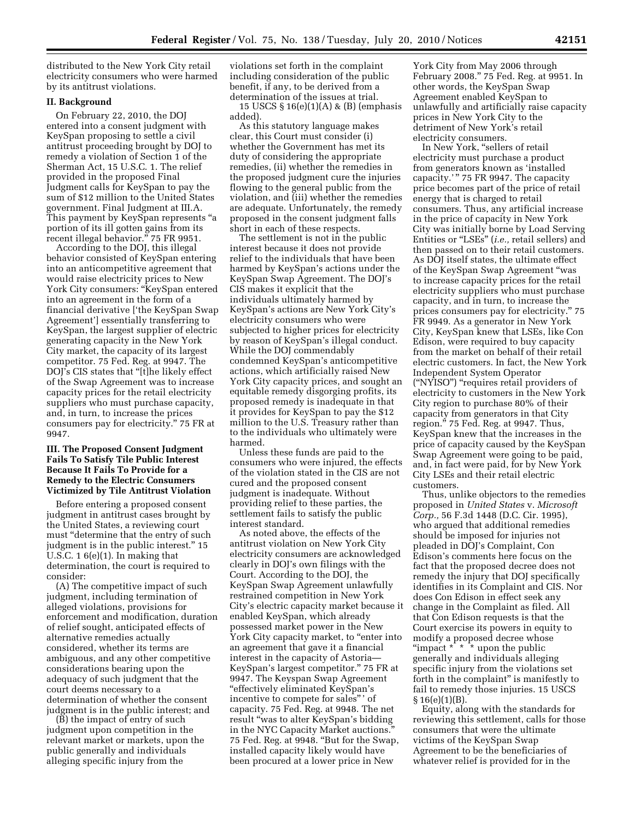distributed to the New York City retail electricity consumers who were harmed by its antitrust violations.

## **II. Background**

On February 22, 2010, the DOJ entered into a consent judgment with KeySpan proposing to settle a civil antitrust proceeding brought by DOJ to remedy a violation of Section 1 of the Sherman Act, 15 U.S.C. 1. The relief provided in the proposed Final Judgment calls for KeySpan to pay the sum of \$12 million to the United States government. Final Judgment at III.A. This payment by KeySpan represents ''a portion of its ill gotten gains from its recent illegal behavior." 75 FR 9951.

According to the DOJ, this illegal behavior consisted of KeySpan entering into an anticompetitive agreement that would raise electricity prices to New York City consumers: "KeySpan entered into an agreement in the form of a financial derivative ['the KeySpan Swap Agreement'] essentially transferring to KeySpan, the largest supplier of electric generating capacity in the New York City market, the capacity of its largest competitor. 75 Fed. Reg. at 9947. The DOJ's CIS states that ''[t]he likely effect of the Swap Agreement was to increase capacity prices for the retail electricity suppliers who must purchase capacity, and, in turn, to increase the prices consumers pay for electricity.'' 75 FR at 9947.

## **III. The Proposed Consent Judgment Fails To Satisfy Tile Public Interest Because It Fails To Provide for a Remedy to the Electric Consumers Victimized by Tile Antitrust Violation**

Before entering a proposed consent judgment in antitrust cases brought by the United States, a reviewing court must "determine that the entry of such judgment is in the public interest.'' 15 U.S.C.  $16(e)(1)$ . In making that determination, the court is required to consider:

(A) The competitive impact of such judgment, including termination of alleged violations, provisions for enforcement and modification, duration of relief sought, anticipated effects of alternative remedies actually considered, whether its terms are ambiguous, and any other competitive considerations bearing upon the adequacy of such judgment that the court deems necessary to a determination of whether the consent judgment is in the public interest; and

(B) the impact of entry of such judgment upon competition in the relevant market or markets, upon the public generally and individuals alleging specific injury from the

violations set forth in the complaint including consideration of the public benefit, if any, to be derived from a determination of the issues at trial.

15 USCS § 16(e)(1)(A) & (B) (emphasis added).

As this statutory language makes clear, this Court must consider (i) whether the Government has met its duty of considering the appropriate remedies, (ii) whether the remedies in the proposed judgment cure the injuries flowing to the general public from the violation, and (iii) whether the remedies are adequate. Unfortunately, the remedy proposed in the consent judgment falls short in each of these respects.

The settlement is not in the public interest because it does not provide relief to the individuals that have been harmed by KeySpan's actions under the KeySpan Swap Agreement. The DOJ's CIS makes it explicit that the individuals ultimately harmed by KeySpan's actions are New York City's electricity consumers who were subjected to higher prices for electricity by reason of KeySpan's illegal conduct. While the DOJ commendably condemned KeySpan's anticompetitive actions, which artificially raised New York City capacity prices, and sought an equitable remedy disgorging profits, its proposed remedy is inadequate in that it provides for KeySpan to pay the \$12 million to the U.S. Treasury rather than to the individuals who ultimately were harmed.

Unless these funds are paid to the consumers who were injured, the effects of the violation stated in the CIS are not cured and the proposed consent judgment is inadequate. Without providing relief to these parties, the settlement fails to satisfy the public interest standard.

As noted above, the effects of the antitrust violation on New York City electricity consumers are acknowledged clearly in DOJ's own filings with the Court. According to the DOJ, the KeySpan Swap Agreement unlawfully restrained competition in New York City's electric capacity market because it enabled KeySpan, which already possessed market power in the New York City capacity market, to "enter into an agreement that gave it a financial interest in the capacity of Astoria— KeySpan's largest competitor.'' 75 FR at 9947. The Keyspan Swap Agreement ''effectively eliminated KeySpan's incentive to compete for sales'' ' of capacity. 75 Fed. Reg. at 9948. The net result ''was to alter KeySpan's bidding in the NYC Capacity Market auctions. 75 Fed. Reg. at 9948. ''But for the Swap, installed capacity likely would have been procured at a lower price in New

York City from May 2006 through February 2008.'' 75 Fed. Reg. at 9951. In other words, the KeySpan Swap Agreement enabled KeySpan to unlawfully and artificially raise capacity prices in New York City to the detriment of New York's retail electricity consumers.

In New York, "sellers of retail electricity must purchase a product from generators known as 'installed capacity.'" 75 FR 9947. The capacity price becomes part of the price of retail energy that is charged to retail consumers. Thus, any artificial increase in the price of capacity in New York City was initially borne by Load Serving Entities or "LSEs" (*i.e.*, retail sellers) and then passed on to their retail customers. As DOJ itself states, the ultimate effect of the KeySpan Swap Agreement ''was to increase capacity prices for the retail electricity suppliers who must purchase capacity, and in turn, to increase the prices consumers pay for electricity.'' 75 FR 9949. As a generator in New York City, KeySpan knew that LSEs, like Con Edison, were required to buy capacity from the market on behalf of their retail electric customers. In fact, the New York Independent System Operator (''NYISO'') ''requires retail providers of electricity to customers in the New York City region to purchase 80% of their capacity from generators in that City region." 75 Fed. Reg. at 9947. Thus, KeySpan knew that the increases in the price of capacity caused by the KeySpan Swap Agreement were going to be paid, and, in fact were paid, for by New York City LSEs and their retail electric customers.

Thus, unlike objectors to the remedies proposed in *United States* v. *Microsoft Corp.,* 56 F.3d 1448 (D.C. Cir. 1995), who argued that additional remedies should be imposed for injuries not pleaded in DOJ's Complaint, Con Edison's comments here focus on the fact that the proposed decree does not remedy the injury that DOJ specifically identifies in its Complaint and CIS. Nor does Con Edison in effect seek any change in the Complaint as filed. All that Con Edison requests is that the Court exercise its powers in equity to modify a proposed decree whose "impact \* \* \* upon the public generally and individuals alleging specific injury from the violations set forth in the complaint'' is manifestly to fail to remedy those injuries. 15 USCS  $§ 16(e)(1)(B).$ 

Equity, along with the standards for reviewing this settlement, calls for those consumers that were the ultimate victims of the KeySpan Swap Agreement to be the beneficiaries of whatever relief is provided for in the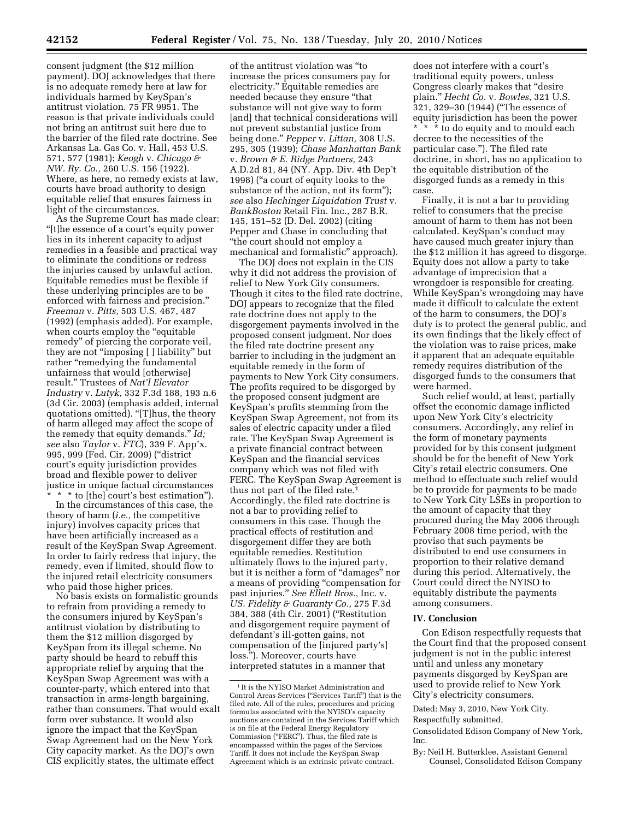consent judgment (the \$12 million payment). DOJ acknowledges that there is no adequate remedy here at law for individuals harmed by KeySpan's antitrust violation. 75 FR 9951. The reason is that private individuals could not bring an antitrust suit here due to the barrier of the filed rate doctrine. See Arkansas La. Gas Co. v. Hall, 453 U.S. 571, 577 (1981); *Keogh* v. *Chicago & NW. Ry. Co.,* 260 U.S. 156 (1922). Where, as here, no remedy exists at law, courts have broad authority to design equitable relief that ensures fairness in light of the circumstances.

As the Supreme Court has made clear: ''[t]he essence of a court's equity power lies in its inherent capacity to adjust remedies in a feasible and practical way to eliminate the conditions or redress the injuries caused by unlawful action. Equitable remedies must be flexible if these underlying principles are to be enforced with fairness and precision.'' *Freeman* v. *Pitts,* 503 U.S. 467, 487 (1992) (emphasis added). For example, when courts employ the "equitable" remedy'' of piercing the corporate veil, they are not ''imposing [ ] liability'' but rather "remedying the fundamental unfairness that would [otherwise] result.'' Trustees of *Nat'l Elevator Industry* v. *Lutyk,* 332 F.3d 188, 193 n.6 (3d Cir. 2003) (emphasis added, internal quotations omitted). "[T]hus, the theory of harm alleged may affect the scope of the remedy that equity demands.'' *Id; see* also *Taylor* v. *FTC*), 339 F. App'x. 995, 999 (Fed. Cir. 2009) (''district court's equity jurisdiction provides broad and flexible power to deliver justice in unique factual circumstances

\* \* \* to [the] court's best estimation''). In the circumstances of this case, the theory of harm (*i.e.,* the competitive injury) involves capacity prices that have been artificially increased as a result of the KeySpan Swap Agreement. In order to fairly redress that injury, the remedy, even if limited, should flow to the injured retail electricity consumers who paid those higher prices.

No basis exists on formalistic grounds to refrain from providing a remedy to the consumers injured by KeySpan's antitrust violation by distributing to them the \$12 million disgorged by KeySpan from its illegal scheme. No party should be heard to rebuff this appropriate relief by arguing that the KeySpan Swap Agreement was with a counter-party, which entered into that transaction in arms-length bargaining, rather than consumers. That would exalt form over substance. It would also ignore the impact that the KeySpan Swap Agreement had on the New York City capacity market. As the DOJ's own CIS explicitly states, the ultimate effect

of the antitrust violation was ''to increase the prices consumers pay for electricity.'' Equitable remedies are needed because they ensure ''that substance will not give way to form [and] that technical considerations will not prevent substantial justice from being done.'' *Pepper* v. *Littan,* 308 U.S. 295, 305 (1939); *Chase Manhattan Bank*  v. *Brown & E. Ridge Partners,* 243 A.D.2d 81, 84 (NY. App. Div. 4th Dep't 1998) (''a court of equity looks to the substance of the action, not its form''); *see* also *Hechinger Liquidation Trust* v. *BankBoston* Retail Fin. Inc., 287 B.R. 145, 151–52 (D. Del. 2002) (citing Pepper and Chase in concluding that ''the court should not employ a mechanical and formalistic'' approach).

The DOJ does not explain in the CIS why it did not address the provision of relief to New York City consumers. Though it cites to the filed rate doctrine, DOJ appears to recognize that the filed rate doctrine does not apply to the disgorgement payments involved in the proposed consent judgment. Nor does the filed rate doctrine present any barrier to including in the judgment an equitable remedy in the form of payments to New York City consumers. The profits required to be disgorged by the proposed consent judgment are KeySpan's profits stemming from the KeySpan Swap Agreement, not from its sales of electric capacity under a filed rate. The KeySpan Swap Agreement is a private financial contract between KeySpan and the financial services company which was not filed with FERC. The KeySpan Swap Agreement is thus not part of the filed rate.1 Accordingly, the filed rate doctrine is not a bar to providing relief to consumers in this case. Though the practical effects of restitution and disgorgement differ they are both equitable remedies. Restitution ultimately flows to the injured party, but it is neither a form of ''damages'' nor a means of providing ''compensation for past injuries.'' *See Ellett Bros.,* Inc. v. *US. Fidelity & Guaranty Co.,* 275 F.3d 384, 388 (4th Cir. 2001) (''Restitution and disgorgement require payment of defendant's ill-gotten gains, not compensation of the [injured party's] loss.''). Moreover, courts have interpreted statutes in a manner that

does not interfere with a court's traditional equity powers, unless Congress clearly makes that ''desire plain.'' *Hecht Co.* v. *Bowles,* 321 U.S. 321, 329–30 (1944) (''The essence of equity jurisdiction has been the power \* \* \* to do equity and to mould each decree to the necessities of the particular case.''). The filed rate doctrine, in short, has no application to the equitable distribution of the disgorged funds as a remedy in this case.

Finally, it is not a bar to providing relief to consumers that the precise amount of harm to them has not been calculated. KeySpan's conduct may have caused much greater injury than the \$12 million it has agreed to disgorge. Equity does not allow a party to take advantage of imprecision that a wrongdoer is responsible for creating. While KeySpan's wrongdoing may have made it difficult to calculate the extent of the harm to consumers, the DOJ's duty is to protect the general public, and its own findings that the likely effect of the violation was to raise prices, make it apparent that an adequate equitable remedy requires distribution of the disgorged funds to the consumers that were harmed.

Such relief would, at least, partially offset the economic damage inflicted upon New York City's electricity consumers. Accordingly, any relief in the form of monetary payments provided for by this consent judgment should be for the benefit of New York City's retail electric consumers. One method to effectuate such relief would be to provide for payments to be made to New York City LSEs in proportion to the amount of capacity that they procured during the May 2006 through February 2008 time period, with the proviso that such payments be distributed to end use consumers in proportion to their relative demand during this period. Alternatively, the Court could direct the NYISO to equitably distribute the payments among consumers.

## **IV. Conclusion**

Con Edison respectfully requests that the Court find that the proposed consent judgment is not in the public interest until and unless any monetary payments disgorged by KeySpan are used to provide relief to New York City's electricity consumers.

Dated: May 3, 2010, New York City.

Respectfully submitted,

Consolidated Edison Company of New York, Inc.

By: Neil H. Butterklee, Assistant General Counsel, Consolidated Edison Company

 $^{\rm 1}\!$  It is the NYISO Market Administration and Control Areas Services (''Services Tariff'') that is the filed rate. All of the rules, procedures and pricing formulas associated with the NYISO's capacity auctions are contained in the Services Tariff which is on file at the Federal Energy Regulatory Commission (''FERC''). Thus, the filed rate is encompassed within the pages of the Services Tariff. It does not include the KeySpan Swap Agreement which is an extrinsic private contract.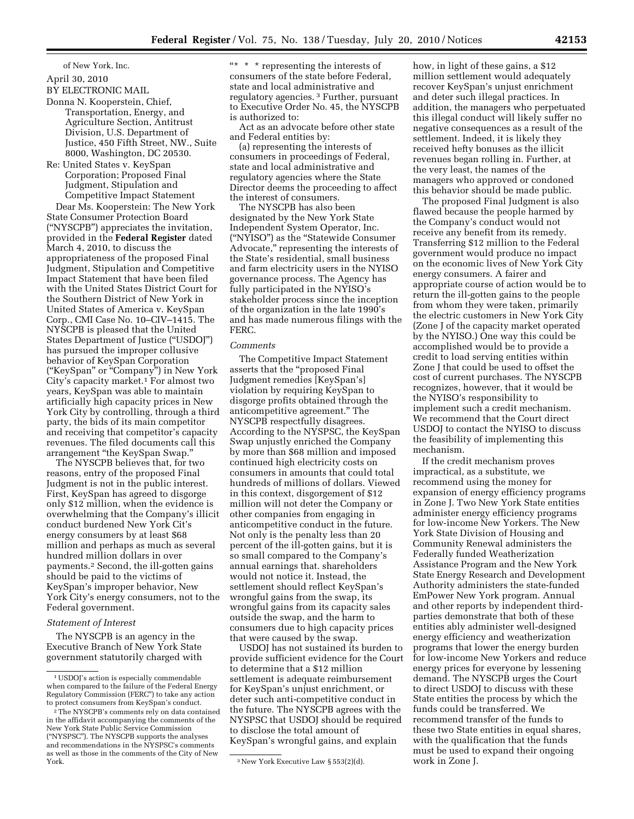of New York, Inc.

## April 30, 2010

BY ELECTRONIC MAIL

Donna N. Kooperstein, Chief,

- Transportation, Energy, and Agriculture Section, Antitrust Division, U.S. Department of Justice, 450 Fifth Street, NW., Suite 8000, Washington, DC 20530.
- Re: United States v. KeySpan Corporation; Proposed Final Judgment, Stipulation and Competitive Impact Statement

Dear Ms. Kooperstein: The New York State Consumer Protection Board (''NYSCPB'') appreciates the invitation, provided in the **Federal Register** dated March 4, 2010, to discuss the appropriateness of the proposed Final Judgment, Stipulation and Competitive Impact Statement that have been filed with the United States District Court for the Southern District of New York in United States of America v. KeySpan Corp., CMI Case No. 10–CIV–1415. The NYSCPB is pleased that the United States Department of Justice (''USDOJ'') has pursued the improper collusive behavior of KeySpan Corporation (''KeySpan'' or ''Company'') in New York City's capacity market.<sup>1</sup> For almost two years, KeySpan was able to maintain artificially high capacity prices in New York City by controlling, through a third party, the bids of its main competitor and receiving that competitor's capacity revenues. The filed documents call this arrangement ''the KeySpan Swap.''

The NYSCPB believes that, for two reasons, entry of the proposed Final Judgment is not in the public interest. First, KeySpan has agreed to disgorge only \$12 million, when the evidence is overwhelming that the Company's illicit conduct burdened New York Cit's energy consumers by at least \$68 million and perhaps as much as several hundred million dollars in over payments.2 Second, the ill-gotten gains should be paid to the victims of KeySpan's improper behavior, New York City's energy consumers, not to the Federal government.

## *Statement of Interest*

The NYSCPB is an agency in the Executive Branch of New York State government statutorily charged with

 $** * *$  representing the interests of consumers of the state before Federal, state and local administrative and regulatory agencies. 3 Further, pursuant to Executive Order No. 45, the NYSCPB is authorized to:

Act as an advocate before other state and Federal entities by:

(a) representing the interests of consumers in proceedings of Federal, state and local administrative and regulatory agencies where the State Director deems the proceeding to affect the interest of consumers.

The NYSCPB has also been designated by the New York State Independent System Operator, Inc. (''NYISO'') as the ''Statewide Consumer Advocate,'' representing the interests of the State's residential, small business and farm electricity users in the NYISO governance process. The Agency has fully participated in the NYISO's stakeholder process since the inception of the organization in the late 1990's and has made numerous filings with the FERC.

## *Comments*

The Competitive Impact Statement asserts that the ''proposed Final Judgment remedies [KeySpan's] violation by requiring KeySpan to disgorge profits obtained through the anticompetitive agreement.'' The NYSCPB respectfully disagrees. According to the NYSPSC, the KeySpan Swap unjustly enriched the Company by more than \$68 million and imposed continued high electricity costs on consumers in amounts that could total hundreds of millions of dollars. Viewed in this context, disgorgement of \$12 million will not deter the Company or other companies from engaging in anticompetitive conduct in the future. Not only is the penalty less than 20 percent of the ill-gotten gains, but it is so small compared to the Company's annual earnings that. shareholders would not notice it. Instead, the settlement should reflect KeySpan's wrongful gains from the swap, its wrongful gains from its capacity sales outside the swap, and the harm to consumers due to high capacity prices that were caused by the swap.

USDOJ has not sustained its burden to provide sufficient evidence for the Court to determine that a \$12 million settlement is adequate reimbursement for KeySpan's unjust enrichment, or deter such anti-competitive conduct in the future. The NYSCPB agrees with the NYSPSC that USDOJ should be required to disclose the total amount of KeySpan's wrongful gains, and explain

how, in light of these gains, a \$12 million settlement would adequately recover KeySpan's unjust enrichment and deter such illegal practices. In addition, the managers who perpetuated this illegal conduct will likely suffer no negative consequences as a result of the settlement. Indeed, it is likely they received hefty bonuses as the illicit revenues began rolling in. Further, at the very least, the names of the managers who approved or condoned this behavior should be made public.

The proposed Final Judgment is also flawed because the people harmed by the Company's conduct would not receive any benefit from its remedy. Transferring \$12 million to the Federal government would produce no impact on the economic lives of New York City energy consumers. A fairer and appropriate course of action would be to return the ill-gotten gains to the people from whom they were taken, primarily the electric customers in New York City (Zone J of the capacity market operated by the NYISO.) One way this could be accomplished would be to provide a credit to load serving entities within Zone J that could be used to offset the cost of current purchases. The NYSCPB recognizes, however, that it would be the NYISO's responsibility to implement such a credit mechanism. We recommend that the Court direct USDOJ to contact the NYISO to discuss the feasibility of implementing this mechanism.

If the credit mechanism proves impractical, as a substitute, we recommend using the money for expansion of energy efficiency programs in Zone J. Two New York State entities administer energy efficiency programs for low-income New Yorkers. The New York State Division of Housing and Community Renewal administers the Federally funded Weatherization Assistance Program and the New York State Energy Research and Development Authority administers the state-funded EmPower New York program. Annual and other reports by independent thirdparties demonstrate that both of these entities ably administer well-designed energy efficiency and weatherization programs that lower the energy burden for low-income New Yorkers and reduce energy prices for everyone by lessening demand. The NYSCPB urges the Court to direct USDOJ to discuss with these State entities the process by which the funds could be transferred. We recommend transfer of the funds to these two State entities in equal shares, with the qualification that the funds must be used to expand their ongoing work in Zone J.

<sup>1</sup>USDOJ's action is especially commendable when compared to the failure of the Federal Energy Regulatory Commission (FERC'') to take any action to protect consumers from KeySpan's conduct.

<sup>2</sup>The NYSCPB's comments rely on data contained in the affidavit accompanying the comments of the New York State Public Service Commission (''NYSPSC''). The NYSCPB supports the analyses and recommendations in the NYSPSC's comments as well as those in the comments of the City of New

<sup>&</sup>lt;sup>3</sup> New York Executive Law § 553(2)(d).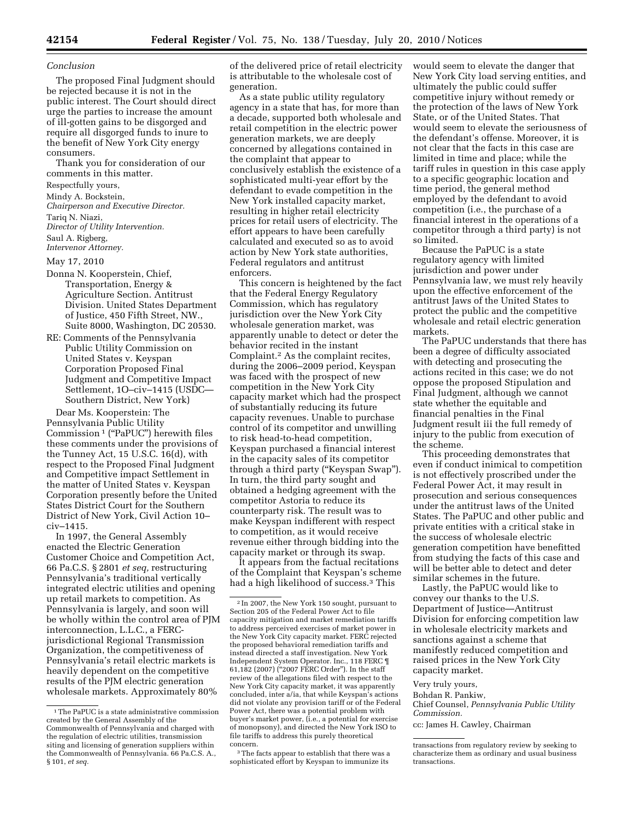#### *Conclusion*

The proposed Final Judgment should be rejected because it is not in the public interest. The Court should direct urge the parties to increase the amount of ill-gotten gains to be disgorged and require all disgorged funds to inure to the benefit of New York City energy consumers.

Thank you for consideration of our comments in this matter.

Respectfully yours,

Mindy A. Bockstein,

*Chairperson and Executive Director.*  Tariq N. Niazi,

*Director of Utility Intervention.* 

Saul A. Rigberg,

*Intervenor Attorney.* 

May 17, 2010

- Donna N. Kooperstein, Chief, Transportation, Energy & Agriculture Section. Antitrust Division. United States Department of Justice, 450 Fifth Street, NW., Suite 8000, Washington, DC 20530.
- RE: Comments of the Pennsylvania Public Utility Commission on United States v. Keyspan Corporation Proposed Final Judgment and Competitive Impact Settlement, 1O–civ–1415 (USDC— Southern District, New York)

Dear Ms. Kooperstein: The Pennsylvania Public Utility Commission 1 (''PaPUC'') herewith files these comments under the provisions of the Tunney Act,  $15$  U.S.C.  $16(d)$ , with respect to the Proposed Final Judgment and Competitive impact Settlement in the matter of United States v. Keyspan Corporation presently before the United States District Court for the Southern District of New York, Civil Action 10– civ–1415.

In 1997, the General Assembly enacted the Electric Generation Customer Choice and Competition Act, 66 Pa.C.S. § 2801 *et seq,* restructuring Pennsylvania's traditional vertically integrated electric utilities and opening up retail markets to competition. As Pennsylvania is largely, and soon will be wholly within the control area of PJM interconnection, L.L.C., a FERCjurisdictional Regional Transmission Organization, the competitiveness of Pennsylvania's retail electric markets is heavily dependent on the competitive results of the PJM electric generation wholesale markets. Approximately 80%

of the delivered price of retail electricity is attributable to the wholesale cost of generation.

As a state public utility regulatory agency in a state that has, for more than a decade, supported both wholesale and retail competition in the electric power generation markets, we are deeply concerned by allegations contained in the complaint that appear to conclusively establish the existence of a sophisticated multi-year effort by the defendant to evade competition in the New York installed capacity market, resulting in higher retail electricity prices for retail users of electricity. The effort appears to have been carefully calculated and executed so as to avoid action by New York state authorities, Federal regulators and antitrust enforcers.

This concern is heightened by the fact that the Federal Energy Regulatory Commission, which has regulatory jurisdiction over the New York City wholesale generation market, was apparently unable to detect or deter the behavior recited in the instant Complaint.2 As the complaint recites, during the 2006–2009 period, Keyspan was faced with the prospect of new competition in the New York City capacity market which had the prospect of substantially reducing its future capacity revenues. Unable to purchase control of its competitor and unwilling to risk head-to-head competition, Keyspan purchased a financial interest in the capacity sales of its competitor through a third party (''Keyspan Swap''). In turn, the third party sought and obtained a hedging agreement with the competitor Astoria to reduce its counterparty risk. The result was to make Keyspan indifferent with respect to competition, as it would receive revenue either through bidding into the capacity market or through its swap.

It appears from the factual recitations of the Complaint that Keyspan's scheme had a high likelihood of success.3 This

3The facts appear to establish that there was a sophisticated effort by Keyspan to immunize its

would seem to elevate the danger that New York City load serving entities, and ultimately the public could suffer competitive injury without remedy or the protection of the laws of New York State, or of the United States. That would seem to elevate the seriousness of the defendant's offense. Moreover, it is not clear that the facts in this case are limited in time and place; while the tariff rules in question in this case apply to a specific geographic location and time period, the general method employed by the defendant to avoid competition (i.e., the purchase of a financial interest in the operations of a competitor through a third party) is not so limited.

Because the PaPUC is a state regulatory agency with limited jurisdiction and power under Pennsylvania law, we must rely heavily upon the effective enforcement of the antitrust Jaws of the United States to protect the public and the competitive wholesale and retail electric generation markets.

The PaPUC understands that there has been a degree of difficulty associated with detecting and prosecuting the actions recited in this case; we do not oppose the proposed Stipulation and Final Judgment, although we cannot state whether the equitable and financial penalties in the Final Judgment result iii the full remedy of injury to the public from execution of the scheme.

This proceeding demonstrates that even if conduct inimical to competition is not effectively proscribed under the Federal Power Act, it may result in prosecution and serious consequences under the antitrust laws of the United States. The PaPUC and other public and private entities with a critical stake in the success of wholesale electric generation competition have benefitted from studying the facts of this case and will be better able to detect and deter similar schemes in the future.

Lastly, the PaPUC would like to convey our thanks to the U.S. Department of Justice—Antitrust Division for enforcing competition law in wholesale electricity markets and sanctions against a scheme that manifestly reduced competition and raised prices in the New York City capacity market.

Very truly yours,

Bohdan R. Pankiw,

Chief Counsel, *Pennsylvania Public Utility Commission.* 

cc: James H. Cawley, Chairman

<sup>1</sup>The PaPUC is a state administrative commission created by the General Assembly of the Commonwealth of Pennsylvania and charged with the regulation of electric utilities, transmission siting and licensing of generation suppliers within the Commonwealth of Pennsylvania. 66 Pa.C.S. A., § 101, *et seq.* 

<sup>2</sup> In 2007, the New York 150 sought, pursuant to Section 205 of the Federal Power Act to file capacity mitigation and market remediation tariffs to address perceived exercises of market power in the New York City capacity market. FERC rejected the proposed behavioral remediation tariffs and instead directed a staff investigation. New York Independent System Operator. Inc., 118 FERC ¶ 61,182 (2007) (''2007 FERC Order''). In the staff review of the allegations filed with respect to the New York City capacity market, it was apparently concluded, inter a/ia, that while Keyspan's actions did not violate any provision tariff or of the Federal Power Act, there was a potential problem with buyer's market power, (i.e., a potential for exercise of monopsony), and directed the New York ISO to file tariffs to address this purely theoretical concern.

transactions from regulatory review by seeking to characterize them as ordinary and usual business transactions.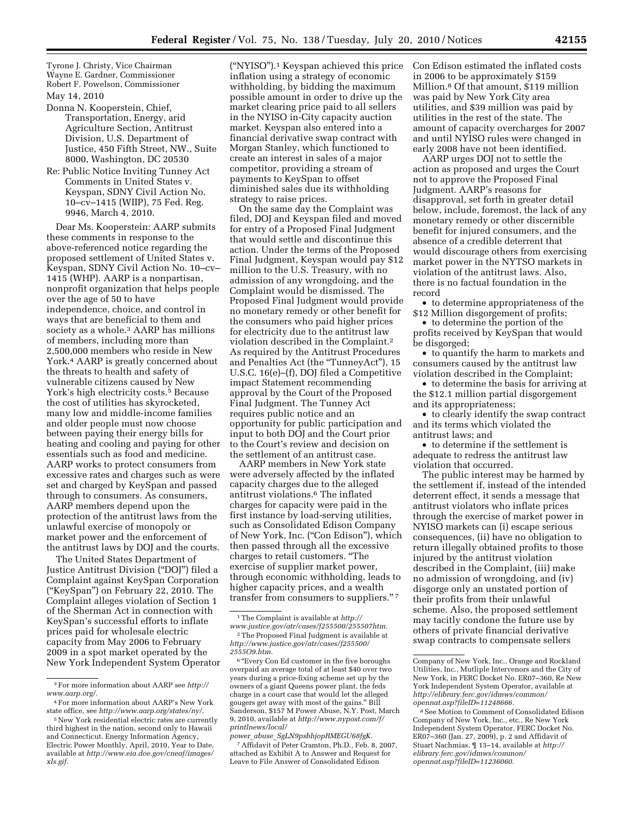Tyrone J. Christy, Vice Chairman Wayne E. Gardner, Commissioner Robert F. Powelson, Commissioner

#### May 14, 2010

- Donna N. Kooperstein, Chief, Transportation, Energy, arid Agriculture Section, Antitrust Division, U.S. Department of Justice, 450 Fifth Street, NW., Suite 8000, Washington, DC 20530
- Re: Public Notice Inviting Tunney Act Comments in United States v. Keyspan, SDNY Civil Action No. 10–cv–1415 (WIIP), 75 Fed. Reg. 9946, March 4, 2010.

Dear Ms. Kooperstein: AARP submits these comments in response to the above-referenced notice regarding the proposed settlement of United States v. Keyspan, SDNY Civil Action No. 10–cv– 1415 (WHP). AARP is a nonpartisan, nonprofit organization that helps people over the age of 50 to have independence, choice, and control in ways that are beneficial to them and society as a whole.<sup>3</sup> AARP has millions of members, including more than 2,500,000 members who reside in New York.4 AARP is greatly concerned about the threats to health and safety of vulnerable citizens caused by New York's high electricity costs.<sup>5</sup> Because the cost of utilities has skyrocketed, many low and middle-income families and older people must now choose between paying their energy bills for heating and cooling and paying for other essentials such as food and medicine. AARP works to protect consumers from excessive rates and charges such as were set and charged by KeySpan and passed through to consumers. As consumers, AARP members depend upon the protection of the antitrust laws from the unlawful exercise of monopoly or market power and the enforcement of the antitrust laws by DOJ and the courts.

The United States Department of Justice Antitrust Division (''DOJ'') filed a Complaint against KeySpan Corporation (''KeySpan'') on February 22, 2010. The Complaint alleges violation of Section 1 of the Sherman Act in connection with KeySpan's successful efforts to inflate prices paid for wholesale electric capacity from May 2006 to February 2009 in a spot market operated by the New York Independent System Operator

(''NYISO'').1 Keyspan achieved this price inflation using a strategy of economic withholding, by bidding the maximum possible amount in order to drive up the market clearing price paid to all sellers in the NYISO in-City capacity auction market. Keyspan also entered into a financial derivative swap contract with Morgan Stanley, which functioned to create an interest in sales of a major competitor, providing a stream of payments to KeySpan to offset diminished sales due its withholding strategy to raise prices.

On the same day the Complaint was filed, DOJ and Keyspan filed and moved for entry of a Proposed Final Judgment that would settle and discontinue this action. Under the terms of the Proposed Final Judgment, Keyspan would pay \$12 million to the U.S. Treasury, with no admission of any wrongdoing, and the Complaint would be dismissed. The Proposed Final Judgment would provide no monetary remedy or other benefit for the consumers who paid higher prices for electricity due to the antitrust law violation described in the Complaint.2 As required by the Antitrust Procedures and Penalties Act (the ''TunneyAct''), 15 U.S.C. 16(e)–(f), DOJ filed a Competitive impact Statement recommending approval by the Court of the Proposed Final Judgment. The Tunney Act requires public notice and an opportunity for public participation and input to both DOJ and the Court prior to the Court's review and decision on the settlement of an antitrust case.

AARP members in New York state were adversely affected by the inflated capacity charges due to the alleged antitrust violations.6 The inflated charges for capacity were paid in the first instance by load-serving utilities, such as Consolidated Edison Company of New York, Inc. ("Con Edison"), which then passed through all the excessive charges to retail customers. ''The exercise of supplier market power, through economic withholding, leads to higher capacity prices, and a wealth transfer from consumers to suppliers."<sup>7</sup>

*power*\_*abuse*\_*SgLN9psbhjopRMEGU68fgK.*  7Affidavit of Peter Cramton, Ph.D., Feb. 8, 2007, attached as Exhibit A to Answer and Request for Leave to File Answer of Consolidated Edison

Con Edison estimated the inflated costs in 2006 to be approximately \$159 Million.8 Of that amount, \$119 million was paid by New York City area utilities, and \$39 million was paid by utilities in the rest of the state. The amount of capacity overcharges for 2007 and until NYISO rules were changed in early 2008 have not been identified.

AARP urges DOJ not to settle the action as proposed and urges the Court not to approve the Proposed Final Judgment. AARP's reasons for disapproval, set forth in greater detail below, include, foremost, the lack of any monetary remedy or other discernible benefit for injured consumers, and the absence of a credible deterrent that would discourage others from exercising market power in the NYTSO markets in violation of the antitrust laws. Also, there is no factual foundation in the record

• to determine appropriateness of the \$12 Million disgorgement of profits;

• to determine the portion of the profits received by KeySpan that would be disgorged;

• to quantify the harm to markets and consumers caused by the antitrust law violation described in the Complaint;

• to determine the basis for arriving at the \$12.1 million partial disgorgement and its appropriateness;

• to clearly identify the swap contract and its terms which violated the antitrust laws; and

• to determine if the settlement is adequate to redress the antitrust law violation that occurred.

The public interest may be harmed by the settlement if, instead of the intended deterrent effect, it sends a message that antitrust violators who inflate prices through the exercise of market power in NYISO markets can (i) escape serious consequences, (ii) have no obligation to return illegally obtained profits to those injured by the antitrust violation described in the Complaint, (iii) make no admission of wrongdoing, and (iv) disgorge only an unstated portion of their profits from their unlawful scheme. Also, the proposed settlement may tacitly condone the future use by others of private financial derivative swap contracts to compensate sellers

<sup>3</sup>For more information about AARP see *http:// www.aarp.org/.* 

<sup>4</sup>For more information about AARP's New York state office, see *http://www.aarp.org/states/ny/.* 

<sup>5</sup>New York residential electric rates are currently third highest in the nation, second only to Hawaii and Connecticut. Energy Information Agency, Electric Power Monthly, April, 2010, Year to Date, available at *http://www.eia.doe.gov/cneaf/images/ xls.gif.* 

<sup>1</sup>The Complaint is available at *http://* 

*www.justice.gov/atr/cases/f255500/255507htm.*  2The Proposed Final Judgment is available at *http://www.justice.gov/atr/cases/f255500/ 2555O9.htm.* 

<sup>&</sup>lt;sup>6</sup> "Every Con Ed customer in the five boroughs overpaid an average total of at least \$40 over two years during a price-fixing scheme set up by the owners of a giant Queens power plant, the feds charge in a court case that would let the alleged gougers get away with most of the gains.'' Bill Sanderson, \$157 M Power Abuse, N.Y. Post, March 9, 2010, available at *http://www.nypost.com/f/ printlnews/local/* 

Company of New York, Inc., Orange and Rockland Utilities, Inc., Mutliple Intervenors and the City of New York, in FERC Docket No. ER07–360, Re New York Independent System Operator, available at *http://elibrary.ferc.gov/idmws/common/ opennat.asp?fileID=11248666.* 

<sup>8</sup>See Motion to Comment of Consolidated Edison Company of New York, Inc., etc., Re New York Independent System Operator, FERC Docket No. ER07–360 (Jan. 27, 2009), p. 2 and Affidavit of Stuart Nachmias, ¶ 13–14, available at *http:// elibrary.ferc.gov/idmws/common/ opennat.asp?fileID=11236060.*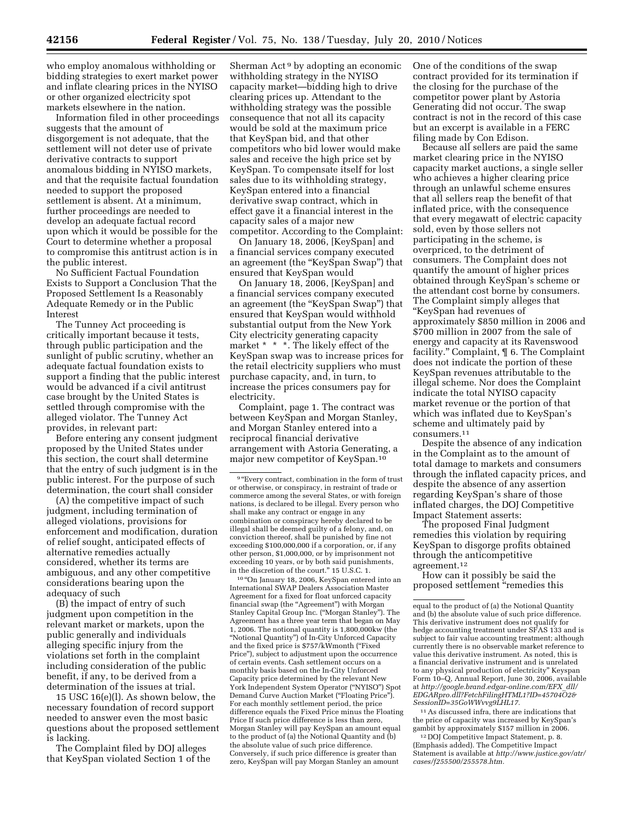who employ anomalous withholding or bidding strategies to exert market power and inflate clearing prices in the NYISO or other organized electricity spot markets elsewhere in the nation.

Information filed in other proceedings suggests that the amount of disgorgement is not adequate, that the settlement will not deter use of private derivative contracts to support anomalous bidding in NYISO markets, and that the requisite factual foundation needed to support the proposed settlement is absent. At a minimum, further proceedings are needed to develop an adequate factual record upon which it would be possible for the Court to determine whether a proposal to compromise this antitrust action is in the public interest.

No Sufficient Factual Foundation Exists to Support a Conclusion That the Proposed Settlement Is a Reasonably Adequate Remedy or in the Public Interest

The Tunney Act proceeding is critically important because it tests, through public participation and the sunlight of public scrutiny, whether an adequate factual foundation exists to support a finding that the public interest would be advanced if a civil antitrust case brought by the United States is settled through compromise with the alleged violator. The Tunney Act provides, in relevant part:

Before entering any consent judgment proposed by the United States under this section, the court shall determine that the entry of such judgment is in the public interest. For the purpose of such determination, the court shall consider

(A) the competitive impact of such judgment, including termination of alleged violations, provisions for enforcement and modification, duration of relief sought, anticipated effects of alternative remedies actually considered, whether its terms are ambiguous, and any other competitive considerations bearing upon the adequacy of such

(B) the impact of entry of such judgment upon competition in the relevant market or markets, upon the public generally and individuals alleging specific injury from the violations set forth in the complaint including consideration of the public benefit, if any, to be derived from a determination of the issues at trial.

15 USC 16(e)(l). As shown below, the necessary foundation of record support needed to answer even the most basic questions about the proposed settlement is lacking.

The Complaint filed by DOJ alleges that KeySpan violated Section 1 of the

Sherman Act 9 by adopting an economic withholding strategy in the NYISO capacity market—bidding high to drive clearing prices up. Attendant to the withholding strategy was the possible consequence that not all its capacity would be sold at the maximum price that KeySpan bid, and that other competitors who bid lower would make sales and receive the high price set by KeySpan. To compensate itself for lost sales due to its withholding strategy, KeySpan entered into a financial derivative swap contract, which in effect gave it a financial interest in the capacity sales of a major new competitor. According to the Complaint:

On January 18, 2006, [KeySpan] and a financial services company executed an agreement (the "KeySpan Swap") that ensured that KeySpan would

On January 18, 2006, [KeySpan] and a financial services company executed an agreement (the "KeySpan Swap") that ensured that KeySpan would withhold substantial output from the New York City electricity generating capacity market \* \* \*. The likely effect of the KeySpan swap was to increase prices for the retail electricity suppliers who must purchase capacity, and, in turn, to increase the prices consumers pay for electricity.

Complaint, page 1. The contract was between KeySpan and Morgan Stanley, and Morgan Stanley entered into a reciprocal financial derivative arrangement with Astoria Generating, a major new competitor of KeySpan.10

 $^{\rm 10\, 4}$  On January 18, 2006, KeySpan entered into an International SWAP Dealers Association Master Agreement for a fixed for float unforced capacity financial swap (the ''Agreement'') with Morgan Stanley Capital Group Inc. (''Morgan Stanley''). The Agreement has a three year term that began on May 1, 2006. The notional quantity is 1,800,000kw (the ''Notional Quantity'') of In-City Unforced Capacity and the fixed price is \$757/kWmonth (''Fixed Price''), subject to adjustment upon the occurrence of certain events. Cash settlement occurs on a monthly basis based on the In-City Unforced Capacity price determined by the relevant New York Independent System Operator (''NYISO'') Spot Demand Curve Auction Market (''Floating Price''). For each monthly settlement period, the price difference equals the Fixed Price minus the Floating Price If such price difference is less than zero, Morgan Stanley will pay KeySpan an amount equal to the product of (a) the Notional Quantity and (b) the absolute value of such price difference. Conversely, if such price difference is greater than zero, KeySpan will pay Morgan Stanley an amount

One of the conditions of the swap contract provided for its termination if the closing for the purchase of the competitor power plant by Astoria Generating did not occur. The swap contract is not in the record of this case but an excerpt is available in a FERC filing made by Con Edison.

Because all sellers are paid the same market clearing price in the NYISO capacity market auctions, a single seller who achieves a higher clearing price through an unlawful scheme ensures that all sellers reap the benefit of that inflated price, with the consequence that every megawatt of electric capacity sold, even by those sellers not participating in the scheme, is overpriced, to the detriment of consumers. The Complaint does not quantify the amount of higher prices obtained through KeySpan's scheme or the attendant cost borne by consumers. The Complaint simply alleges that ''KeySpan had revenues of approximately \$850 million in 2006 and \$700 million in 2007 from the sale of energy and capacity at its Ravenswood facility.'' Complaint, ¶ 6. The Complaint does not indicate the portion of these KeySpan revenues attributable to the illegal scheme. Nor does the Complaint indicate the total NYISO capacity market revenue or the portion of that which was inflated due to KeySpan's scheme and ultimately paid by consumers.11

Despite the absence of any indication in the Complaint as to the amount of total damage to markets and consumers through the inflated capacity prices, and despite the absence of any assertion regarding KeySpan's share of those inflated charges, the DOJ Competitive Impact Statement asserts:

The proposed Final Judgment remedies this violation by requiring KeySpan to disgorge profits obtained through the anticompetitive agreement.12

How can it possibly be said the proposed settlement ''remedies this

11As discussed infra, there are indications that the price of capacity was increased by KeySpan's gambit by approximately \$157 million in 2006. 12 DOJ Competitive Impact Statement, p. 8.

(Emphasis added). The Competitive Impact Statement is available at *http://www.justice.gov/atr/ cases/f255500/255578.htm.* 

<sup>&</sup>lt;sup>9</sup> "Every contract, combination in the form of trust or otherwise, or conspiracy, in restraint of trade or commerce among the several States, or with foreign nations, is declared to be illegal. Every person who shall make any contract or engage in any combination or conspiracy hereby declared to be illegal shall be deemed guilty of a felony, and, on conviction thereof, shall be punished by fine not exceeding \$100,000,000 if a corporation, or, if any other person, \$1,000,000, or by imprisonment not exceeding 10 years, or by both said punishments, in the discretion of the court.'' 15 U.S.C. 1.

equal to the product of (a) the Notional Quantity and (b) the absolute value of such price difference. This derivative instrument does not qualify for hedge accounting treatment under SFAS 133 and is subject to fair value accounting treatment; although currently there is no observable market reference to value this derivative instrument. As noted, this is a financial derivative instrument and is unrelated to any physical production of electricity'' Keyspan Form 10–Q, Annual Report, June 30, 2006, available at *http://google.brand.edgar-online.com/EFX*\_*dll/ EDGARpro.dll?FetchFilingHTML1?ID=45704O2& SessionID=35GoWWvvg9LHL17.*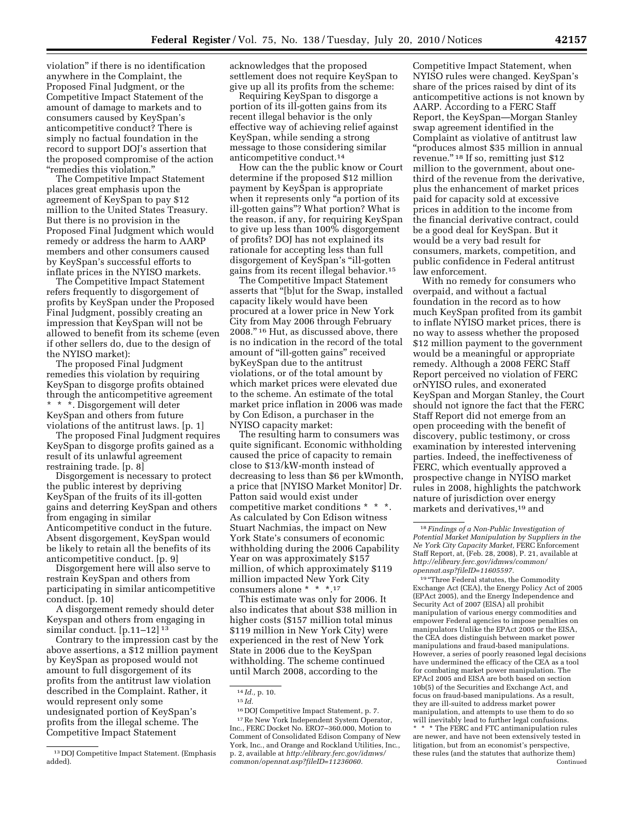violation'' if there is no identification anywhere in the Complaint, the Proposed Final Judgment, or the Competitive Impact Statement of the amount of damage to markets and to consumers caused by KeySpan's anticompetitive conduct? There is simply no factual foundation in the record to support DOJ's assertion that the proposed compromise of the action ''remedies this violation.''

The Competitive Impact Statement places great emphasis upon the agreement of KeySpan to pay \$12 million to the United States Treasury. But there is no provision in the Proposed Final Judgment which would remedy or address the harm to AARP members and other consumers caused by KeySpan's successful efforts to inflate prices in the NYISO markets.

The Competitive Impact Statement refers frequently to disgorgement of profits by KeySpan under the Proposed Final Judgment, possibly creating an impression that KeySpan will not be allowed to benefit from its scheme (even if other sellers do, due to the design of the NYISO market):

The proposed Final Judgment remedies this violation by requiring KeySpan to disgorge profits obtained through the anticompetitive agreement \* \* \*. Disgorgement will deter KeySpan and others from future violations of the antitrust laws. [p. 1]

The proposed Final Judgment requires KeySpan to disgorge profits gained as a result of its unlawful agreement restraining trade. [p. 8]

Disgorgement is necessary to protect the public interest by depriving KeySpan of the fruits of its ill-gotten gains and deterring KeySpan and others from engaging in similar Anticompetitive conduct in the future. Absent disgorgement, KeySpan would be likely to retain all the benefits of its anticompetitive conduct. [p. 9]

Disgorgement here will also serve to restrain KeySpan and others from participating in similar anticompetitive conduct. [p. 10]

A disgorgement remedy should deter Keyspan and others from engaging in similar conduct. [p.11–12] 13

Contrary to the impression cast by the above assertions, a \$12 million payment by KeySpan as proposed would not amount to full disgorgement of its profits from the antitrust law violation described in the Complaint. Rather, it would represent only some undesignated portion of KeySpan's profits from the illegal scheme. The Competitive Impact Statement

acknowledges that the proposed settlement does not require KeySpan to give up all its profits from the scheme:

Requiring KeySpan to disgorge a portion of its ill-gotten gains from its recent illegal behavior is the only effective way of achieving relief against KeySpan, while sending a strong message to those considering similar anticompetitive conduct.14

How can the the public know or Court determine if the proposed \$12 million payment by KeySpan is appropriate when it represents only "a portion of its ill-gotten gains''? What portion? What is the reason, if any, for requiring KeySpan to give up less than 100% disgorgement of profits? DOJ has not explained its rationale for accepting less than full disgorgement of KeySpan's ''ill-gotten gains from its recent illegal behavior.15

The Competitive Impact Statement asserts that ''[b]ut for the Swap, installed capacity likely would have been procured at a lower price in New York City from May 2006 through February 2008.'' 16 Hut, as discussed above, there is no indication in the record of the total amount of "ill-gotten gains" received byKeySpan due to the antitrust violations, or of the total amount by which market prices were elevated due to the scheme. An estimate of the total market price inflation in 2006 was made by Con Edison, a purchaser in the NYISO capacity market:

The resulting harm to consumers was quite significant. Economic withholding caused the price of capacity to remain close to \$13/kW-month instead of decreasing to less than \$6 per kWmonth, a price that [NYISO Market Monitor] Dr. Patton said would exist under competitive market conditions \* \* \*. As calculated by Con Edison witness Stuart Nachmias, the impact on New York State's consumers of economic withholding during the 2006 Capability Year on was approximately \$157 million, of which approximately \$119 million impacted New York City consumers alone \* \* \*.17

This estimate was only for 2006. It also indicates that about \$38 million in higher costs (\$157 million total minus \$119 million in New York City) were experienced in the rest of New York State in 2006 due to the KeySpan withholding. The scheme continued until March 2008, according to the

16 DOJ Competitive Impact Statement, p. 7.

<sup>17</sup> Re New York Independent System Operator, Inc., FERC Docket No. ERO7–360.000, Motion to Comment of Consolidated Edison Company of New York, Inc., and Orange and Rockland Utilities, Inc., p. 2, available at *http:/elibrary.ferc.gov/idmws/ common/opennat.asp?fileID=11236060.* 

Competitive Impact Statement, when NYISO rules were changed. KeySpan's share of the prices raised by dint of its anticompetitive actions is not known by AARP. According to a FERC Staff Report, the KeySpan—Morgan Stanley swap agreement identified in the Complaint as violative of antitrust law ''produces almost \$35 million in annual revenue.'' 18 If so, remitting just \$12 million to the government, about onethird of the revenue from the derivative, plus the enhancement of market prices paid for capacity sold at excessive prices in addition to the income from the financial derivative contract, could be a good deal for KeySpan. But it would be a very bad result for consumers, markets, competition, and public confidence in Federal antitrust law enforcement.

With no remedy for consumers who overpaid, and without a factual foundation in the record as to how much KeySpan profited from its gambit to inflate NYISO market prices, there is no way to assess whether the proposed \$12 million payment to the government would be a meaningful or appropriate remedy. Although a 2008 FERC Staff Report perceived no violation of FERC orNYISO rules, and exonerated KeySpan and Morgan Stanley, the Court should not ignore the fact that the FERC Staff Report did not emerge from an open proceeding with the benefit of discovery, public testimony, or cross examination by interested intervening parties. Indeed, the ineffectiveness of FERC, which eventually approved a prospective change in NYISO market rules in 2008, highlights the patchwork nature of jurisdiction over energy markets and derivatives,19 and

<sup>19</sup> "Three Federal statutes, the Commodity Exchange Act (CEA), the Energy Policy Act of 2005 (EPAct 2005), and the Energy Independence and Security Act of 2007 (ElSA) all prohibit manipulation of various energy commodities and empower Federal agencies to impose penalties on manipulators Unlike the EPAct 2005 or the EISA, the CEA does distinguish between market power manipulations and fraud-based manipulations. However, a series of poorly reasoned legal decisions have undermined the efficacy of the CEA as a tool for combating market power manipulation. The EPAcI 2005 and EISA are both based on section 10b(5) of the Securities and Exchange Act, and focus on fraud-based manipulations. As a result, they are ill-suited to address market power manipulation, and attempts to use them to do so will inevitably lead to further legal confusions. \* \* \* The FERC and FTC antimanipulation rules are newer, and have not been extensively tested in litigation, but from an economist's perspective, these rules (and the statutes that authorize them) Continued

<sup>13</sup> DOJ Competitive Impact Statement. (Emphasis added).

<sup>14</sup> *Id.,* p. 10.

<sup>15</sup> *Id.* 

<sup>18</sup>*Findings of a Non-Public Investigation of Potential Market Manipulation by Suppliers in the Ne York City Capacity Market,* FERC Enforcement Staff Report, at, (Feb. 28, 2008), P. 21, available at *http://elibrary.ferc.gov/idmws/common/ opennat.asp?fileID=11605597.*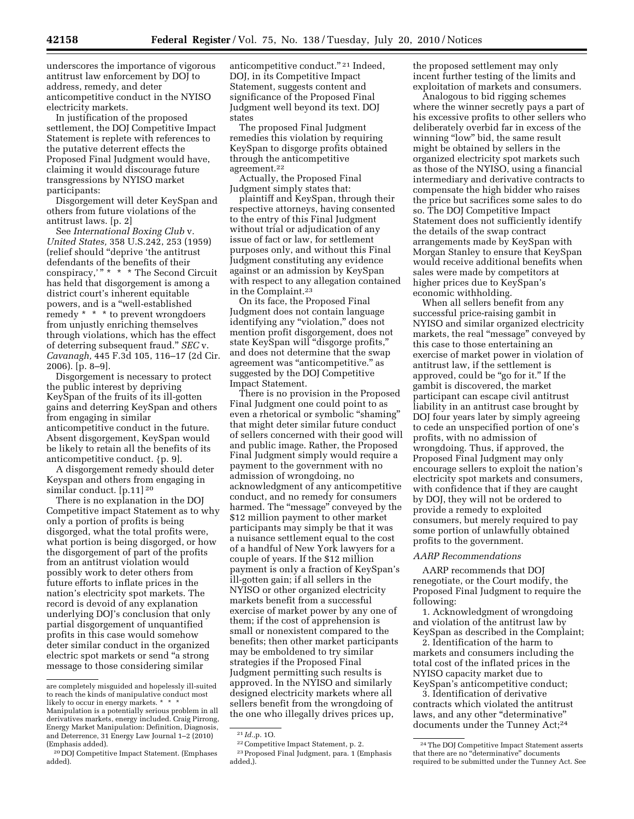underscores the importance of vigorous antitrust law enforcement by DOJ to address, remedy, and deter anticompetitive conduct in the NYISO electricity markets.

In justification of the proposed settlement, the DOJ Competitive Impact Statement is replete with references to the putative deterrent effects the Proposed Final Judgment would have, claiming it would discourage future transgressions by NYISO market participants:

Disgorgement will deter KeySpan and others from future violations of the antitrust laws. [p. 2]

See *International Boxing Club* v. *United States,* 358 U.S.242, 253 (1959) (relief should ''deprive 'the antitrust defendants of the benefits of their conspiracy," \* \* \* The Second Circuit has held that disgorgement is among a district court's inherent equitable powers, and is a ''well-established remedy \* \* \* to prevent wrongdoers from unjustly enriching themselves through violations, which has the effect of deterring subsequent fraud.'' *SEC* v. *Cavanagh,* 445 F.3d 105, 116–17 (2d Cir. 2006). [p. 8–9].

Disgorgement is necessary to protect the public interest by depriving KeySpan of the fruits of its ill-gotten gains and deterring KeySpan and others from engaging in similar anticompetitive conduct in the future. Absent disgorgement, KeySpan would be likely to retain all the benefits of its anticompetitive conduct. {p. 9].

A disgorgement remedy should deter Keyspan and others from engaging in similar conduct. [p.11] 20

There is no explanation in the DOJ Competitive impact Statement as to why only a portion of profits is being disgorged, what the total profits were, what portion is being disgorged, or how the disgorgement of part of the profits from an antitrust violation would possibly work to deter others from future efforts to inflate prices in the nation's electricity spot markets. The record is devoid of any explanation underlying DOJ's conclusion that only partial disgorgement of unquantified profits in this case would somehow deter similar conduct in the organized electric spot markets or send ''a strong message to those considering similar

anticompetitive conduct.'' 21 Indeed, DOJ, in its Competitive Impact Statement, suggests content and significance of the Proposed Final Judgment well beyond its text. DOJ states

The proposed Final Judgment remedies this violation by requiring KeySpan to disgorge profits obtained through the anticompetitive agreement.22

Actually, the Proposed Final Judgment simply states that:

plaintiff and KeySpan, through their respective attorneys, having consented to the entry of this Final Judgment without trial or adjudication of any issue of fact or law, for settlement purposes only, and without this Final Judgment constituting any evidence against or an admission by KeySpan with respect to any allegation contained in the Complaint.23

On its face, the Proposed Final Judgment does not contain language identifying any "violation," does not mention profit disgorgement, does not state KeySpan will ''disgorge profits,'' and does not determine that the swap agreement was ''anticompetitive.'' as suggested by the DOJ Competitive Impact Statement.

There is no provision in the Proposed Final Judgment one could point to as even a rhetorical or symbolic "shaming" that might deter similar future conduct of sellers concerned with their good will and public image. Rather, the Proposed Final Judgment simply would require a payment to the government with no admission of wrongdoing, no acknowledgment of any anticompetitive conduct, and no remedy for consumers harmed. The "message" conveyed by the \$12 million payment to other market participants may simply be that it was a nuisance settlement equal to the cost of a handful of New York lawyers for a couple of years. If the \$12 million payment is only a fraction of KeySpan's ill-gotten gain; if all sellers in the NYISO or other organized electricity markets benefit from a successful exercise of market power by any one of them; if the cost of apprehension is small or nonexistent compared to the benefits; then other market participants may be emboldened to try similar strategies if the Proposed Final Judgment permitting such results is approved. In the NYISO and similarly designed electricity markets where all sellers benefit from the wrongdoing of the one who illegally drives prices up,

the proposed settlement may only incent further testing of the limits and exploitation of markets and consumers.

Analogous to bid rigging schemes where the winner secretly pays a part of his excessive profits to other sellers who deliberately overbid far in excess of the winning "low" bid, the same result might be obtained by sellers in the organized electricity spot markets such as those of the NYISO, using a financial intermediary and derivative contracts to compensate the high bidder who raises the price but sacrifices some sales to do so. The DOJ Competitive Impact Statement does not sufficiently identify the details of the swap contract arrangements made by KeySpan with Morgan Stanley to ensure that KeySpan would receive additional benefits when sales were made by competitors at higher prices due to KeySpan's economic withholding.

When all sellers benefit from any successful price-raising gambit in NYISO and similar organized electricity markets, the real "message" conveyed by this case to those entertaining an exercise of market power in violation of antitrust law, if the settlement is approved, could be "go for it." If the gambit is discovered, the market participant can escape civil antitrust liability in an antitrust case brought by DOJ four years later by simply agreeing to cede an unspecified portion of one's profits, with no admission of wrongdoing. Thus, if approved, the Proposed Final Judgment may only encourage sellers to exploit the nation's electricity spot markets and consumers, with confidence that if they are caught by DOJ, they will not be ordered to provide a remedy to exploited consumers, but merely required to pay some portion of unlawfully obtained profits to the government.

## *AARP Recommendations*

AARP recommends that DOJ renegotiate, or the Court modify, the Proposed Final Judgment to require the following:

1. Acknowledgment of wrongdoing and violation of the antitrust law by KeySpan as described in the Complaint;

2. Identification of the harm to markets and consumers including the total cost of the inflated prices in the NYISO capacity market due to KeySpan's anticompetitive conduct;

3. Identification of derivative contracts which violated the antitrust laws, and any other "determinative" documents under the Tunney Act;24

are completely misguided and hopelessly ill-suited to reach the kinds of manipulative conduct most likely to occur in energy markets. \* \* \*

Manipulation is a potentially serious problem in all derivatives markets, energy included. Craig Pirrong, Energy Market Manipulation: Definition, Diagnosis, and Deterrence, 31 Energy Law Journal 1–2 (2010) (Emphasis added).

<sup>20</sup> DOJ Competitive Impact Statement. (Emphases added).

<sup>21</sup> *Id.,*p. 1O.

<sup>22</sup>Competitive Impact Statement, p. 2.

<sup>23</sup>Proposed Final Judgment, para. 1 (Emphasis added,).

<sup>24</sup>The DOJ Competitive Impact Statement asserts that there are no ''determinative'' documents required to be submitted under the Tunney Act. See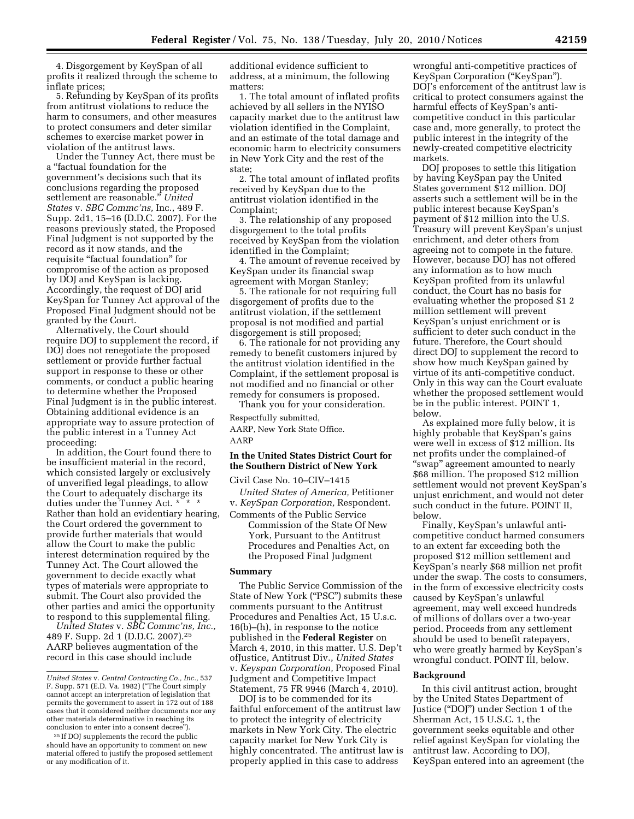4. Disgorgement by KeySpan of all profits it realized through the scheme to inflate prices;

5. Refunding by KeySpan of its profits from antitrust violations to reduce the harm to consumers, and other measures to protect consumers and deter similar schemes to exercise market power in violation of the antitrust laws.

Under the Tunney Act, there must be a ''factual foundation for the government's decisions such that its conclusions regarding the proposed settlement are reasonable.'' *United States* v. *SBC Commc'ns,* Inc., 489 F. Supp. 2d1, 15–16 (D.D.C. 2007). For the reasons previously stated, the Proposed Final Judgment is not supported by the record as it now stands, and the requisite ''factual foundation'' for compromise of the action as proposed by DOJ and KeySpan is lacking. Accordingly, the request of DOJ arid KeySpan for Tunney Act approval of the Proposed Final Judgment should not be granted by the Court.

Alternatively, the Court should require DOJ to supplement the record, if DOJ does not renegotiate the proposed settlement or provide further factual support in response to these or other comments, or conduct a public hearing to determine whether the Proposed Final Judgment is in the public interest. Obtaining additional evidence is an appropriate way to assure protection of the public interest in a Tunney Act proceeding:

In addition, the Court found there to be insufficient material in the record, which consisted largely or exclusively of unverified legal pleadings, to allow the Court to adequately discharge its duties under the Tunney Act. \* \* \* Rather than hold an evidentiary hearing, the Court ordered the government to provide further materials that would allow the Court to make the public interest determination required by the Tunney Act. The Court allowed the government to decide exactly what types of materials were appropriate to submit. The Court also provided the other parties and amici the opportunity to respond to this supplemental filing.

*United States* v. *SBC Commc'ns, Inc.,*  489 F. Supp. 2d 1 (D.D.C. 2007).25 AARP believes augmentation of the record in this case should include

additional evidence sufficient to address, at a minimum, the following matters:

1. The total amount of inflated profits achieved by all sellers in the NYISO capacity market due to the antitrust law violation identified in the Complaint, and an estimate of the total damage and economic harm to electricity consumers in New York City and the rest of the state;

2. The total amount of inflated profits received by KeySpan due to the antitrust violation identified in the Complaint;

3. The relationship of any proposed disgorgement to the total profits received by KeySpan from the violation identified in the Complaint;

4. The amount of revenue received by KeySpan under its financial swap agreement with Morgan Stanley;

5. The rationale for not requiring full disgorgement of profits due to the antitrust violation, if the settlement proposal is not modified and partial disgorgement is still proposed;

6. The rationale for not providing any remedy to benefit customers injured by the antitrust violation identified in the Complaint, if the settlement proposal is not modified and no financial or other remedy for consumers is proposed.

Thank you for your consideration.

Respectfully submitted, AARP, New York State Office. AARP

## **In the United States District Court for the Southern District of New York**

Civil Case No. 10–CIV–1415

*United States of America,* Petitioner v. *KeySpan Corporation,* Respondent. Comments of the Public Service

Commission of the State Of New York, Pursuant to the Antitrust Procedures and Penalties Act, on the Proposed Final Judgment

## **Summary**

The Public Service Commission of the State of New York (''PSC'') submits these comments pursuant to the Antitrust Procedures and Penalties Act, 15 U.s.c. 16(b)–(h), in response to the notice published in the **Federal Register** on March 4, 2010, in this matter. U.S. Dep't ofJustice, Antitrust Div., *United States*  v. *Keyspan Corporation,* Proposed Final Judgment and Competitive Impact Statement, 75 FR 9946 (March 4, 2010).

DOJ is to be commended for its faithful enforcement of the antitrust law to protect the integrity of electricity markets in New York City. The electric capacity market for New York City is highly concentrated. The antitrust law is properly applied in this case to address

wrongful anti-competitive practices of KeySpan Corporation (''KeySpan''). DOJ's enforcement of the antitrust law is critical to protect consumers against the harmful effects of KeySpan's anticompetitive conduct in this particular case and, more generally, to protect the public interest in the integrity of the newly-created competitive electricity markets.

DOJ proposes to settle this litigation by having KeySpan pay the United States government \$12 million. DOJ asserts such a settlement will be in the public interest because KeySpan's payment of \$12 million into the U.S. Treasury will prevent KeySpan's unjust enrichment, and deter others from agreeing not to compete in the future. However, because DOJ has not offered any information as to how much KeySpan profited from its unlawful conduct, the Court has no basis for evaluating whether the proposed \$1 2 million settlement will prevent KeySpan's unjust enrichment or is sufficient to deter such conduct in the future. Therefore, the Court should direct DOJ to supplement the record to show how much KeySpan gained by virtue of its anti-competitive conduct. Only in this way can the Court evaluate whether the proposed settlement would be in the public interest. POINT 1, below.

As explained more fully below, it is highly probable that KeySpan's gains were well in excess of \$12 million. Its net profits under the complained-of ''swap'' agreement amounted to nearly \$68 million. The proposed \$12 million settlement would not prevent KeySpan's unjust enrichment, and would not deter such conduct in the future. POINT II, below.

Finally, KeySpan's unlawful anticompetitive conduct harmed consumers to an extent far exceeding both the proposed \$12 million settlement and KeySpan's nearly \$68 million net profit under the swap. The costs to consumers, in the form of excessive electricity costs caused by KeySpan's unlawful agreement, may well exceed hundreds of millions of dollars over a two-year period. Proceeds from any settlement should be used to benefit ratepayers, who were greatly harmed by KeySpan's wrongful conduct. POINT Ill, below.

## **Background**

In this civil antitrust action, brought by the United States Department of Justice (''DOJ'') under Section 1 of the Sherman Act, 15 U.S.C. 1, the government seeks equitable and other relief against KeySpan for violating the antitrust law. According to DOJ, KeySpan entered into an agreement (the

*United States* v. *Central Contracting Co., Inc.,* 537 F. Supp. 571 (E.D. Va. 1982) (''The Court simply cannot accept an interpretation of legislation that permits the government to assert in 172 out of 188 cases that it considered neither documents nor any other materials determinative in reaching its conclusion to enter into a consent decree'').

<sup>25</sup> If DOJ supplements the record the public should have an opportunity to comment on new material offered to justify the proposed settlement or any modification of it.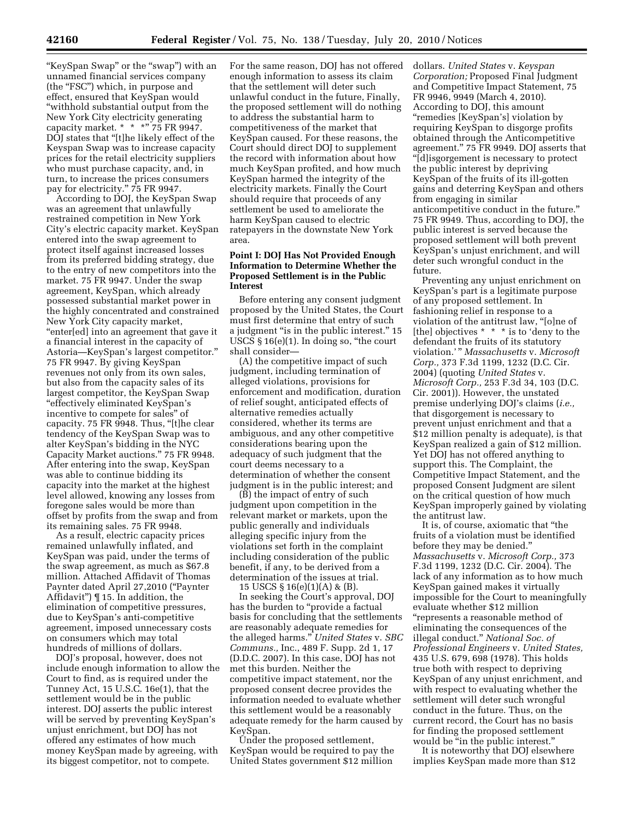"KeySpan Swap" or the "swap") with an unnamed financial services company (the "FSC") which, in purpose and effect, ensured that KeySpan would ''withhold substantial output from the New York City electricity generating capacity market.  $* * * "75 FR 9947$ . DOJ states that ''[t]he likely effect of the Keyspan Swap was to increase capacity prices for the retail electricity suppliers who must purchase capacity, and, in turn, to increase the prices consumers pay for electricity." 75 FR 9947.

According to DOJ, the KeySpan Swap was an agreement that unlawfully restrained competition in New York City's electric capacity market. KeySpan entered into the swap agreement to protect itself against increased losses from its preferred bidding strategy, due to the entry of new competitors into the market. 75 FR 9947. Under the swap agreement, KeySpan, which already possessed substantial market power in the highly concentrated and constrained New York City capacity market, ''enter[ed] into an agreement that gave it a financial interest in the capacity of Astoria—KeySpan's largest competitor.'' 75 FR 9947. By giving KeySpan revenues not only from its own sales, but also from the capacity sales of its largest competitor, the KeySpan Swap ''effectively eliminated KeySpan's incentive to compete for sales'' of capacity. 75 FR 9948. Thus, "[t]he clear tendency of the KeySpan Swap was to alter KeySpan's bidding in the NYC Capacity Market auctions.'' 75 FR 9948. After entering into the swap, KeySpan was able to continue bidding its capacity into the market at the highest level allowed, knowing any losses from foregone sales would be more than offset by profits from the swap and from its remaining sales. 75 FR 9948.

As a result, electric capacity prices remained unlawfully inflated, and KeySpan was paid, under the terms of the swap agreement, as much as \$67.8 million. Attached Affidavit of Thomas Paynter dated April 27,2010 (''Paynter Affidavit'') ¶ 15. In addition, the elimination of competitive pressures, due to KeySpan's anti-competitive agreement, imposed unnecessary costs on consumers which may total hundreds of millions of dollars.

DOJ's proposal, however, does not include enough information to allow the Court to find, as is required under the Tunney Act, 15 U.S.C. 16e(1), that the settlement would be in the public interest. DOJ asserts the public interest will be served by preventing KeySpan's unjust enrichment, but DOJ has not offered any estimates of how much money KeySpan made by agreeing, with its biggest competitor, not to compete.

For the same reason, DOJ has not offered enough information to assess its claim that the settlement will deter such unlawful conduct in the future, Finally, the proposed settlement will do nothing to address the substantial harm to competitiveness of the market that KeySpan caused. For these reasons, the Court should direct DOJ to supplement the record with information about how much KeySpan profited, and how much KeySpan harmed the integrity of the electricity markets. Finally the Court should require that proceeds of any settlement be used to ameliorate the harm KeySpan caused to electric ratepayers in the downstate New York area.

## **Point I: DOJ Has Not Provided Enough Information to Determine Whether the Proposed Settlement is in the Public Interest**

Before entering any consent judgment proposed by the United States, the Court must first determine that entry of such a judgment "is in the public interest." 15 USCS  $\S 16(e)(1)$ . In doing so, "the court shall consider—

(A) the competitive impact of such judgment, including termination of alleged violations, provisions for enforcement and modification, duration of relief sought, anticipated effects of alternative remedies actually considered, whether its terms are ambiguous, and any other competitive considerations bearing upon the adequacy of such judgment that the court deems necessary to a determination of whether the consent judgment is in the public interest; and

(B) the impact of entry of such judgment upon competition in the relevant market or markets, upon the public generally and individuals alleging specific injury from the violations set forth in the complaint including consideration of the public benefit, if any, to be derived from a determination of the issues at trial. 15 USCS § 16(e)(1)(A) & (B).

In seeking the Court's approval, DOJ has the burden to "provide a factual basis for concluding that the settlements are reasonably adequate remedies for the alleged harms.'' *United States* v. *SBC Communs.,* Inc., 489 F. Supp. 2d 1, 17 (D.D.C. 2007). In this case, DOJ has not met this burden. Neither the competitive impact statement, nor the proposed consent decree provides the information needed to evaluate whether this settlement would be a reasonably adequate remedy for the harm caused by KeySpan.

Under the proposed settlement, KeySpan would be required to pay the United States government \$12 million

dollars. *United States* v. *Keyspan Corporation;* Proposed Final Judgment and Competitive Impact Statement, 75 FR 9946, 9949 (March 4, 2010). According to DOJ, this amount ''remedies [KeySpan's] violation by requiring KeySpan to disgorge profits obtained through the Anticompetitive agreement.'' 75 FR 9949. DOJ asserts that ''[d]isgorgement is necessary to protect the public interest by depriving KeySpan of the fruits of its ill-gotten gains and deterring KeySpan and others from engaging in similar anticompetitive conduct in the future.'' 75 FR 9949. Thus, according to DOJ, the public interest is served because the proposed settlement will both prevent KeySpan's unjust enrichment, and will deter such wrongful conduct in the future.

Preventing any unjust enrichment on KeySpan's part is a legitimate purpose of any proposed settlement. In fashioning relief in response to a violation of the antitrust law, ''[o]ne of [the] objectives \* \* \* is to 'deny to the defendant the fruits of its statutory violation.' '' *Massachusetts* v. *Microsoft Corp.,* 373 F.3d 1199, 1232 (D.C. Cir. 2004) (quoting *United States* v. *Microsoft Corp.,* 253 F.3d 34, 103 (D.C. Cir. 2001)). However, the unstated premise underlying DOJ's claims (*i.e.,*  that disgorgement is necessary to prevent unjust enrichment and that a \$12 million penalty is adequate), is that KeySpan realized a gain of \$12 million. Yet DOJ has not offered anything to support this. The Complaint, the Competitive Impact Statement, and the proposed Consent Judgment are silent on the critical question of how much KeySpan improperly gained by violating the antitrust law.

It is, of course, axiomatic that ''the fruits of a violation must be identified before they may be denied.'' *Massachusetts* v. *Microsoft Corp.,* 373 F.3d 1199, 1232 (D.C. Cir. 2004). The lack of any information as to how much KeySpan gained makes it virtually impossible for the Court to meaningfully evaluate whether \$12 million ''represents a reasonable method of eliminating the consequences of the illegal conduct.'' *National Soc. of Professional Engineers* v. *United States,*  435 U.S. 679, 698 (1978). This holds true both with respect to depriving KeySpan of any unjust enrichment, and with respect to evaluating whether the settlement will deter such wrongful conduct in the future. Thus, on the current record, the Court has no basis for finding the proposed settlement would be "in the public interest."

It is noteworthy that DOJ elsewhere implies KeySpan made more than \$12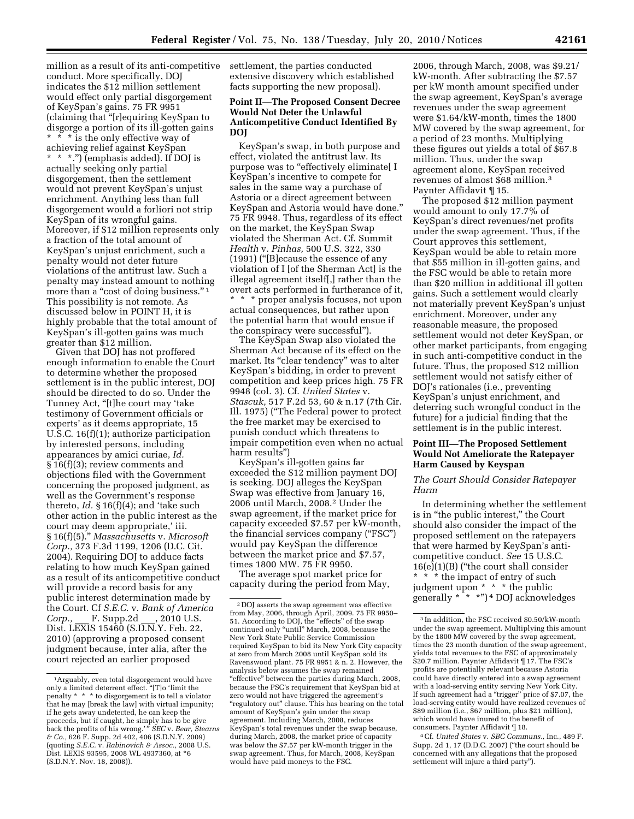million as a result of its anti-competitive conduct. More specifically, DOJ indicates the \$12 million settlement would effect only partial disgorgement of KeySpan's gains. 75 FR 9951 (claiming that ''[r]equiring KeySpan to disgorge a portion of its ill-gotten gains \* \* \* is the only effective way of achieving relief against KeySpan \* \* \*.'') (emphasis added). If DOJ is actually seeking only partial disgorgement, then the settlement would not prevent KeySpan's unjust enrichment. Anything less than full disgorgement would a forliori not strip KeySpan of its wrongful gains. Moreover, if \$12 million represents only a fraction of the total amount of KeySpan's unjust enrichment, such a penalty would not deter future violations of the antitrust law. Such a penalty may instead amount to nothing more than a "cost of doing business."<sup>1</sup> This possibility is not remote. As discussed below in POINT H, it is highly probable that the total amount of KeySpan's ill-gotten gains was much greater than \$12 million.

Given that DOJ has not proffered enough information to enable the Court to determine whether the proposed settlement is in the public interest, DOJ should be directed to do so. Under the Tunney Act, ''[t]he court may 'take testimony of Government officials or experts' as it deems appropriate, 15 U.S.C. 16(f)(1); authorize participation by interested persons, including appearances by amici curiae, *Id.*  § 16(f)(3); review comments and objections filed with the Government concerning the proposed judgment, as well as the Government's response thereto, *Id.* § 16(f)(4); and 'take such other action in the public interest as the court may deem appropriate,' iii. § 16(f)(5).'' *Massachusetts* v. *Microsoft Corp.,* 373 F.3d 1199, 1206 (D.C. Cit. 2004). Requiring DOJ to adduce facts relating to how much KeySpan gained as a result of its anticompetitive conduct will provide a record basis for any public interest determination made by the Court. Cf *S.E.C.* v. *Bank of America Corp.,* F. Supp.2d Dist. LEXIS 15460 (S.D.N.Y. Feb. 22, 2010) (approving a proposed consent judgment because, inter alia, after the court rejected an earlier proposed

settlement, the parties conducted extensive discovery which established facts supporting the new proposal).

## **Point II—The Proposed Consent Decree Would Not Deter the Unlawful Anticompetitive Conduct Identified By DOJ**

KeySpan's swap, in both purpose and effect, violated the antitrust law. Its purpose was to "effectively eliminate<sup>[</sup> I KeySpan's incentive to compete for sales in the same way a purchase of Astoria or a direct agreement between KeySpan and Astoria would have done.'' 75 FR 9948. Thus, regardless of its effect on the market, the KeySpan Swap violated the Sherman Act. Cf. Summit *Health* v. *Pinhas,* 500 U.S. 322, 330 (1991) (''[B]ecause the essence of any violation of I [of the Sherman Act] is the illegal agreement itself[,] rather than the overt acts performed in furtherance of it, \* \* \* proper analysis focuses, not upon actual consequences, but rather upon the potential harm that would ensue if the conspiracy were successful'').

The KeySpan Swap also violated the Sherman Act because of its effect on the market. Its "clear tendency" was to alter KeySpan's bidding, in order to prevent competition and keep prices high. 75 FR 9948 (col. 3). Cf. *United States* v. *Stascuk,* 517 F.2d 53, 60 & n.17 (7th Cir. Ill. 1975) (''The Federal power to protect the free market may be exercised to punish conduct which threatens to impair competition even when no actual harm results'')

KeySpan's ill-gotten gains far exceeded the \$12 million payment DOJ is seeking. DOJ alleges the KeySpan Swap was effective from January 16, 2006 until March, 2008.2 Under the swap agreement, if the market price for capacity exceeded \$7.57 per kW-month, the financial services company (''FSC'') would pay KeySpan the difference between the market price and \$7.57, times 1800 MW. 75 FR 9950.

The average spot market price for capacity during the period from May,

2006, through March, 2008, was \$9.21/ kW-month. After subtracting the \$7.57 per kW month amount specified under the swap agreement, KeySpan's average revenues under the swap agreement were \$1.64/kW-month, times the 1800 MW covered by the swap agreement, for a period of 23 months. Multiplying these figures out yields a total of \$67.8 million. Thus, under the swap agreement alone, KeySpan received revenues of almost \$68 million.3 Paynter Affidavit ¶ 15.

The proposed \$12 million payment would amount to only 17.7% of KeySpan's direct revenues/net profits under the swap agreement. Thus, if the Court approves this settlement, KeySpan would be able to retain more that \$55 million in ill-gotten gains, and the FSC would be able to retain more than \$20 million in additional ill gotten gains. Such a settlement would clearly not materially prevent KeySpan's unjust enrichment. Moreover, under any reasonable measure, the proposed settlement would not deter KeySpan, or other market participants, from engaging in such anti-competitive conduct in the future. Thus, the proposed \$12 million settlement would not satisfy either of DOJ's rationales (i.e., preventing KeySpan's unjust enrichment, and deterring such wrongful conduct in the future) for a judicial finding that the settlement is in the public interest.

## **Point III—The Proposed Settlement Would Not Ameliorate the Ratepayer Harm Caused by Keyspan**

*The Court Should Consider Ratepayer Harm* 

In determining whether the settlement is in ''the public interest,'' the Court should also consider the impact of the proposed settlement on the ratepayers that were harmed by KeySpan's anticompetitive conduct. *See* 15 U.S.C. 16(e)(1)(B) (''the court shall consider \* \* \* the impact of entry of such judgment upon \* \* \* the public generally \* \* \*'') 4 DOJ acknowledges

4Cf. *United States* v. *SBC Communs.,* Inc., 489 F. Supp. 2d 1, 17 (D.D.C. 2007) (''the court should be concerned with any allegations that the proposed settlement will injure a third party'').

<sup>1</sup>Arguably, even total disgorgement would have only a limited deterrent effect. ''[T]o 'limit the penalty \* \* \* to disgorgement is to tell a violator that he may [break the law] with virtual impunity; if he gets away undetected, he can keep the proceeds, but if caught, he simply has to be give back the profits of his wrong.' '' *SEC* v. *Bear, Stearns & Co.,* 626 F. Supp. 2d 402, 406 (S.D.N.Y. 2009) (quoting *S.E.C.* v. *Rabinovich & Assoc.,* 2008 U.S. Dist. LEXIS 93595, 2008 WL 4937360, at \*6 (S.D.N.Y. Nov. 18, 2008)).

<sup>2</sup> DOJ asserts the swap agreement was effective from May, 2006, through April, 2009. 75 FR 9950–<br>51. According to DOJ, the "effects" of the swap continued only ''until'' March, 2008, because the New York State Public Service Commission required KeySpan to bid its New York City capacity at zero from March 2008 until KeySpan sold its Ravenswood plant. 75 FR 9951 & n. 2. However, the analysis below assumes the swap remained "effective" between the parties during March, 2008, because the PSC's requirement that KeySpan bid at zero would not have triggered the agreement's "regulatory out" clause. This has bearing on the total amount of KeySpan's gain under the swap agreement. Including March, 2008, reduces KeySpan's total revenues under the swap because, during March, 2008, the market price of capacity was below the \$7.57 per kW-month trigger in the swap agreement. Thus, for March, 2008, KeySpan would have paid moneys to the FSC.

<sup>3</sup> In addition, the FSC received \$0.50/kW-month under the swap agreement. Multiplying this amount by the 1800 MW covered by the swap agreement, times the 23 month duration of the swap agreement, yields total revenues to the FSC of approximately \$20.7 million. Paynter Affidavit ¶ 17. The FSC's profits are potentially relevant because Astoria could have directly entered into a swap agreement with a load-serving entity serving New York City. If such agreement had a ''trigger'' price of \$7.07, the load-serving entity would have realized revenues of \$89 million (i.e., \$67 million, plus \$21 million), which would have inured to the benefit of consumers. Paynter Affidavit ¶ 18.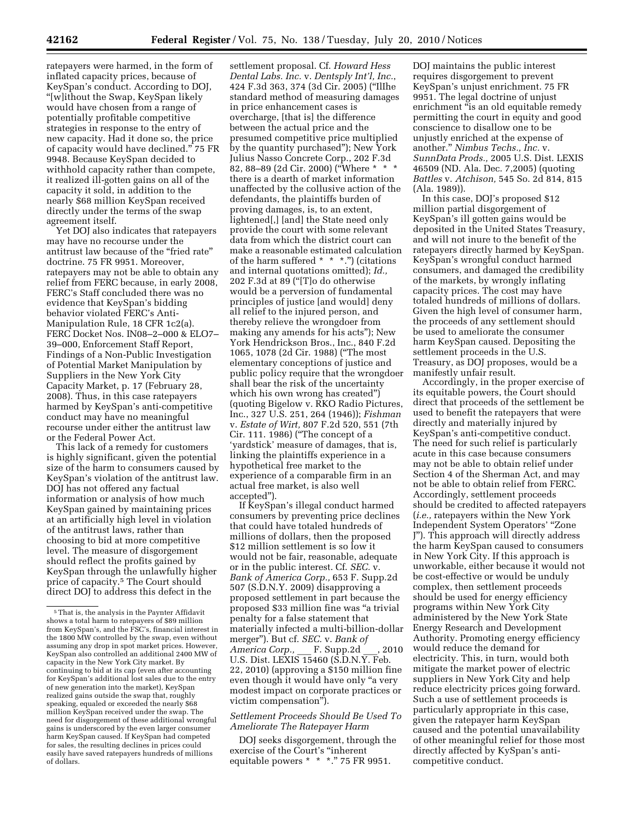ratepayers were harmed, in the form of inflated capacity prices, because of KeySpan's conduct. According to DOJ, ''[w]ithout the Swap, KeySpan likely would have chosen from a range of potentially profitable competitive strategies in response to the entry of new capacity. Had it done so, the price of capacity would have declined.'' 75 FR 9948. Because KeySpan decided to withhold capacity rather than compete, it realized ill-gotten gains on all of the capacity it sold, in addition to the nearly \$68 million KeySpan received directly under the terms of the swap agreement itself.

Yet DOJ also indicates that ratepayers may have no recourse under the antitrust law because of the "fried rate" doctrine. 75 FR 9951. Moreover, ratepayers may not be able to obtain any relief from FERC because, in early 2008, FERC's Staff concluded there was no evidence that KeySpan's bidding behavior violated FERC's Anti-Manipulation Rule, 18 CFR 1c2(a). FERC Docket Nos. IN08–2–000 & ELO7– 39–000, Enforcement Staff Report, Findings of a Non-Public Investigation of Potential Market Manipulation by Suppliers in the New York City Capacity Market, p. 17 (February 28, 2008). Thus, in this case ratepayers harmed by KeySpan's anti-competitive conduct may have no meaningful recourse under either the antitrust law or the Federal Power Act.

This lack of a remedy for customers is highly significant, given the potential size of the harm to consumers caused by KeySpan's violation of the antitrust law. DOJ has not offered any factual information or analysis of how much KeySpan gained by maintaining prices at an artificially high level in violation of the antitrust laws, rather than choosing to bid at more competitive level. The measure of disgorgement should reflect the profits gained by KeySpan through the unlawfully higher price of capacity.<sup>5</sup> The Court should direct DOJ to address this defect in the

settlement proposal. Cf. *Howard Hess Dental Labs. Inc.* v. *Dentsply Int'l, Inc.*, 424 F.3d 363, 374 (3d Cir. 2005) (''IlIhe standard method of measuring damages in price enhancement cases is overcharge, [that is] the difference between the actual price and the presumed competitive price multiplied by the quantity purchased''); New York Julius Nasso Concrete Corp., 202 F.3d 82, 88–89 (2d Cir. 2000) (''Where \* \* \* there is a dearth of market information unaffected by the collusive action of the defendants, the plaintiffs burden of proving damages, is, to an extent, lightened[,] [and] the State need only provide the court with some relevant data from which the district court can make a reasonable estimated calculation of the harm suffered \* \* \*.'') (citations and internal quotations omitted); *Id.,*  202 F.3d at 89 (''[T]o do otherwise would be a perversion of fundamental principles of justice [and would] deny all relief to the injured person, and thereby relieve the wrongdoer from making any amends for his acts''); New York Hendrickson Bros., Inc., 840 F.2d 1065, 1078 (2d Cir. 1988) (''The most elementary conceptions of justice and public policy require that the wrongdoer shall bear the risk of the uncertainty which his own wrong has created'') (quoting Bigelow v. RKO Radio Pictures, Inc., 327 U.S. 251, 264 (1946)); *Fishman*  v. *Estate of Wirt,* 807 F.2d 520, 551 (7th Cir. 111. 1986) (''The concept of a 'yardstick' measure of damages, that is, linking the plaintiffs experience in a hypothetical free market to the experience of a comparable firm in an actual free market, is also well accepted'').

If KeySpan's illegal conduct harmed consumers by preventing price declines that could have totaled hundreds of millions of dollars, then the proposed \$12 million settlement is so low it would not be fair, reasonable, adequate or in the public interest. Cf. *SEC.* v. *Bank of America Corp.,* 653 F. Supp.2d 507 (S.D.N.Y. 2009) disapproving a proposed settlement in part because the proposed \$33 million fine was ''a trivial penalty for a false statement that materially infected a multi-billion-dollar merger''). But cf. *SEC.* v. *Bank of America Corp.,* \_\_\_ F. Supp.2d \_\_\_, 2010 U.S. Dist. LEXIS 15460 (S.D.N.Y. Feb. 22, 2010) (approving a \$150 million fine even though it would have only ''a very modest impact on corporate practices or victim compensation'').

## *Settlement Proceeds Should Be Used To Ameliorate The Ratepayer Harm*

DOJ seeks disgorgement, through the exercise of the Court's ''inherent equitable powers \* \* \*.'' 75 FR 9951.

DOJ maintains the public interest requires disgorgement to prevent KeySpan's unjust enrichment. 75 FR 9951. The legal doctrine of unjust enrichment "is an old equitable remedy permitting the court in equity and good conscience to disallow one to be unjustly enriched at the expense of another.'' *Nimbus Techs., Inc.* v. *SunnData Prods.,* 2005 U.S. Dist. LEXIS 46509 (ND. Ala. Dec. 7,2005) (quoting *Battles* v. *Atchison,* 545 So. 2d 814, 815 (Ala. 1989)).

In this case, DOJ's proposed \$12 million partial disgorgement of KeySpan's ill gotten gains would be deposited in the United States Treasury, and will not inure to the benefit of the ratepayers directly harmed by KeySpan. KeySpan's wrongful conduct harmed consumers, and damaged the credibility of the markets, by wrongly inflating capacity prices. The cost may have totaled hundreds of millions of dollars. Given the high level of consumer harm, the proceeds of any settlement should be used to ameliorate the consumer harm KeySpan caused. Depositing the settlement proceeds in the U.S. Treasury, as DOJ proposes, would be a manifestly unfair result.

Accordingly, in the proper exercise of its equitable powers, the Court should direct that proceeds of the settlement be used to benefit the ratepayers that were directly and materially injured by KeySpan's anti-competitive conduct. The need for such relief is particularly acute in this case because consumers may not be able to obtain relief under Section 4 of the Sherman Act, and may not be able to obtain relief from FERC. Accordingly, settlement proceeds should be credited to affected ratepayers (*i.e.,* ratepayers within the New York Independent System Operators' ''Zone J''). This approach will directly address the harm KeySpan caused to consumers in New York City. If this approach is unworkable, either because it would not be cost-effective or would be unduly complex, then settlement proceeds should be used for energy efficiency programs within New York City administered by the New York State Energy Research and Development Authority. Promoting energy efficiency would reduce the demand for electricity. This, in turn, would both mitigate the market power of electric suppliers in New York City and help reduce electricity prices going forward. Such a use of settlement proceeds is particularly appropriate in this case, given the ratepayer harm KeySpan caused and the potential unavailability of other meaningful relief for those most directly affected by KySpan's anticompetitive conduct.

<sup>5</sup>That is, the analysis in the Paynter Affidavit shows a total harm to ratepayers of \$89 million from KeySpan's, and the FSC's, financial interest in the 1800 MW controlled by the swap, even without assuming any drop in spot market prices. However, KeySpan also controlled an additional 2400 MW of capacity in the New York City market. By continuing to bid at its cap (even after accounting for KeySpan's additional lost sales due to the entry of new generation into the market), KeySpan realized gains outside the swap that, roughly speaking, equaled or exceeded the nearly \$68 million KeySpan received under the swap. The need for disgorgement of these additional wrongful gains is underscored by the even larger consumer harm KeySpan caused. If KeySpan had competed for sales, the resulting declines in prices could easily have saved ratepayers hundreds of millions of dollars.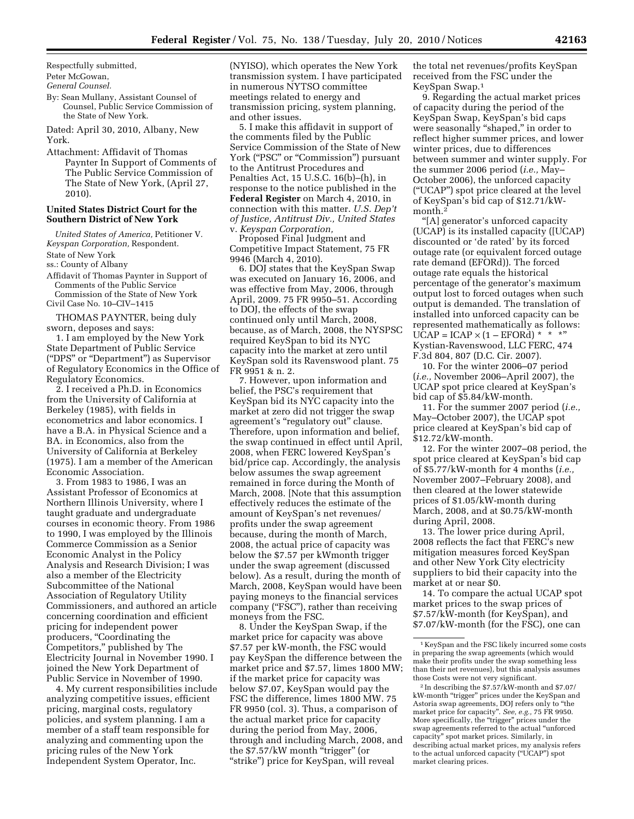Respectfully submitted,

Peter McGowan,

*General Counsel.* 

By: Sean Mullany, Assistant Counsel of Counsel, Public Service Commission of the State of New York.

Dated: April 30, 2010, Albany, New York.

Attachment: Affidavit of Thomas Paynter In Support of Comments of The Public Service Commission of The State of New York, (April 27, 2010).

## **United States District Court for the Southern District of New York**

*United States of America,* Petitioner V. *Keyspan Corporation,* Respondent.

State of New York

ss.: County of Albany

Affidavit of Thomas Paynter in Support of Comments of the Public Service

Commission of the State of New York Civil Case No. 10–CIV–1415

THOMAS PAYNTER, being duly sworn, deposes and says:

1. I am employed by the New York State Department of Public Service (''DPS'' or ''Department'') as Supervisor of Regulatory Economics in the Office of Regulatory Economics.

2. I received a Ph.D. in Economics from the University of California at Berkeley (1985), with fields in econometrics and labor economics. I have a B.A. in Physical Science and a BA. in Economics, also from the University of California at Berkeley (1975). I am a member of the American Economic Association.

3. From 1983 to 1986, I was an Assistant Professor of Economics at Northern Illinois University, where I taught graduate and undergraduate courses in economic theory. From 1986 to 1990, I was employed by the Illinois Commerce Commission as a Senior Economic Analyst in the Policy Analysis and Research Division; I was also a member of the Electricity Subcommittee of the National Association of Regulatory Utility Commissioners, and authored an article concerning coordination and efficient pricing for independent power producers, "Coordinating the Competitors,'' published by The Electricity Journal in November 1990. I joined the New York Department of Public Service in November of 1990.

4. My current responsibilities include analyzing competitive issues, efficient pricing, marginal costs, regulatory policies, and system planning. I am a member of a staff team responsible for analyzing and commenting upon the pricing rules of the New York Independent System Operator, Inc.

(NYISO), which operates the New York transmission system. I have participated in numerous NYTSO committee meetings related to energy and transmission pricing, system planning, and other issues.

5. I make this affidavit in support of the comments filed by the Public Service Commission of the State of New York ("PSC" or "Commission") pursuant to the Antitrust Procedures and Penalties Act, 15 U.S.C. 16(b)–(h), in response to the notice published in the **Federal Register** on March 4, 2010, in connection with this matter. *U.S. Dep't of Justice, Antitrust Div., United States*  v. *Keyspan Corporation,* 

Proposed Final Judgment and Competitive Impact Statement, 75 FR 9946 (March 4, 2010).

6. DOJ states that the KeySpan Swap was executed on January 16, 2006, and was effective from May, 2006, through April, 2009. 75 FR 9950–51. According to DOJ, the effects of the swap continued only until March, 2008, because, as of March, 2008, the NYSPSC required KeySpan to bid its NYC capacity into the market at zero until KeySpan sold its Ravenswood plant. 75 FR 9951 & n. 2.

7. However, upon information and belief, the PSC's requirement that KeySpan bid its NYC capacity into the market at zero did not trigger the swap agreement's ''regulatory out'' clause. Therefore, upon information and belief, the swap continued in effect until April, 2008, when FERC lowered KeySpan's bid/price cap. Accordingly, the analysis below assumes the swap agreement remained in force during the Month of March, 2008. [Note that this assumption effectively reduces the estimate of the amount of KeySpan's net revenues/ profits under the swap agreement because, during the month of March, 2008, the actual price of capacity was below the \$7.57 per kWmonth trigger under the swap agreement (discussed below). As a result, during the month of March, 2008, KeySpan would have been paying moneys to the financial services company (''FSC''), rather than receiving moneys from the FSC.

8. Under the KeySpan Swap, if the market price for capacity was above \$7.57 per kW-month, the FSC would pay KeySpan the difference between the market price and \$7.57, limes 1800 MW; if the market price for capacity was below \$7.07, KeySpan would pay the FSC the difference, limes 1800 MW. 75 FR 9950 (col. 3). Thus, a comparison of the actual market price for capacity during the period from May, 2006, through and including March, 2008, and the \$7.57/kW month "trigger" (or "strike") price for KeySpan, will reveal

the total net revenues/profits KeySpan received from the FSC under the KeySpan Swap.1

9. Regarding the actual market prices of capacity during the period of the KeySpan Swap, KeySpan's bid caps were seasonally "shaped," in order to reflect higher summer prices, and lower winter prices, due to differences between summer and winter supply. For the summer 2006 period (*i.e.,* May– October 2006), the unforced capacity (''UCAP'') spot price cleared at the level of KeySpan's bid cap of \$12.71/kWmonth.2

''[A] generator's unforced capacity (UCAP) is its installed capacity ([UCAP) discounted or 'de rated' by its forced outage rate (or equivalent forced outage rate demand (EFORd)). The forced outage rate equals the historical percentage of the generator's maximum output lost to forced outages when such output is demanded. The translation of installed into unforced capacity can be represented mathematically as follows:  $UCAP = ICAP \times (1 - EFORd) * * *$ " Kystian-Ravenswood, LLC FERC, 474 F.3d 804, 807 (D.C. Cir. 2007).

10. For the winter 2006–07 period (*i.e.,* November 2006–April 2007), the UCAP spot price cleared at KeySpan's bid cap of \$5.84/kW-month.

11. For the summer 2007 period (*i.e.,*  May–October 2007), the UCAP spot price cleared at KeySpan's bid cap of \$12.72/kW-month.

12. For the winter 2007–08 period, the spot price cleared at KeySpan's bid cap of \$5.77/kW-month for 4 months (*i.e.,*  November 2007–February 2008), and then cleared at the lower statewide prices of \$1.05/kW-month during March, 2008, and at \$0.75/kW-month during April, 2008.

13. The lower price during April, 2008 reflects the fact that FERC's new mitigation measures forced KeySpan and other New York City electricity suppliers to bid their capacity into the market at or near \$0.

14. To compare the actual UCAP spot market prices to the swap prices of \$7.57/kW-month (for KeySpan), and \$7.07/kW-month (for the FSC), one can

<sup>1</sup> KeySpan and the FSC likely incurred some costs in preparing the swap agreements (which would make their profits under the swap something less than their net revenues), but this analysis assumes those Costs were not very significant.

<sup>2</sup> In describing the \$7.57/kW-month and \$7.07/ kW-month "trigger" prices under the KeySpan and Astoria swap agreements, DOJ refers only to ''the market price for capacity''. *See, e.g.,* 75 FR 9950. More specifically, the ''trigger'' prices under the swap agreements referred to the actual ''unforced capacity'' spot market prices. Similarly, in describing actual market prices, my analysis refers to the actual unforced capacity (''UCAP'') spot market clearing prices.